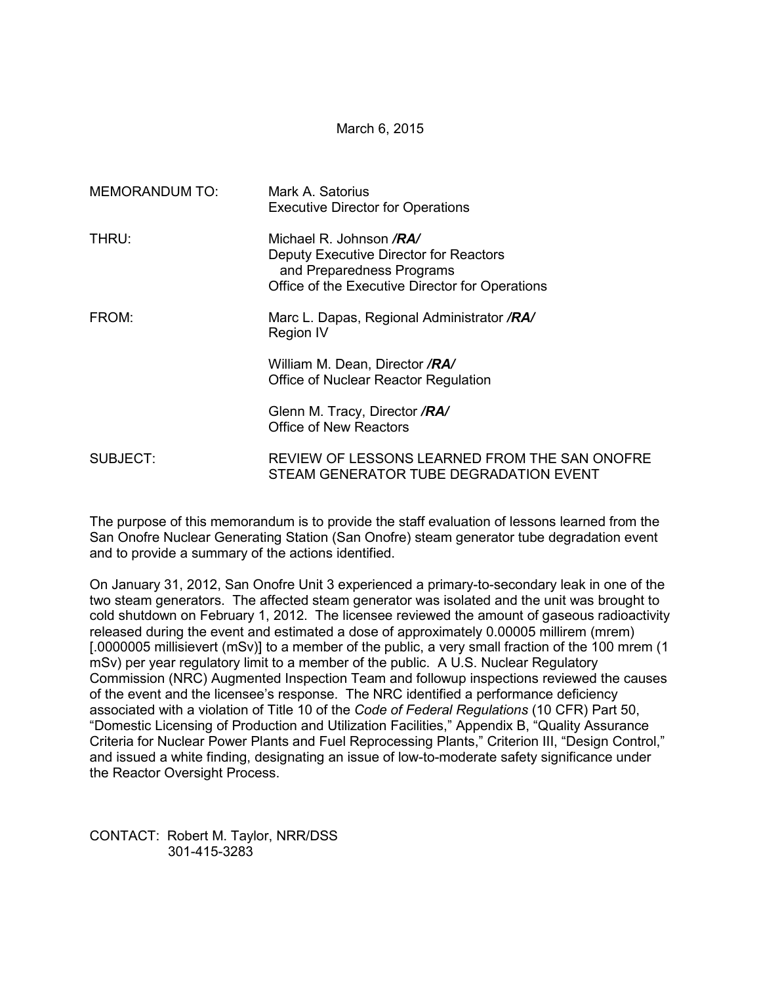March 6, 2015

| <b>MEMORANDUM TO:</b> | Mark A. Satorius<br><b>Executive Director for Operations</b>                                                                                      |  |  |
|-----------------------|---------------------------------------------------------------------------------------------------------------------------------------------------|--|--|
| THRU:                 | Michael R. Johnson /RA/<br>Deputy Executive Director for Reactors<br>and Preparedness Programs<br>Office of the Executive Director for Operations |  |  |
| FROM:                 | Marc L. Dapas, Regional Administrator /RA/<br><b>Region IV</b>                                                                                    |  |  |
|                       | William M. Dean, Director /RA/<br>Office of Nuclear Reactor Regulation                                                                            |  |  |
|                       | Glenn M. Tracy, Director /RA/<br>Office of New Reactors                                                                                           |  |  |
| SUBJECT:              | REVIEW OF LESSONS LEARNED FROM THE SAN ONOFRE<br>STEAM GENERATOR TUBE DEGRADATION EVENT                                                           |  |  |

The purpose of this memorandum is to provide the staff evaluation of lessons learned from the San Onofre Nuclear Generating Station (San Onofre) steam generator tube degradation event and to provide a summary of the actions identified.

On January 31, 2012, San Onofre Unit 3 experienced a primary-to-secondary leak in one of the two steam generators. The affected steam generator was isolated and the unit was brought to cold shutdown on February 1, 2012. The licensee reviewed the amount of gaseous radioactivity released during the event and estimated a dose of approximately 0.00005 millirem (mrem) [.0000005 millisievert (mSv)] to a member of the public, a very small fraction of the 100 mrem (1 mSv) per year regulatory limit to a member of the public. A U.S. Nuclear Regulatory Commission (NRC) Augmented Inspection Team and followup inspections reviewed the causes of the event and the licensee's response. The NRC identified a performance deficiency associated with a violation of Title 10 of the *Code of Federal Regulations* (10 CFR) Part 50, "Domestic Licensing of Production and Utilization Facilities," Appendix B, "Quality Assurance Criteria for Nuclear Power Plants and Fuel Reprocessing Plants," Criterion III, "Design Control," and issued a white finding, designating an issue of low-to-moderate safety significance under the Reactor Oversight Process.

CONTACT: Robert M. Taylor, NRR/DSS 301-415-3283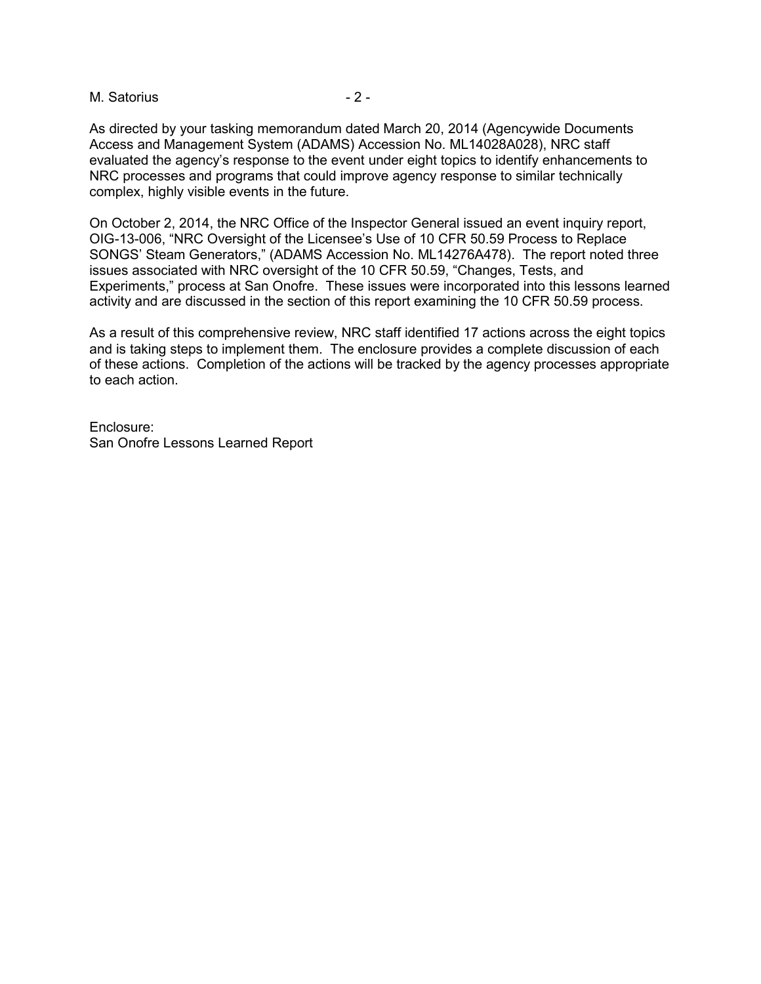#### M. Satorius - 2 -

As directed by your tasking memorandum dated March 20, 2014 (Agencywide Documents Access and Management System (ADAMS) Accession No. ML14028A028), NRC staff evaluated the agency's response to the event under eight topics to identify enhancements to NRC processes and programs that could improve agency response to similar technically complex, highly visible events in the future.

On October 2, 2014, the NRC Office of the Inspector General issued an event inquiry report, OIG-13-006, "NRC Oversight of the Licensee's Use of 10 CFR 50.59 Process to Replace SONGS' Steam Generators," (ADAMS Accession No. ML14276A478). The report noted three issues associated with NRC oversight of the 10 CFR 50.59, "Changes, Tests, and Experiments," process at San Onofre. These issues were incorporated into this lessons learned activity and are discussed in the section of this report examining the 10 CFR 50.59 process.

As a result of this comprehensive review, NRC staff identified 17 actions across the eight topics and is taking steps to implement them. The enclosure provides a complete discussion of each of these actions. Completion of the actions will be tracked by the agency processes appropriate to each action.

Enclosure: San Onofre Lessons Learned Report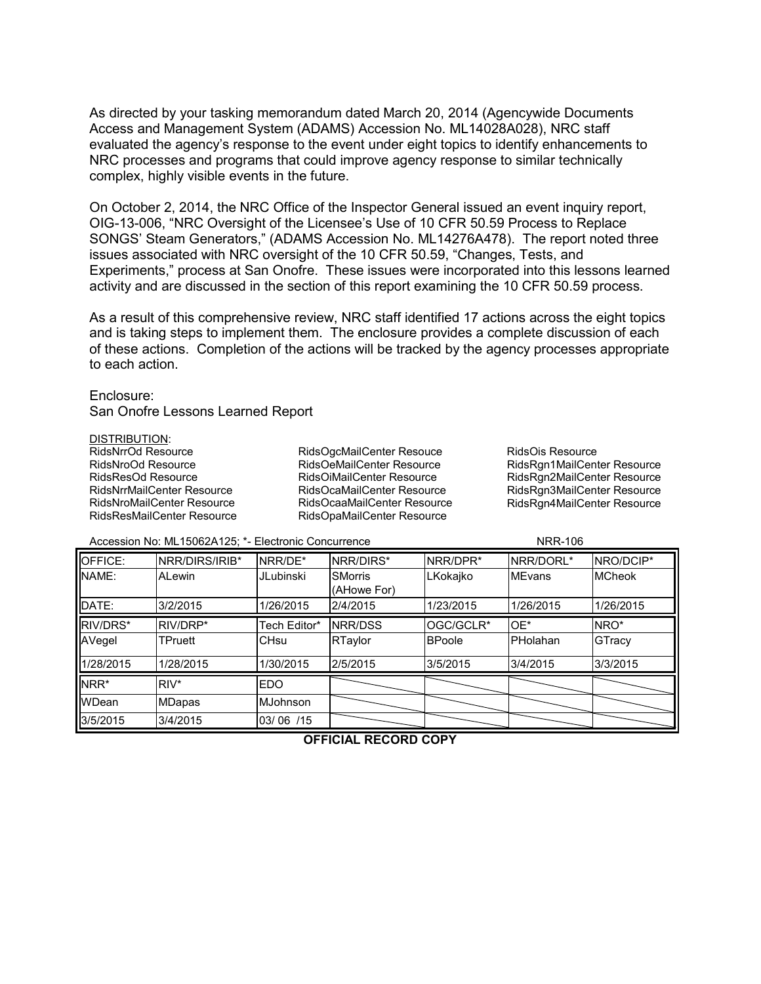As directed by your tasking memorandum dated March 20, 2014 (Agencywide Documents Access and Management System (ADAMS) Accession No. ML14028A028), NRC staff evaluated the agency's response to the event under eight topics to identify enhancements to NRC processes and programs that could improve agency response to similar technically complex, highly visible events in the future.

On October 2, 2014, the NRC Office of the Inspector General issued an event inquiry report, OIG-13-006, "NRC Oversight of the Licensee's Use of 10 CFR 50.59 Process to Replace SONGS' Steam Generators," (ADAMS Accession No. ML14276A478). The report noted three issues associated with NRC oversight of the 10 CFR 50.59, "Changes, Tests, and Experiments," process at San Onofre. These issues were incorporated into this lessons learned activity and are discussed in the section of this report examining the 10 CFR 50.59 process.

As a result of this comprehensive review, NRC staff identified 17 actions across the eight topics and is taking steps to implement them. The enclosure provides a complete discussion of each of these actions. Completion of the actions will be tracked by the agency processes appropriate to each action.

#### Enclosure:

San Onofre Lessons Learned Report

#### DISTRIBUTION:

RidsNrrOd Resource RidsNroOd Resource RidsResOd Resource RidsNrrMailCenter Resource RidsNroMailCenter Resource RidsResMailCenter Resource

RidsOgcMailCenter Resouce RidsOeMailCenter Resource RidsOiMailCenter Resource RidsOcaMailCenter Resource RidsOcaaMailCenter Resource RidsOpaMailCenter Resource

RidsOis Resource RidsRgn1MailCenter Resource RidsRgn2MailCenter Resource RidsRgn3MailCenter Resource RidsRgn4MailCenter Resource

Accession No: ML15062A125; \*- Electronic Concurrence NRR-106

| <b>OFFICE:</b> | NRR/DIRS/IRIB* | NRR/DE*          | NRR/DIRS*                     | NRR/DPR*      | <b>INRR/DORL*</b> | <b>NRO/DCIP*</b> |
|----------------|----------------|------------------|-------------------------------|---------------|-------------------|------------------|
| NAME:          | ALewin         | <b>JLubinski</b> | <b>SMorris</b><br>(AHowe For) | LKokajko      | <b>MEvans</b>     | <b>MCheok</b>    |
| DATE:          | 3/2/2015       | 1/26/2015        | 2/4/2015                      | 1/23/2015     | 1/26/2015         | 1/26/2015        |
| RIV/DRS*       | RIV/DRP*       | Tech Editor*     | NRR/DSS                       | OGC/GCLR*     | OE*               | NRO <sup>*</sup> |
| AVegel         | TPruett        | CH <sub>su</sub> | RTaylor                       | <b>BPoole</b> | PHolahan          | GTracy           |
| 1/28/2015      | 1/28/2015      | 1/30/2015        | 2/5/2015                      | 3/5/2015      | 3/4/2015          | 3/3/2015         |
| NRR*           | $RIV^*$        | <b>EDO</b>       |                               |               |                   |                  |
| WDean          | <b>MDapas</b>  | MJohnson         |                               |               |                   |                  |
| 3/5/2015       | 3/4/2015       | 03/06 /15        |                               |               |                   |                  |

**OFFICIAL RECORD COPY**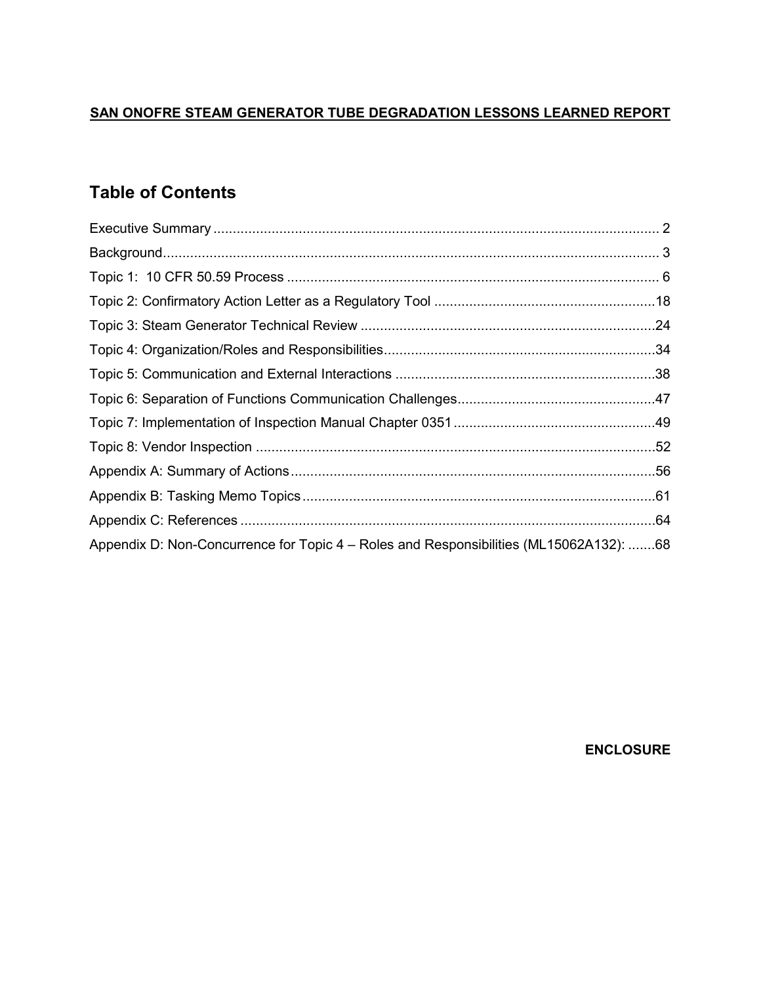# **SAN ONOFRE STEAM GENERATOR TUBE DEGRADATION LESSONS LEARNED REPORT**

# **Table of Contents**

| Appendix D: Non-Concurrence for Topic 4 – Roles and Responsibilities (ML15062A132): 68 |  |
|----------------------------------------------------------------------------------------|--|

**ENCLOSURE**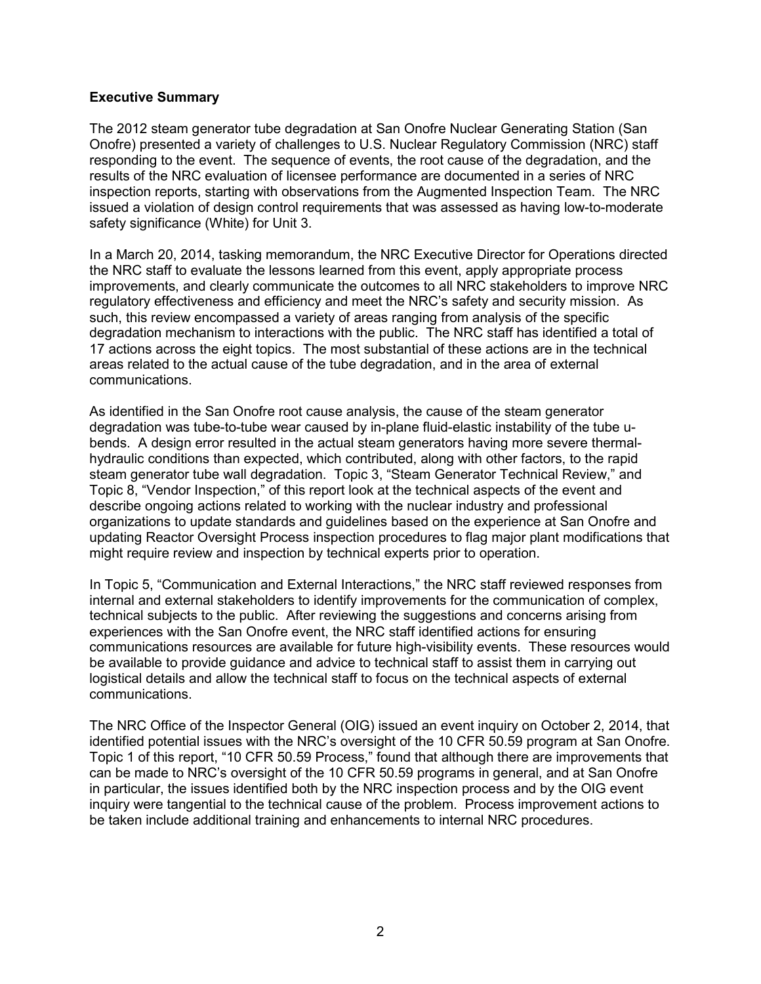#### **Executive Summary**

The 2012 steam generator tube degradation at San Onofre Nuclear Generating Station (San Onofre) presented a variety of challenges to U.S. Nuclear Regulatory Commission (NRC) staff responding to the event. The sequence of events, the root cause of the degradation, and the results of the NRC evaluation of licensee performance are documented in a series of NRC inspection reports, starting with observations from the Augmented Inspection Team. The NRC issued a violation of design control requirements that was assessed as having low-to-moderate safety significance (White) for Unit 3.

In a March 20, 2014, tasking memorandum, the NRC Executive Director for Operations directed the NRC staff to evaluate the lessons learned from this event, apply appropriate process improvements, and clearly communicate the outcomes to all NRC stakeholders to improve NRC regulatory effectiveness and efficiency and meet the NRC's safety and security mission. As such, this review encompassed a variety of areas ranging from analysis of the specific degradation mechanism to interactions with the public. The NRC staff has identified a total of 17 actions across the eight topics. The most substantial of these actions are in the technical areas related to the actual cause of the tube degradation, and in the area of external communications.

As identified in the San Onofre root cause analysis, the cause of the steam generator degradation was tube-to-tube wear caused by in-plane fluid-elastic instability of the tube ubends. A design error resulted in the actual steam generators having more severe thermalhydraulic conditions than expected, which contributed, along with other factors, to the rapid steam generator tube wall degradation. Topic 3, "Steam Generator Technical Review," and Topic 8, "Vendor Inspection," of this report look at the technical aspects of the event and describe ongoing actions related to working with the nuclear industry and professional organizations to update standards and guidelines based on the experience at San Onofre and updating Reactor Oversight Process inspection procedures to flag major plant modifications that might require review and inspection by technical experts prior to operation.

In Topic 5, "Communication and External Interactions," the NRC staff reviewed responses from internal and external stakeholders to identify improvements for the communication of complex, technical subjects to the public. After reviewing the suggestions and concerns arising from experiences with the San Onofre event, the NRC staff identified actions for ensuring communications resources are available for future high-visibility events. These resources would be available to provide guidance and advice to technical staff to assist them in carrying out logistical details and allow the technical staff to focus on the technical aspects of external communications.

The NRC Office of the Inspector General (OIG) issued an event inquiry on October 2, 2014, that identified potential issues with the NRC's oversight of the 10 CFR 50.59 program at San Onofre. Topic 1 of this report, "10 CFR 50.59 Process," found that although there are improvements that can be made to NRC's oversight of the 10 CFR 50.59 programs in general, and at San Onofre in particular, the issues identified both by the NRC inspection process and by the OIG event inquiry were tangential to the technical cause of the problem. Process improvement actions to be taken include additional training and enhancements to internal NRC procedures.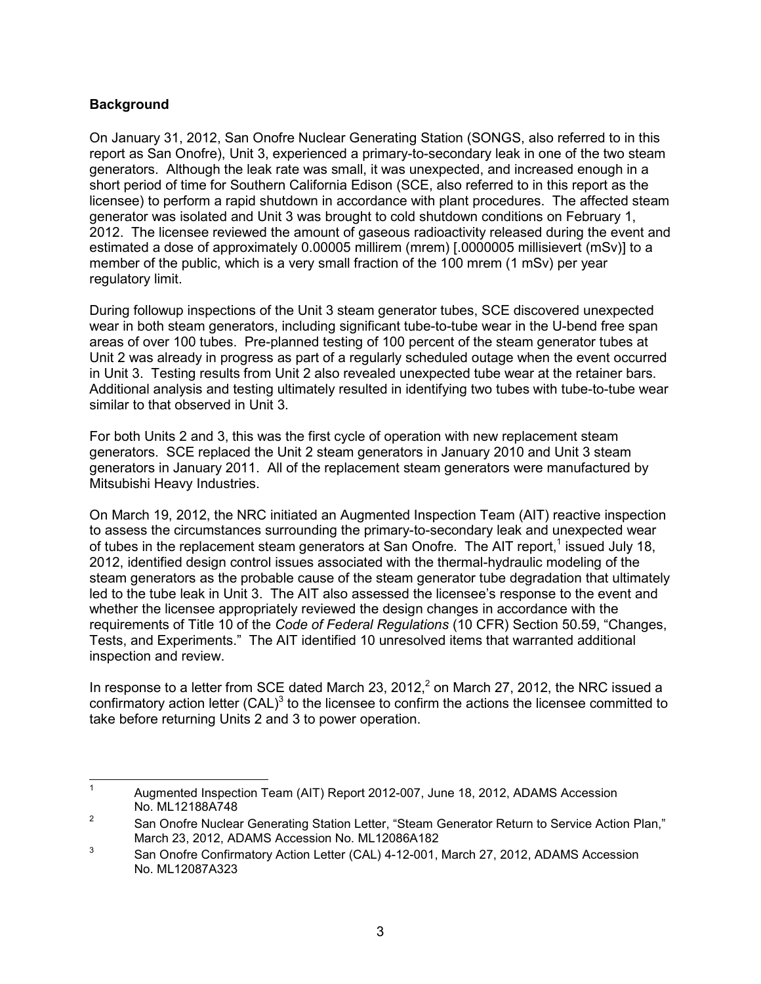#### **Background**

On January 31, 2012, San Onofre Nuclear Generating Station (SONGS, also referred to in this report as San Onofre), Unit 3, experienced a primary-to-secondary leak in one of the two steam generators. Although the leak rate was small, it was unexpected, and increased enough in a short period of time for Southern California Edison (SCE, also referred to in this report as the licensee) to perform a rapid shutdown in accordance with plant procedures. The affected steam generator was isolated and Unit 3 was brought to cold shutdown conditions on February 1, 2012. The licensee reviewed the amount of gaseous radioactivity released during the event and estimated a dose of approximately 0.00005 millirem (mrem) [.0000005 millisievert (mSv)] to a member of the public, which is a very small fraction of the 100 mrem (1 mSv) per year regulatory limit.

During followup inspections of the Unit 3 steam generator tubes, SCE discovered unexpected wear in both steam generators, including significant tube-to-tube wear in the U-bend free span areas of over 100 tubes. Pre-planned testing of 100 percent of the steam generator tubes at Unit 2 was already in progress as part of a regularly scheduled outage when the event occurred in Unit 3. Testing results from Unit 2 also revealed unexpected tube wear at the retainer bars. Additional analysis and testing ultimately resulted in identifying two tubes with tube-to-tube wear similar to that observed in Unit 3.

For both Units 2 and 3, this was the first cycle of operation with new replacement steam generators. SCE replaced the Unit 2 steam generators in January 2010 and Unit 3 steam generators in January 2011. All of the replacement steam generators were manufactured by Mitsubishi Heavy Industries.

On March 19, 2012, the NRC initiated an Augmented Inspection Team (AIT) reactive inspection to assess the circumstances surrounding the primary-to-secondary leak and unexpected wear of tubes in the replacement steam generators at San Onofre. The AIT report,<sup>1</sup> issued July 18, 2012, identified design control issues associated with the thermal-hydraulic modeling of the steam generators as the probable cause of the steam generator tube degradation that ultimately led to the tube leak in Unit 3. The AIT also assessed the licensee's response to the event and whether the licensee appropriately reviewed the design changes in accordance with the requirements of Title 10 of the *Code of Federal Regulations* (10 CFR) Section 50.59, "Changes, Tests, and Experiments." The AIT identified 10 unresolved items that warranted additional inspection and review.

In response to a letter from SCE dated March 23, 2012,<sup>2</sup> on March 27, 2012, the NRC issued a confirmatory action letter  $(CAL)^3$  to the licensee to confirm the actions the licensee committed to take before returning Units 2 and 3 to power operation.

<sup>&</sup>lt;sup>1</sup> Augmented Inspection Team (AIT) Report 2012-007, June 18, 2012, ADAMS Accession No. ML12188A748

<sup>&</sup>lt;sup>2</sup> San Onofre Nuclear Generating Station Letter, "Steam Generator Return to Service Action Plan," March 23, 2012, ADAMS Accession No. ML12086A182

<sup>&</sup>lt;sup>3</sup> San Onofre Confirmatory Action Letter (CAL) 4-12-001, March 27, 2012, ADAMS Accession No. ML12087A323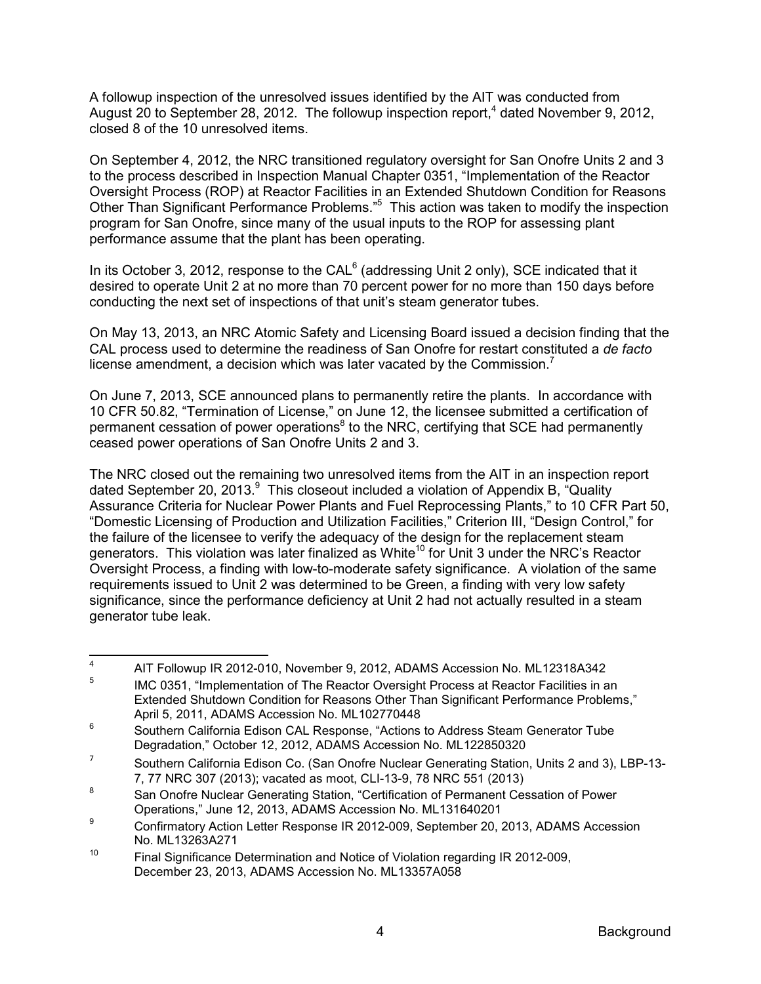A followup inspection of the unresolved issues identified by the AIT was conducted from August 20 to September 28, 2012. The followup inspection report,<sup>4</sup> dated November 9, 2012, closed 8 of the 10 unresolved items.

On September 4, 2012, the NRC transitioned regulatory oversight for San Onofre Units 2 and 3 to the process described in Inspection Manual Chapter 0351, "Implementation of the Reactor Oversight Process (ROP) at Reactor Facilities in an Extended Shutdown Condition for Reasons Other Than Significant Performance Problems."<sup>5</sup> This action was taken to modify the inspection program for San Onofre, since many of the usual inputs to the ROP for assessing plant performance assume that the plant has been operating.

In its October 3, 2012, response to the CAL<sup>6</sup> (addressing Unit 2 only), SCE indicated that it desired to operate Unit 2 at no more than 70 percent power for no more than 150 days before conducting the next set of inspections of that unit's steam generator tubes.

On May 13, 2013, an NRC Atomic Safety and Licensing Board issued a decision finding that the CAL process used to determine the readiness of San Onofre for restart constituted a *de facto* license amendment, a decision which was later vacated by the Commission.<sup>7</sup>

On June 7, 2013, SCE announced plans to permanently retire the plants. In accordance with 10 CFR 50.82, "Termination of License," on June 12, the licensee submitted a certification of permanent cessation of power operations<sup>8</sup> to the NRC, certifying that SCE had permanently ceased power operations of San Onofre Units 2 and 3.

The NRC closed out the remaining two unresolved items from the AIT in an inspection report dated September 20, 2013. This closeout included a violation of Appendix B, "Quality Assurance Criteria for Nuclear Power Plants and Fuel Reprocessing Plants," to 10 CFR Part 50, "Domestic Licensing of Production and Utilization Facilities," Criterion III, "Design Control," for the failure of the licensee to verify the adequacy of the design for the replacement steam generators. This violation was later finalized as White<sup>10</sup> for Unit 3 under the NRC's Reactor Oversight Process, a finding with low-to-moderate safety significance. A violation of the same requirements issued to Unit 2 was determined to be Green, a finding with very low safety significance, since the performance deficiency at Unit 2 had not actually resulted in a steam generator tube leak.

<sup>&</sup>lt;sup>4</sup> AIT Followup IR 2012-010, November 9, 2012, ADAMS Accession No. ML12318A342<br>
MC 8854 Westerwarte in a 5 The Peache Quantity Presence to Peache Feelities in a

IMC 0351, "Implementation of The Reactor Oversight Process at Reactor Facilities in an Extended Shutdown Condition for Reasons Other Than Significant Performance Problems," April 5, 2011, ADAMS Accession No. ML102770448

<sup>6</sup> Southern California Edison CAL Response, "Actions to Address Steam Generator Tube Degradation," October 12, 2012, ADAMS Accession No. ML122850320

 $7$  Southern California Edison Co. (San Onofre Nuclear Generating Station, Units 2 and 3), LBP-13-7, 77 NRC 307 (2013); vacated as moot, CLI-13-9, 78 NRC 551 (2013)

<sup>&</sup>lt;sup>8</sup> San Onofre Nuclear Generating Station, "Certification of Permanent Cessation of Power Operations," June 12, 2013, ADAMS Accession No. ML131640201

<sup>&</sup>lt;sup>9</sup> Confirmatory Action Letter Response IR 2012-009, September 20, 2013, ADAMS Accession No. ML13263A271

<sup>&</sup>lt;sup>10</sup> Final Significance Determination and Notice of Violation regarding IR 2012-009, December 23, 2013, ADAMS Accession No. ML13357A058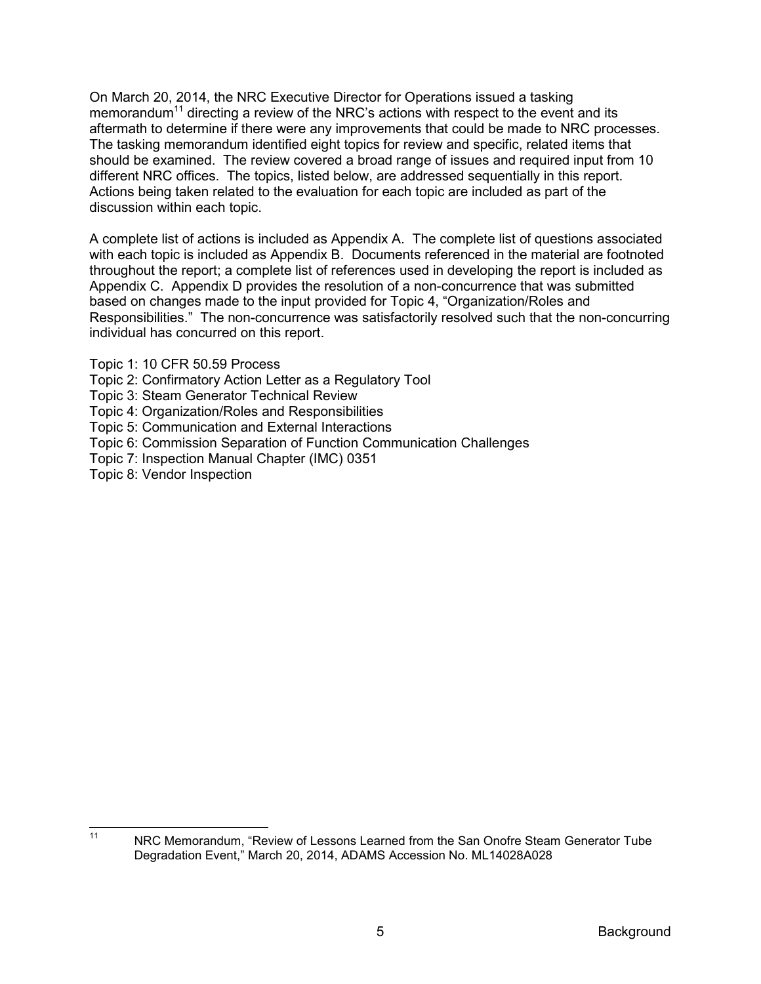On March 20, 2014, the NRC Executive Director for Operations issued a tasking memorandum<sup>11</sup> directing a review of the NRC's actions with respect to the event and its aftermath to determine if there were any improvements that could be made to NRC processes. The tasking memorandum identified eight topics for review and specific, related items that should be examined. The review covered a broad range of issues and required input from 10 different NRC offices. The topics, listed below, are addressed sequentially in this report. Actions being taken related to the evaluation for each topic are included as part of the discussion within each topic.

A complete list of actions is included as Appendix A. The complete list of questions associated with each topic is included as Appendix B. Documents referenced in the material are footnoted throughout the report; a complete list of references used in developing the report is included as Appendix C. Appendix D provides the resolution of a non-concurrence that was submitted based on changes made to the input provided for Topic 4, "Organization/Roles and Responsibilities." The non-concurrence was satisfactorily resolved such that the non-concurring individual has concurred on this report.

- Topic 1: 10 CFR 50.59 Process
- Topic 2: Confirmatory Action Letter as a Regulatory Tool
- Topic 3: Steam Generator Technical Review
- Topic 4: Organization/Roles and Responsibilities
- Topic 5: Communication and External Interactions
- Topic 6: Commission Separation of Function Communication Challenges
- Topic 7: Inspection Manual Chapter (IMC) 0351
- Topic 8: Vendor Inspection

<sup>&</sup>lt;sup>11</sup> NRC Memorandum, "Review of Lessons Learned from the San Onofre Steam Generator Tube Degradation Event," March 20, 2014, ADAMS Accession No. ML14028A028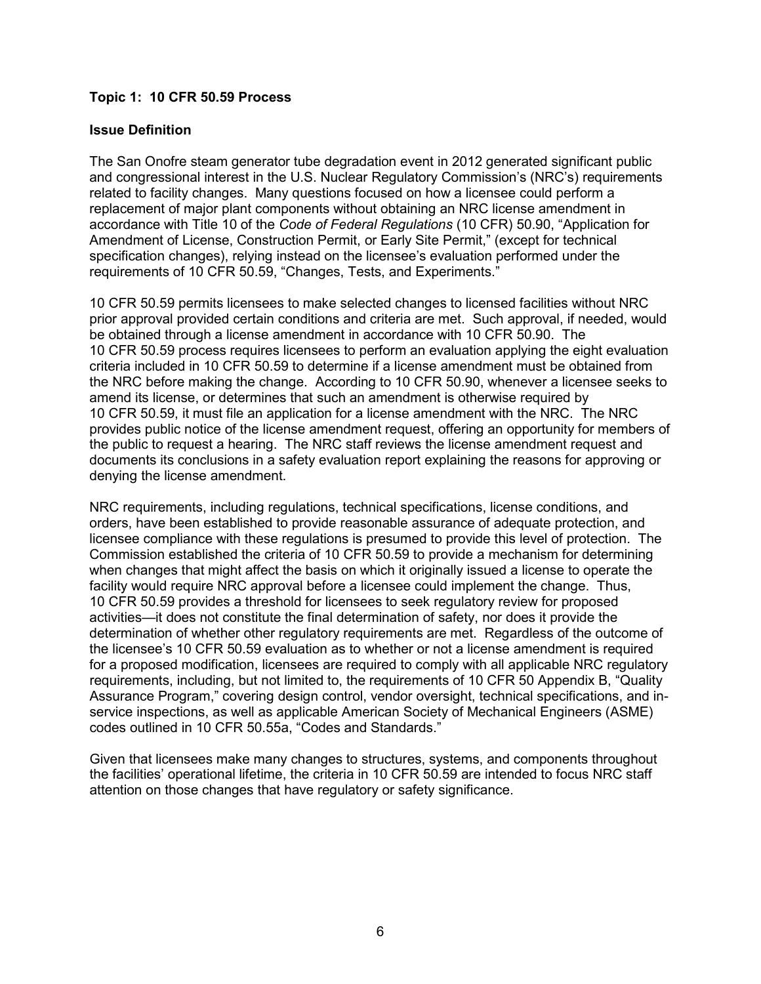#### **Topic 1: 10 CFR 50.59 Process**

#### **Issue Definition**

The San Onofre steam generator tube degradation event in 2012 generated significant public and congressional interest in the U.S. Nuclear Regulatory Commission's (NRC's) requirements related to facility changes. Many questions focused on how a licensee could perform a replacement of major plant components without obtaining an NRC license amendment in accordance with Title 10 of the *Code of Federal Regulations* (10 CFR) 50.90, "Application for Amendment of License, Construction Permit, or Early Site Permit," (except for technical specification changes), relying instead on the licensee's evaluation performed under the requirements of 10 CFR 50.59, "Changes, Tests, and Experiments."

10 CFR 50.59 permits licensees to make selected changes to licensed facilities without NRC prior approval provided certain conditions and criteria are met. Such approval, if needed, would be obtained through a license amendment in accordance with 10 CFR 50.90. The 10 CFR 50.59 process requires licensees to perform an evaluation applying the eight evaluation criteria included in 10 CFR 50.59 to determine if a license amendment must be obtained from the NRC before making the change. According to 10 CFR 50.90, whenever a licensee seeks to amend its license, or determines that such an amendment is otherwise required by 10 CFR 50.59, it must file an application for a license amendment with the NRC. The NRC provides public notice of the license amendment request, offering an opportunity for members of the public to request a hearing. The NRC staff reviews the license amendment request and documents its conclusions in a safety evaluation report explaining the reasons for approving or denying the license amendment.

NRC requirements, including regulations, technical specifications, license conditions, and orders, have been established to provide reasonable assurance of adequate protection, and licensee compliance with these regulations is presumed to provide this level of protection. The Commission established the criteria of 10 CFR 50.59 to provide a mechanism for determining when changes that might affect the basis on which it originally issued a license to operate the facility would require NRC approval before a licensee could implement the change. Thus, 10 CFR 50.59 provides a threshold for licensees to seek regulatory review for proposed activities—it does not constitute the final determination of safety, nor does it provide the determination of whether other regulatory requirements are met. Regardless of the outcome of the licensee's 10 CFR 50.59 evaluation as to whether or not a license amendment is required for a proposed modification, licensees are required to comply with all applicable NRC regulatory requirements, including, but not limited to, the requirements of 10 CFR 50 Appendix B, "Quality Assurance Program," covering design control, vendor oversight, technical specifications, and inservice inspections, as well as applicable American Society of Mechanical Engineers (ASME) codes outlined in 10 CFR 50.55a, "Codes and Standards."

Given that licensees make many changes to structures, systems, and components throughout the facilities' operational lifetime, the criteria in 10 CFR 50.59 are intended to focus NRC staff attention on those changes that have regulatory or safety significance.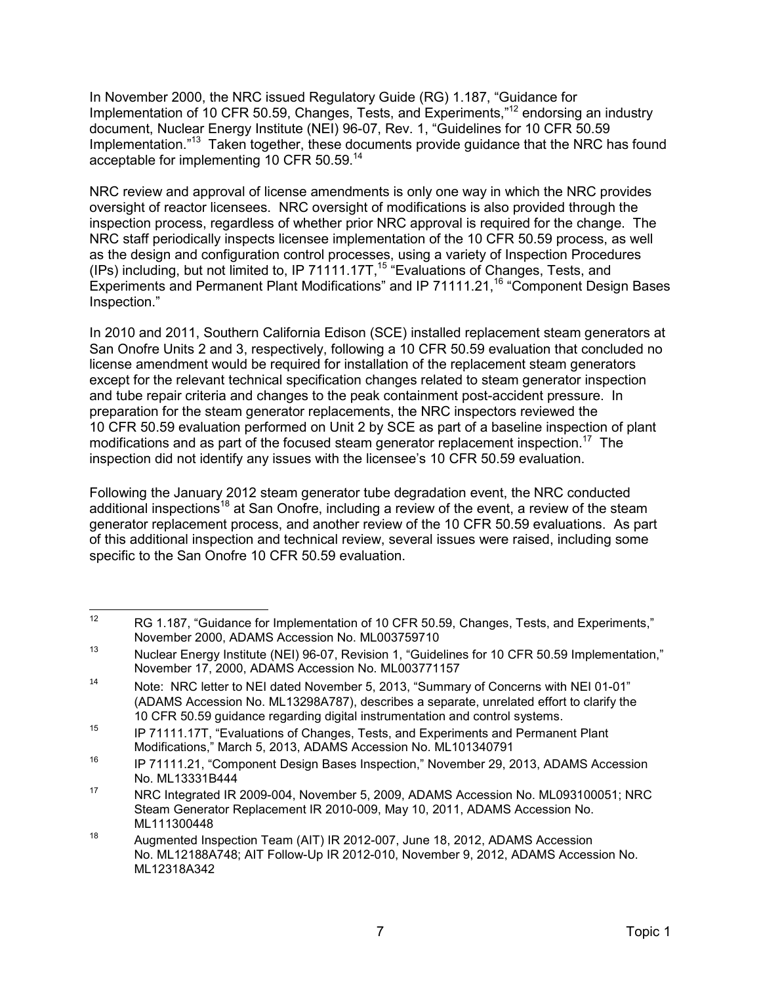In November 2000, the NRC issued Regulatory Guide (RG) 1.187, "Guidance for Implementation of 10 CFR 50.59, Changes, Tests, and Experiments,"<sup>12</sup> endorsing an industry document, Nuclear Energy Institute (NEI) 96-07, Rev. 1, "Guidelines for 10 CFR 50.59 Implementation."<sup>13</sup> Taken together, these documents provide guidance that the NRC has found acceptable for implementing 10 CFR 50.59.<sup>14</sup>

NRC review and approval of license amendments is only one way in which the NRC provides oversight of reactor licensees. NRC oversight of modifications is also provided through the inspection process, regardless of whether prior NRC approval is required for the change. The NRC staff periodically inspects licensee implementation of the 10 CFR 50.59 process, as well as the design and configuration control processes, using a variety of Inspection Procedures (IPs) including, but not limited to, IP 71111.17T, <sup>15</sup> "Evaluations of Changes, Tests, and Experiments and Permanent Plant Modifications" and IP 71111.21,<sup>16</sup> "Component Design Bases Inspection."

In 2010 and 2011, Southern California Edison (SCE) installed replacement steam generators at San Onofre Units 2 and 3, respectively, following a 10 CFR 50.59 evaluation that concluded no license amendment would be required for installation of the replacement steam generators except for the relevant technical specification changes related to steam generator inspection and tube repair criteria and changes to the peak containment post-accident pressure. In preparation for the steam generator replacements, the NRC inspectors reviewed the 10 CFR 50.59 evaluation performed on Unit 2 by SCE as part of a baseline inspection of plant modifications and as part of the focused steam generator replacement inspection.<sup>17</sup> The inspection did not identify any issues with the licensee's 10 CFR 50.59 evaluation.

Following the January 2012 steam generator tube degradation event, the NRC conducted additional inspections<sup>18</sup> at San Onofre, including a review of the event, a review of the steam generator replacement process, and another review of the 10 CFR 50.59 evaluations. As part of this additional inspection and technical review, several issues were raised, including some specific to the San Onofre 10 CFR 50.59 evaluation.

<sup>&</sup>lt;sup>12</sup> RG 1.187, "Guidance for Implementation of 10 CFR 50.59, Changes, Tests, and Experiments," November 2000, ADAMS Accession No. ML003759710

<sup>&</sup>lt;sup>13</sup> Nuclear Energy Institute (NEI) 96-07, Revision 1, "Guidelines for 10 CFR 50.59 Implementation," November 17, 2000, ADAMS Accession No. ML003771157

<sup>&</sup>lt;sup>14</sup> Note: NRC letter to NEI dated November 5, 2013, "Summary of Concerns with NEI 01-01" (ADAMS Accession No. ML13298A787), describes a separate, unrelated effort to clarify the 10 CFR 50.59 guidance regarding digital instrumentation and control systems.

<sup>&</sup>lt;sup>15</sup> IP 71111.17T, "Evaluations of Changes, Tests, and Experiments and Permanent Plant Modifications," March 5, 2013, ADAMS Accession No. ML101340791

<sup>&</sup>lt;sup>16</sup> IP 71111.21, "Component Design Bases Inspection," November 29, 2013, ADAMS Accession No. ML13331B444

<sup>17</sup> NRC Integrated IR 2009-004, November 5, 2009, ADAMS Accession No. ML093100051; NRC Steam Generator Replacement IR 2010-009, May 10, 2011, ADAMS Accession No. ML111300448

<sup>&</sup>lt;sup>18</sup> Augmented Inspection Team (AIT) IR 2012-007, June 18, 2012, ADAMS Accession No. ML12188A748; AIT Follow-Up IR 2012-010, November 9, 2012, ADAMS Accession No. ML12318A342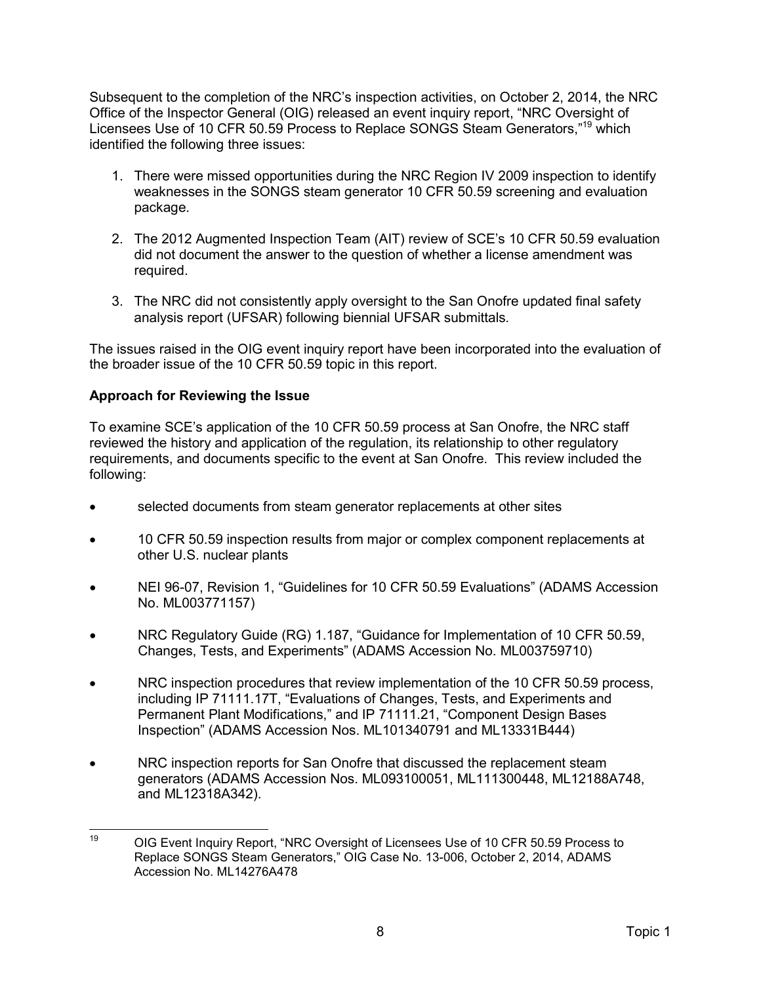Subsequent to the completion of the NRC's inspection activities, on October 2, 2014, the NRC Office of the Inspector General (OIG) released an event inquiry report, "NRC Oversight of Licensees Use of 10 CFR 50.59 Process to Replace SONGS Steam Generators."<sup>19</sup> which identified the following three issues:

- 1. There were missed opportunities during the NRC Region IV 2009 inspection to identify weaknesses in the SONGS steam generator 10 CFR 50.59 screening and evaluation package.
- 2. The 2012 Augmented Inspection Team (AIT) review of SCE's 10 CFR 50.59 evaluation did not document the answer to the question of whether a license amendment was required.
- 3. The NRC did not consistently apply oversight to the San Onofre updated final safety analysis report (UFSAR) following biennial UFSAR submittals*.*

The issues raised in the OIG event inquiry report have been incorporated into the evaluation of the broader issue of the 10 CFR 50.59 topic in this report.

#### **Approach for Reviewing the Issue**

To examine SCE's application of the 10 CFR 50.59 process at San Onofre, the NRC staff reviewed the history and application of the regulation, its relationship to other regulatory requirements, and documents specific to the event at San Onofre. This review included the following:

- selected documents from steam generator replacements at other sites
- 10 CFR 50.59 inspection results from major or complex component replacements at other U.S. nuclear plants
- NEI 96-07, Revision 1, "Guidelines for 10 CFR 50.59 Evaluations" (ADAMS Accession No. ML003771157)
- NRC Regulatory Guide (RG) 1.187, "Guidance for Implementation of 10 CFR 50.59, Changes, Tests, and Experiments" (ADAMS Accession No. ML003759710)
- NRC inspection procedures that review implementation of the 10 CFR 50.59 process, including IP 71111.17T, "Evaluations of Changes, Tests, and Experiments and Permanent Plant Modifications," and IP 71111.21, "Component Design Bases Inspection" (ADAMS Accession Nos. ML101340791 and ML13331B444)
- NRC inspection reports for San Onofre that discussed the replacement steam generators (ADAMS Accession Nos. ML093100051, ML111300448, ML12188A748, and ML12318A342).

<sup>&</sup>lt;sup>19</sup> OIG Event Inquiry Report, "NRC Oversight of Licensees Use of 10 CFR 50.59 Process to Replace SONGS Steam Generators," OIG Case No. 13-006, October 2, 2014, ADAMS Accession No. ML14276A478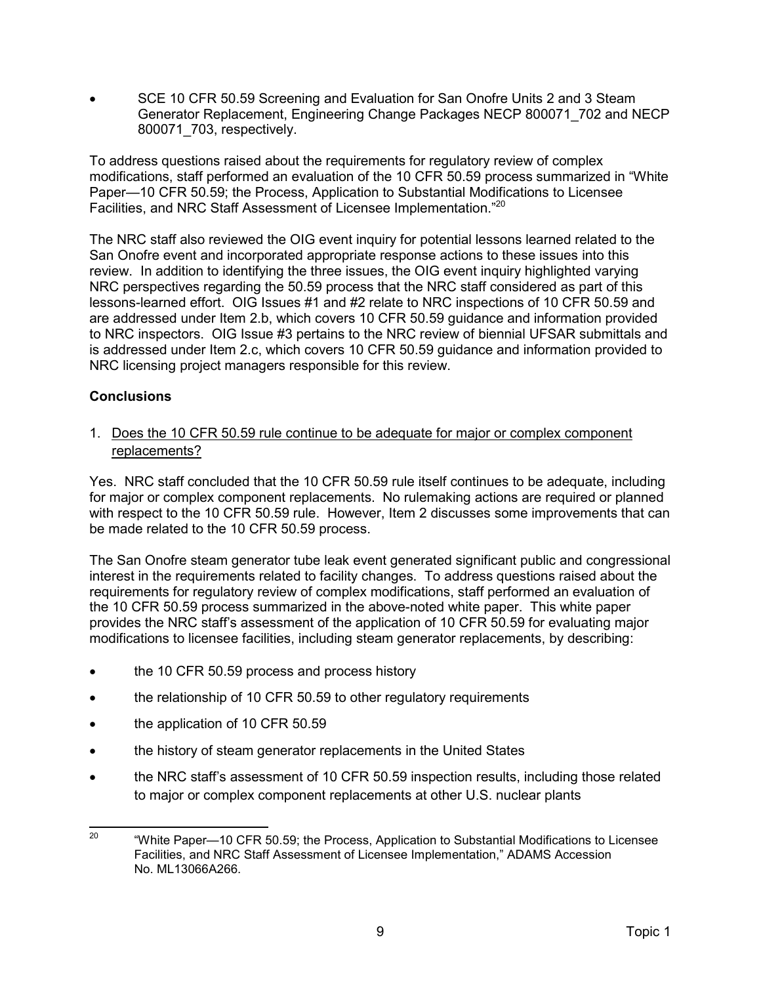SCE 10 CFR 50.59 Screening and Evaluation for San Onofre Units 2 and 3 Steam Generator Replacement, Engineering Change Packages NECP 800071\_702 and NECP 800071\_703, respectively.

To address questions raised about the requirements for regulatory review of complex modifications, staff performed an evaluation of the 10 CFR 50.59 process summarized in "White Paper—10 CFR 50.59; the Process, Application to Substantial Modifications to Licensee Facilities, and NRC Staff Assessment of Licensee Implementation."<sup>20</sup>

The NRC staff also reviewed the OIG event inquiry for potential lessons learned related to the San Onofre event and incorporated appropriate response actions to these issues into this review. In addition to identifying the three issues, the OIG event inquiry highlighted varying NRC perspectives regarding the 50.59 process that the NRC staff considered as part of this lessons-learned effort. OIG Issues #1 and #2 relate to NRC inspections of 10 CFR 50.59 and are addressed under Item 2.b, which covers 10 CFR 50.59 guidance and information provided to NRC inspectors. OIG Issue #3 pertains to the NRC review of biennial UFSAR submittals and is addressed under Item 2.c, which covers 10 CFR 50.59 guidance and information provided to NRC licensing project managers responsible for this review.

#### **Conclusions**

1. Does the 10 CFR 50.59 rule continue to be adequate for major or complex component replacements?

Yes. NRC staff concluded that the 10 CFR 50.59 rule itself continues to be adequate, including for major or complex component replacements. No rulemaking actions are required or planned with respect to the 10 CFR 50.59 rule. However, Item 2 discusses some improvements that can be made related to the 10 CFR 50.59 process.

The San Onofre steam generator tube leak event generated significant public and congressional interest in the requirements related to facility changes. To address questions raised about the requirements for regulatory review of complex modifications, staff performed an evaluation of the 10 CFR 50.59 process summarized in the above-noted white paper. This white paper provides the NRC staff's assessment of the application of 10 CFR 50.59 for evaluating major modifications to licensee facilities, including steam generator replacements, by describing:

- the 10 CFR 50.59 process and process history
- the relationship of 10 CFR 50.59 to other regulatory requirements
- the application of 10 CFR 50.59
- the history of steam generator replacements in the United States
- the NRC staff's assessment of 10 CFR 50.59 inspection results, including those related to major or complex component replacements at other U.S. nuclear plants

<sup>&</sup>lt;sup>20</sup> "White Paper—10 CFR 50.59; the Process, Application to Substantial Modifications to Licensee Facilities, and NRC Staff Assessment of Licensee Implementation," ADAMS Accession No. ML13066A266.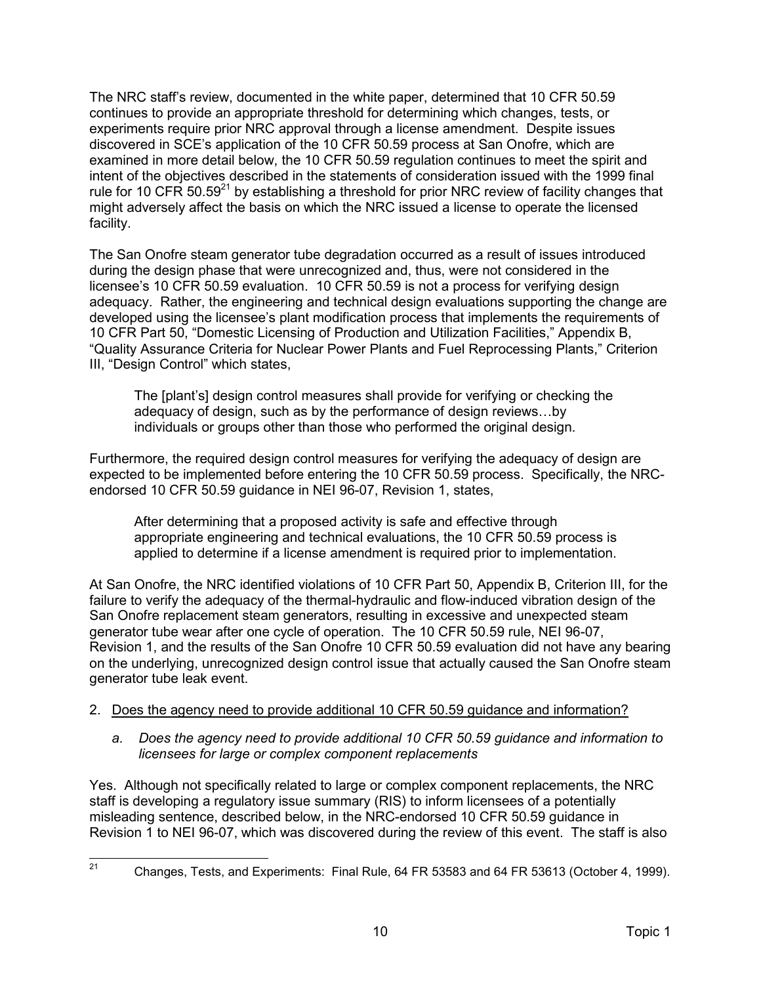The NRC staff's review, documented in the white paper, determined that 10 CFR 50.59 continues to provide an appropriate threshold for determining which changes, tests, or experiments require prior NRC approval through a license amendment. Despite issues discovered in SCE's application of the 10 CFR 50.59 process at San Onofre, which are examined in more detail below, the 10 CFR 50.59 regulation continues to meet the spirit and intent of the objectives described in the statements of consideration issued with the 1999 final rule for 10 CFR 50.59<sup>21</sup> by establishing a threshold for prior NRC review of facility changes that might adversely affect the basis on which the NRC issued a license to operate the licensed facility.

The San Onofre steam generator tube degradation occurred as a result of issues introduced during the design phase that were unrecognized and, thus, were not considered in the licensee's 10 CFR 50.59 evaluation. 10 CFR 50.59 is not a process for verifying design adequacy. Rather, the engineering and technical design evaluations supporting the change are developed using the licensee's plant modification process that implements the requirements of 10 CFR Part 50, "Domestic Licensing of Production and Utilization Facilities," Appendix B, "Quality Assurance Criteria for Nuclear Power Plants and Fuel Reprocessing Plants," Criterion III, "Design Control" which states,

The [plant's] design control measures shall provide for verifying or checking the adequacy of design, such as by the performance of design reviews…by individuals or groups other than those who performed the original design.

Furthermore, the required design control measures for verifying the adequacy of design are expected to be implemented before entering the 10 CFR 50.59 process. Specifically, the NRCendorsed 10 CFR 50.59 guidance in NEI 96-07, Revision 1, states,

After determining that a proposed activity is safe and effective through appropriate engineering and technical evaluations, the 10 CFR 50.59 process is applied to determine if a license amendment is required prior to implementation.

At San Onofre, the NRC identified violations of 10 CFR Part 50, Appendix B, Criterion III, for the failure to verify the adequacy of the thermal-hydraulic and flow-induced vibration design of the San Onofre replacement steam generators, resulting in excessive and unexpected steam generator tube wear after one cycle of operation. The 10 CFR 50.59 rule, NEI 96-07, Revision 1, and the results of the San Onofre 10 CFR 50.59 evaluation did not have any bearing on the underlying, unrecognized design control issue that actually caused the San Onofre steam generator tube leak event.

#### 2. Does the agency need to provide additional 10 CFR 50.59 guidance and information?

#### *a. Does the agency need to provide additional 10 CFR 50.59 guidance and information to licensees for large or complex component replacements*

Yes. Although not specifically related to large or complex component replacements, the NRC staff is developing a regulatory issue summary (RIS) to inform licensees of a potentially misleading sentence, described below, in the NRC-endorsed 10 CFR 50.59 guidance in Revision 1 to NEI 96-07, which was discovered during the review of this event. The staff is also

<sup>&</sup>lt;sup>21</sup> Changes, Tests, and Experiments: Final Rule, 64 FR 53583 and 64 FR 53613 (October 4, 1999).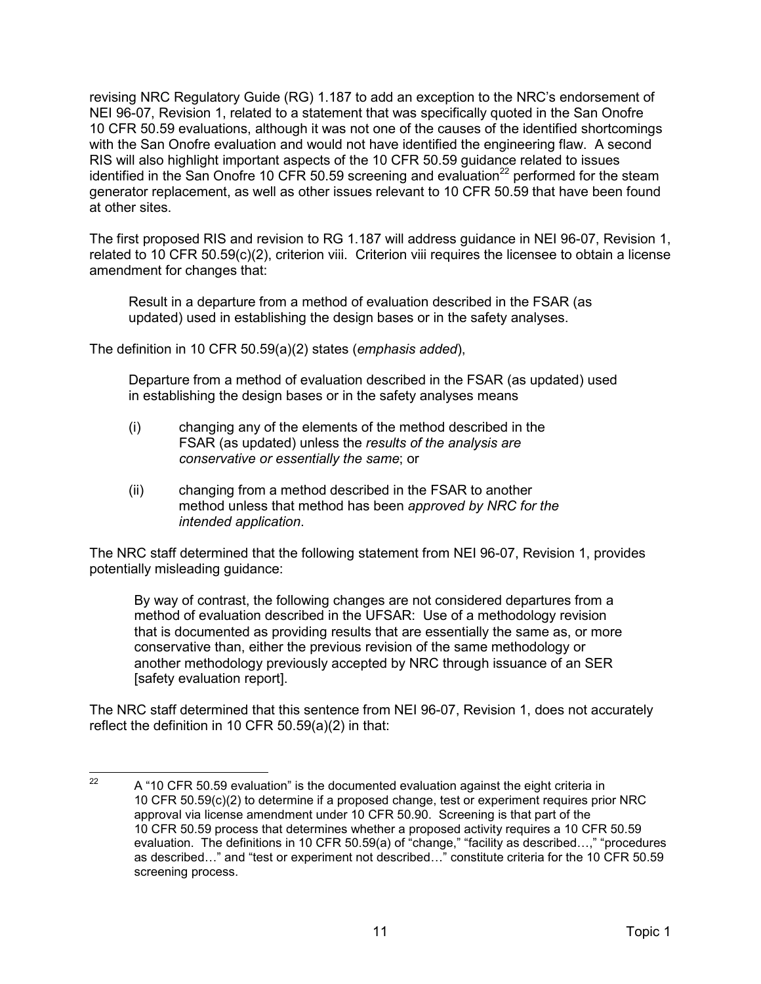revising NRC Regulatory Guide (RG) 1.187 to add an exception to the NRC's endorsement of NEI 96-07, Revision 1, related to a statement that was specifically quoted in the San Onofre 10 CFR 50.59 evaluations, although it was not one of the causes of the identified shortcomings with the San Onofre evaluation and would not have identified the engineering flaw. A second RIS will also highlight important aspects of the 10 CFR 50.59 guidance related to issues identified in the San Onofre 10 CFR 50.59 screening and evaluation<sup>22</sup> performed for the steam generator replacement, as well as other issues relevant to 10 CFR 50.59 that have been found at other sites.

The first proposed RIS and revision to RG 1.187 will address guidance in NEI 96-07, Revision 1, related to 10 CFR 50.59(c)(2), criterion viii. Criterion viii requires the licensee to obtain a license amendment for changes that:

Result in a departure from a method of evaluation described in the FSAR (as updated) used in establishing the design bases or in the safety analyses.

The definition in 10 CFR 50.59(a)(2) states (*emphasis added*),

Departure from a method of evaluation described in the FSAR (as updated) used in establishing the design bases or in the safety analyses means

- (i) changing any of the elements of the method described in the FSAR (as updated) unless the *results of the analysis are conservative or essentially the same*; or
- (ii) changing from a method described in the FSAR to another method unless that method has been *approved by NRC for the intended application*.

The NRC staff determined that the following statement from NEI 96-07, Revision 1, provides potentially misleading guidance:

By way of contrast, the following changes are not considered departures from a method of evaluation described in the UFSAR: Use of a methodology revision that is documented as providing results that are essentially the same as, or more conservative than, either the previous revision of the same methodology or another methodology previously accepted by NRC through issuance of an SER [safety evaluation report].

The NRC staff determined that this sentence from NEI 96-07, Revision 1, does not accurately reflect the definition in 10 CFR 50.59(a)(2) in that:

 $22$  A "10 CFR 50.59 evaluation" is the documented evaluation against the eight criteria in 10 CFR 50.59(c)(2) to determine if a proposed change, test or experiment requires prior NRC approval via license amendment under 10 CFR 50.90. Screening is that part of the 10 CFR 50.59 process that determines whether a proposed activity requires a 10 CFR 50.59 evaluation. The definitions in 10 CFR 50.59(a) of "change," "facility as described…," "procedures as described…" and "test or experiment not described…" constitute criteria for the 10 CFR 50.59 screening process.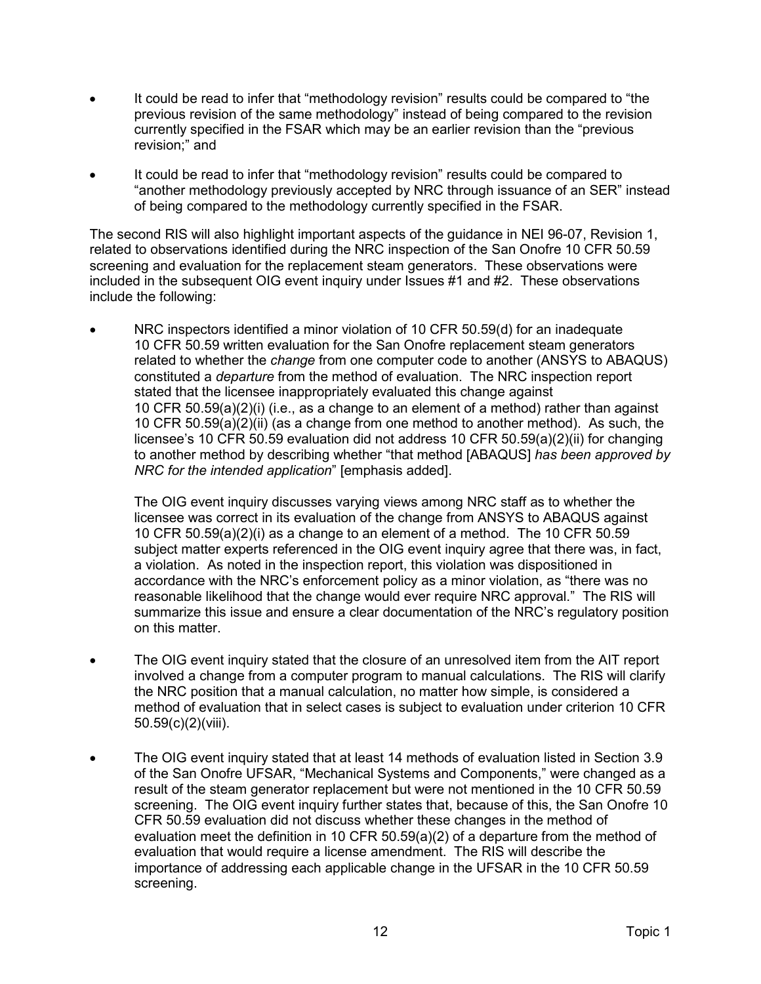- It could be read to infer that "methodology revision" results could be compared to "the previous revision of the same methodology" instead of being compared to the revision currently specified in the FSAR which may be an earlier revision than the "previous revision;" and
- It could be read to infer that "methodology revision" results could be compared to "another methodology previously accepted by NRC through issuance of an SER" instead of being compared to the methodology currently specified in the FSAR.

The second RIS will also highlight important aspects of the guidance in NEI 96-07, Revision 1, related to observations identified during the NRC inspection of the San Onofre 10 CFR 50.59 screening and evaluation for the replacement steam generators. These observations were included in the subsequent OIG event inquiry under Issues #1 and #2. These observations include the following:

• NRC inspectors identified a minor violation of 10 CFR 50.59(d) for an inadequate 10 CFR 50.59 written evaluation for the San Onofre replacement steam generators related to whether the *change* from one computer code to another (ANSYS to ABAQUS) constituted a *departure* from the method of evaluation. The NRC inspection report stated that the licensee inappropriately evaluated this change against 10 CFR 50.59(a)(2)(i) (i.e., as a change to an element of a method) rather than against 10 CFR 50.59(a)(2)(ii) (as a change from one method to another method). As such, the licensee's 10 CFR 50.59 evaluation did not address 10 CFR 50.59(a)(2)(ii) for changing to another method by describing whether "that method [ABAQUS] *has been approved by NRC for the intended application*" [emphasis added].

The OIG event inquiry discusses varying views among NRC staff as to whether the licensee was correct in its evaluation of the change from ANSYS to ABAQUS against 10 CFR 50.59(a)(2)(i) as a change to an element of a method. The 10 CFR 50.59 subject matter experts referenced in the OIG event inquiry agree that there was, in fact, a violation. As noted in the inspection report, this violation was dispositioned in accordance with the NRC's enforcement policy as a minor violation, as "there was no reasonable likelihood that the change would ever require NRC approval." The RIS will summarize this issue and ensure a clear documentation of the NRC's regulatory position on this matter.

- The OIG event inquiry stated that the closure of an unresolved item from the AIT report involved a change from a computer program to manual calculations. The RIS will clarify the NRC position that a manual calculation, no matter how simple, is considered a method of evaluation that in select cases is subject to evaluation under criterion 10 CFR 50.59(c)(2)(viii).
- The OIG event inquiry stated that at least 14 methods of evaluation listed in Section 3.9 of the San Onofre UFSAR, "Mechanical Systems and Components," were changed as a result of the steam generator replacement but were not mentioned in the 10 CFR 50.59 screening. The OIG event inquiry further states that, because of this, the San Onofre 10 CFR 50.59 evaluation did not discuss whether these changes in the method of evaluation meet the definition in 10 CFR 50.59(a)(2) of a departure from the method of evaluation that would require a license amendment. The RIS will describe the importance of addressing each applicable change in the UFSAR in the 10 CFR 50.59 screening.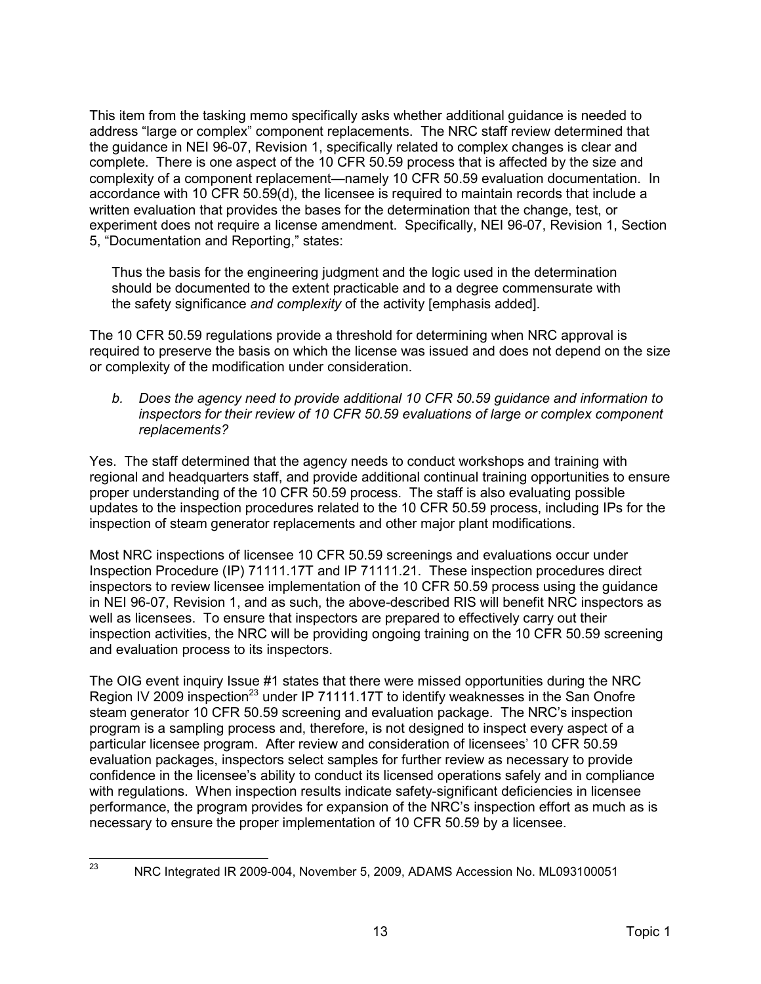This item from the tasking memo specifically asks whether additional guidance is needed to address "large or complex" component replacements. The NRC staff review determined that the guidance in NEI 96-07, Revision 1, specifically related to complex changes is clear and complete. There is one aspect of the 10 CFR 50.59 process that is affected by the size and complexity of a component replacement—namely 10 CFR 50.59 evaluation documentation. In accordance with 10 CFR 50.59(d), the licensee is required to maintain records that include a written evaluation that provides the bases for the determination that the change, test, or experiment does not require a license amendment. Specifically, NEI 96-07, Revision 1, Section 5, "Documentation and Reporting," states:

Thus the basis for the engineering judgment and the logic used in the determination should be documented to the extent practicable and to a degree commensurate with the safety significance *and complexity* of the activity [emphasis added].

The 10 CFR 50.59 regulations provide a threshold for determining when NRC approval is required to preserve the basis on which the license was issued and does not depend on the size or complexity of the modification under consideration.

*b. Does the agency need to provide additional 10 CFR 50.59 guidance and information to inspectors for their review of 10 CFR 50.59 evaluations of large or complex component replacements?*

Yes. The staff determined that the agency needs to conduct workshops and training with regional and headquarters staff, and provide additional continual training opportunities to ensure proper understanding of the 10 CFR 50.59 process. The staff is also evaluating possible updates to the inspection procedures related to the 10 CFR 50.59 process, including IPs for the inspection of steam generator replacements and other major plant modifications.

Most NRC inspections of licensee 10 CFR 50.59 screenings and evaluations occur under Inspection Procedure (IP) 71111.17T and IP 71111.21. These inspection procedures direct inspectors to review licensee implementation of the 10 CFR 50.59 process using the guidance in NEI 96-07, Revision 1, and as such, the above-described RIS will benefit NRC inspectors as well as licensees. To ensure that inspectors are prepared to effectively carry out their inspection activities, the NRC will be providing ongoing training on the 10 CFR 50.59 screening and evaluation process to its inspectors.

The OIG event inquiry Issue #1 states that there were missed opportunities during the NRC Region IV 2009 inspection<sup>23</sup> under IP 71111.17T to identify weaknesses in the San Onofre steam generator 10 CFR 50.59 screening and evaluation package. The NRC's inspection program is a sampling process and, therefore, is not designed to inspect every aspect of a particular licensee program. After review and consideration of licensees' 10 CFR 50.59 evaluation packages, inspectors select samples for further review as necessary to provide confidence in the licensee's ability to conduct its licensed operations safely and in compliance with regulations. When inspection results indicate safety-significant deficiencies in licensee performance, the program provides for expansion of the NRC's inspection effort as much as is necessary to ensure the proper implementation of 10 CFR 50.59 by a licensee.

<sup>&</sup>lt;sup>23</sup> NRC Integrated IR 2009-004, November 5, 2009, ADAMS Accession No. ML093100051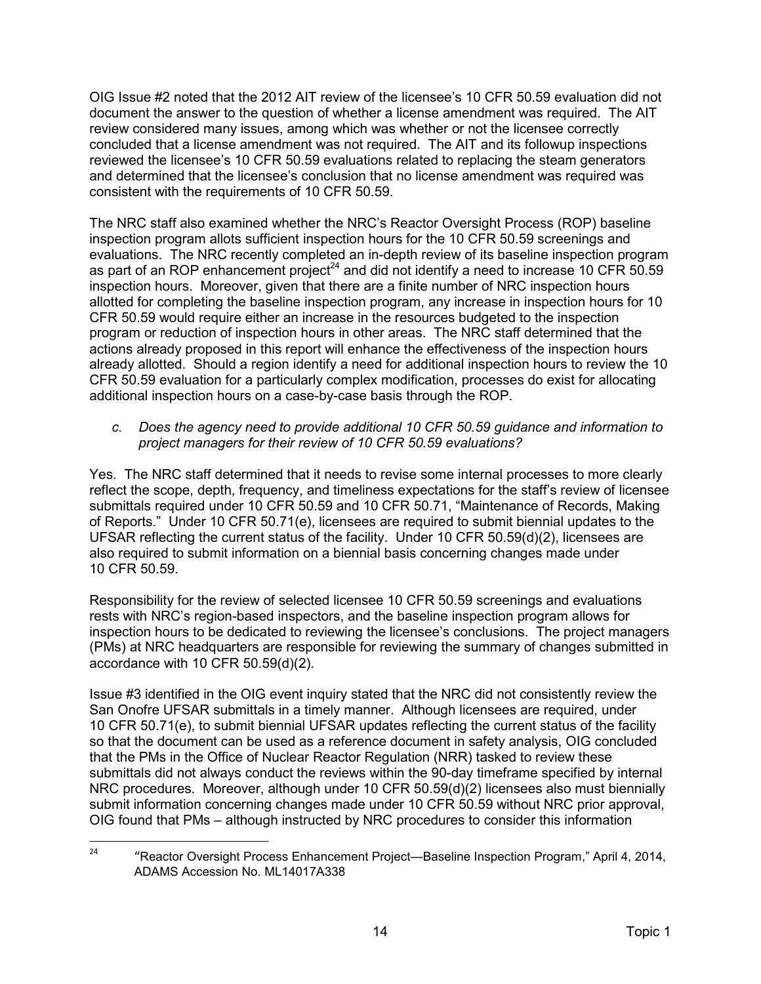OIG Issue #2 noted that the 2012 AIT review of the licensee's 10 CFR 50.59 evaluation did not document the answer to the question of whether a license amendment was required. The AIT review considered many issues, among which was whether or not the licensee correctly concluded that a license amendment was not required. The AIT and its followup inspections reviewed the licensee's 10 CFR 50.59 evaluations related to replacing the steam generators and determined that the licensee's conclusion that no license amendment was required was consistent with the requirements of 10 CFR 50.59.

The NRC staff also examined whether the NRC's Reactor Oversight Process (ROP) baseline inspection program allots sufficient inspection hours for the 10 CFR 50.59 screenings and evaluations. The NRC recently completed an in-depth review of its baseline inspection program as part of an ROP enhancement project<sup>24</sup> and did not identify a need to increase 10 CFR 50.59 inspection hours. Moreover, given that there are a finite number of NRC inspection hours allotted for completing the baseline inspection program, any increase in inspection hours for 10 CFR 50.59 would require either an increase in the resources budgeted to the inspection program or reduction of inspection hours in other areas. The NRC staff determined that the actions already proposed in this report will enhance the effectiveness of the inspection hours already allotted. Should a region identify a need for additional inspection hours to review the 10 CFR 50.59 evaluation for a particularly complex modification, processes do exist for allocating additional inspection hours on a case-by-case basis through the ROP.

#### *c. Does the agency need to provide additional 10 CFR 50.59 guidance and information to project managers for their review of 10 CFR 50.59 evaluations?*

Yes. The NRC staff determined that it needs to revise some internal processes to more clearly reflect the scope, depth, frequency, and timeliness expectations for the staff's review of licensee submittals required under 10 CFR 50.59 and 10 CFR 50.71, "Maintenance of Records, Making of Reports." Under 10 CFR 50.71(e), licensees are required to submit biennial updates to the UFSAR reflecting the current status of the facility. Under 10 CFR 50.59(d)(2), licensees are also required to submit information on a biennial basis concerning changes made under 10 CFR 50.59.

Responsibility for the review of selected licensee 10 CFR 50.59 screenings and evaluations rests with NRC's region-based inspectors, and the baseline inspection program allows for inspection hours to be dedicated to reviewing the licensee's conclusions. The project managers (PMs) at NRC headquarters are responsible for reviewing the summary of changes submitted in accordance with 10 CFR 50.59(d)(2).

Issue #3 identified in the OIG event inquiry stated that the NRC did not consistently review the San Onofre UFSAR submittals in a timely manner. Although licensees are required, under 10 CFR 50.71(e), to submit biennial UFSAR updates reflecting the current status of the facility so that the document can be used as a reference document in safety analysis, OIG concluded that the PMs in the Office of Nuclear Reactor Regulation (NRR) tasked to review these submittals did not always conduct the reviews within the 90-day timeframe specified by internal NRC procedures. Moreover, although under 10 CFR 50.59(d)(2) licensees also must biennially submit information concerning changes made under 10 CFR 50.59 without NRC prior approval, OIG found that PMs – although instructed by NRC procedures to consider this information

<sup>&</sup>lt;sup>24</sup> "Reactor Oversight Process Enhancement Project—Baseline Inspection Program," April 4, 2014, ADAMS Accession No. ML14017A338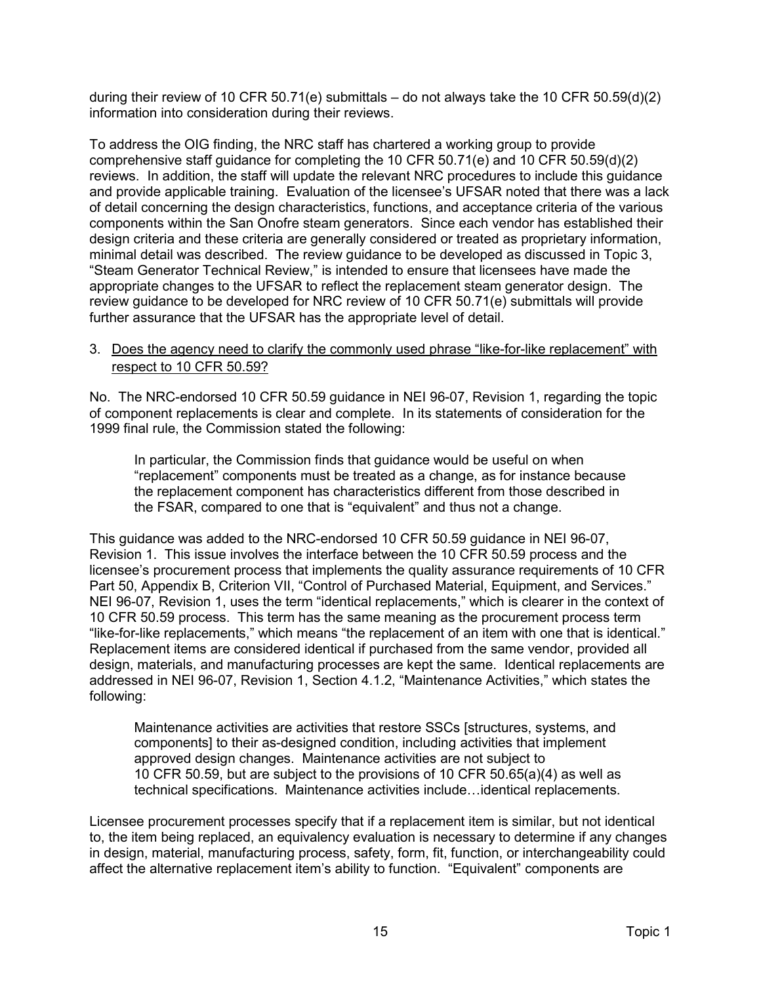during their review of 10 CFR 50.71(e) submittals – do not always take the 10 CFR 50.59(d)(2) information into consideration during their reviews.

To address the OIG finding, the NRC staff has chartered a working group to provide comprehensive staff guidance for completing the 10 CFR 50.71(e) and 10 CFR 50.59(d)(2) reviews. In addition, the staff will update the relevant NRC procedures to include this guidance and provide applicable training. Evaluation of the licensee's UFSAR noted that there was a lack of detail concerning the design characteristics, functions, and acceptance criteria of the various components within the San Onofre steam generators. Since each vendor has established their design criteria and these criteria are generally considered or treated as proprietary information, minimal detail was described. The review guidance to be developed as discussed in Topic 3, "Steam Generator Technical Review," is intended to ensure that licensees have made the appropriate changes to the UFSAR to reflect the replacement steam generator design. The review guidance to be developed for NRC review of 10 CFR 50.71(e) submittals will provide further assurance that the UFSAR has the appropriate level of detail.

#### 3. Does the agency need to clarify the commonly used phrase "like-for-like replacement" with respect to 10 CFR 50.59?

No. The NRC-endorsed 10 CFR 50.59 guidance in NEI 96-07, Revision 1, regarding the topic of component replacements is clear and complete. In its statements of consideration for the 1999 final rule, the Commission stated the following:

In particular, the Commission finds that guidance would be useful on when "replacement" components must be treated as a change, as for instance because the replacement component has characteristics different from those described in the FSAR, compared to one that is "equivalent" and thus not a change.

This guidance was added to the NRC-endorsed 10 CFR 50.59 guidance in NEI 96-07, Revision 1. This issue involves the interface between the 10 CFR 50.59 process and the licensee's procurement process that implements the quality assurance requirements of 10 CFR Part 50, Appendix B, Criterion VII, "Control of Purchased Material, Equipment, and Services." NEI 96-07, Revision 1, uses the term "identical replacements," which is clearer in the context of 10 CFR 50.59 process. This term has the same meaning as the procurement process term "like-for-like replacements," which means "the replacement of an item with one that is identical." Replacement items are considered identical if purchased from the same vendor, provided all design, materials, and manufacturing processes are kept the same. Identical replacements are addressed in NEI 96-07, Revision 1, Section 4.1.2, "Maintenance Activities," which states the following:

Maintenance activities are activities that restore SSCs [structures, systems, and components] to their as-designed condition, including activities that implement approved design changes. Maintenance activities are not subject to 10 CFR 50.59, but are subject to the provisions of 10 CFR 50.65(a)(4) as well as technical specifications. Maintenance activities include…identical replacements.

Licensee procurement processes specify that if a replacement item is similar, but not identical to, the item being replaced, an equivalency evaluation is necessary to determine if any changes in design, material, manufacturing process, safety, form, fit, function, or interchangeability could affect the alternative replacement item's ability to function. "Equivalent" components are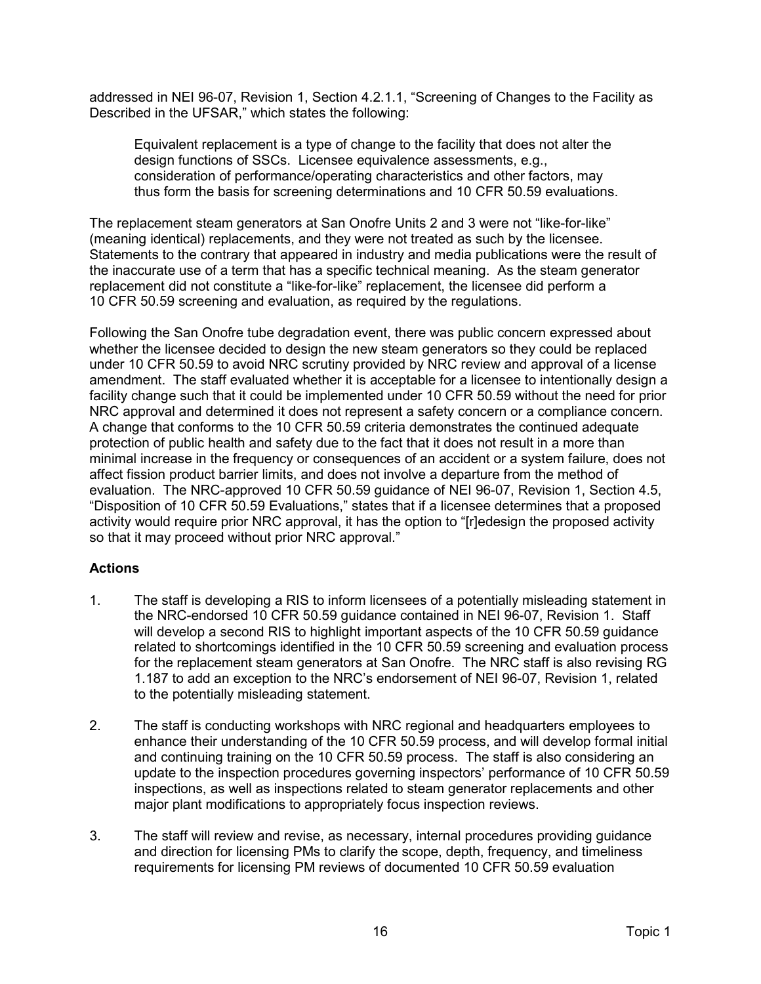addressed in NEI 96-07, Revision 1, Section 4.2.1.1, "Screening of Changes to the Facility as Described in the UFSAR," which states the following:

Equivalent replacement is a type of change to the facility that does not alter the design functions of SSCs. Licensee equivalence assessments, e.g., consideration of performance/operating characteristics and other factors, may thus form the basis for screening determinations and 10 CFR 50.59 evaluations.

The replacement steam generators at San Onofre Units 2 and 3 were not "like-for-like" (meaning identical) replacements, and they were not treated as such by the licensee. Statements to the contrary that appeared in industry and media publications were the result of the inaccurate use of a term that has a specific technical meaning. As the steam generator replacement did not constitute a "like-for-like" replacement, the licensee did perform a 10 CFR 50.59 screening and evaluation, as required by the regulations.

Following the San Onofre tube degradation event, there was public concern expressed about whether the licensee decided to design the new steam generators so they could be replaced under 10 CFR 50.59 to avoid NRC scrutiny provided by NRC review and approval of a license amendment. The staff evaluated whether it is acceptable for a licensee to intentionally design a facility change such that it could be implemented under 10 CFR 50.59 without the need for prior NRC approval and determined it does not represent a safety concern or a compliance concern. A change that conforms to the 10 CFR 50.59 criteria demonstrates the continued adequate protection of public health and safety due to the fact that it does not result in a more than minimal increase in the frequency or consequences of an accident or a system failure, does not affect fission product barrier limits, and does not involve a departure from the method of evaluation. The NRC-approved 10 CFR 50.59 guidance of NEI 96-07, Revision 1, Section 4.5, "Disposition of 10 CFR 50.59 Evaluations," states that if a licensee determines that a proposed activity would require prior NRC approval, it has the option to "[r]edesign the proposed activity so that it may proceed without prior NRC approval."

#### **Actions**

- 1. The staff is developing a RIS to inform licensees of a potentially misleading statement in the NRC-endorsed 10 CFR 50.59 guidance contained in NEI 96-07, Revision 1. Staff will develop a second RIS to highlight important aspects of the 10 CFR 50.59 guidance related to shortcomings identified in the 10 CFR 50.59 screening and evaluation process for the replacement steam generators at San Onofre. The NRC staff is also revising RG 1.187 to add an exception to the NRC's endorsement of NEI 96-07, Revision 1, related to the potentially misleading statement.
- 2. The staff is conducting workshops with NRC regional and headquarters employees to enhance their understanding of the 10 CFR 50.59 process, and will develop formal initial and continuing training on the 10 CFR 50.59 process. The staff is also considering an update to the inspection procedures governing inspectors' performance of 10 CFR 50.59 inspections, as well as inspections related to steam generator replacements and other major plant modifications to appropriately focus inspection reviews.
- 3. The staff will review and revise, as necessary, internal procedures providing guidance and direction for licensing PMs to clarify the scope, depth, frequency, and timeliness requirements for licensing PM reviews of documented 10 CFR 50.59 evaluation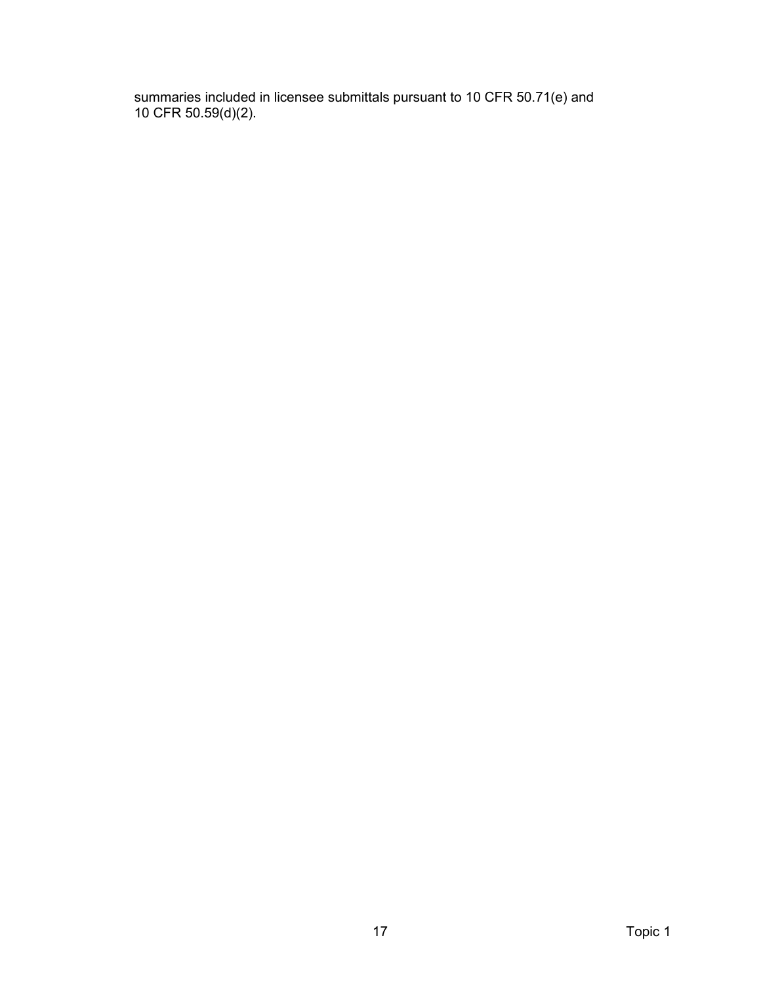summaries included in licensee submittals pursuant to 10 CFR 50.71(e) and 10 CFR 50.59(d)(2).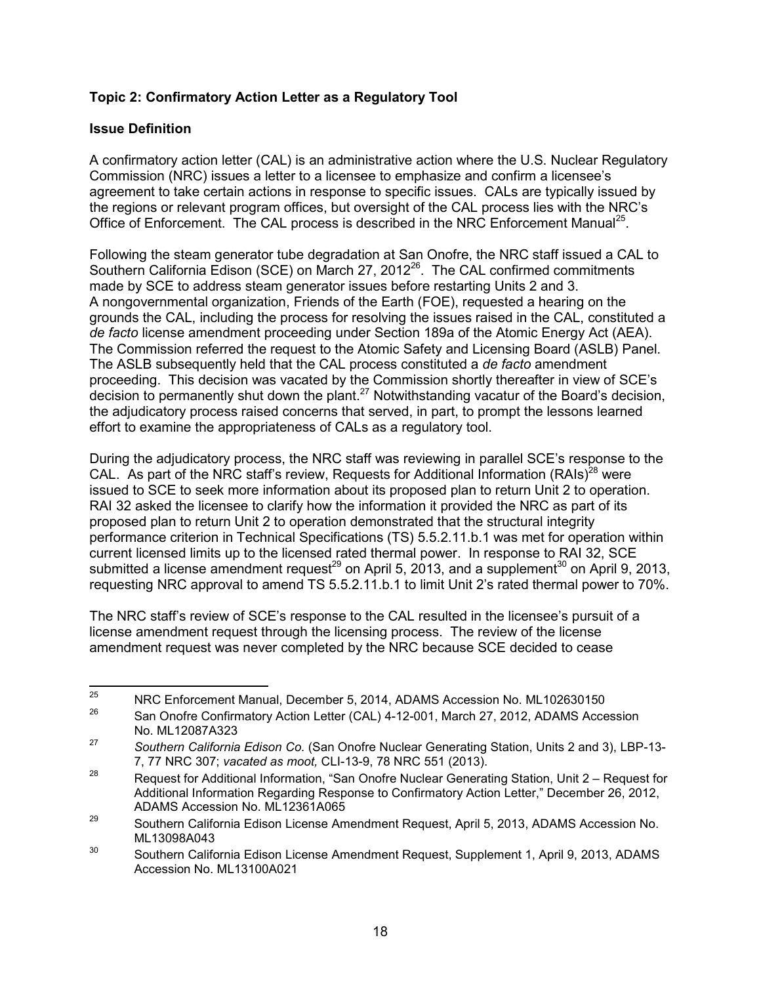# **Topic 2: Confirmatory Action Letter as a Regulatory Tool**

### **Issue Definition**

A confirmatory action letter (CAL) is an administrative action where the U.S. Nuclear Regulatory Commission (NRC) issues a letter to a licensee to emphasize and confirm a licensee's agreement to take certain actions in response to specific issues. CALs are typically issued by the regions or relevant program offices, but oversight of the CAL process lies with the NRC's Office of Enforcement. The CAL process is described in the NRC Enforcement Manual<sup>25</sup>.

Following the steam generator tube degradation at San Onofre, the NRC staff issued a CAL to Southern California Edison (SCE) on March 27, 2012<sup>26</sup>. The CAL confirmed commitments made by SCE to address steam generator issues before restarting Units 2 and 3. A nongovernmental organization, Friends of the Earth (FOE), requested a hearing on the grounds the CAL, including the process for resolving the issues raised in the CAL, constituted a *de facto* license amendment proceeding under Section 189a of the Atomic Energy Act (AEA). The Commission referred the request to the Atomic Safety and Licensing Board (ASLB) Panel. The ASLB subsequently held that the CAL process constituted a *de facto* amendment proceeding. This decision was vacated by the Commission shortly thereafter in view of SCE's decision to permanently shut down the plant.<sup>27</sup> Notwithstanding vacatur of the Board's decision, the adjudicatory process raised concerns that served, in part, to prompt the lessons learned effort to examine the appropriateness of CALs as a regulatory tool.

During the adjudicatory process, the NRC staff was reviewing in parallel SCE's response to the CAL. As part of the NRC staff's review, Requests for Additional Information (RAIs)<sup>28</sup> were issued to SCE to seek more information about its proposed plan to return Unit 2 to operation. RAI 32 asked the licensee to clarify how the information it provided the NRC as part of its proposed plan to return Unit 2 to operation demonstrated that the structural integrity performance criterion in Technical Specifications (TS) 5.5.2.11.b.1 was met for operation within current licensed limits up to the licensed rated thermal power. In response to RAI 32, SCE submitted a license amendment request<sup>29</sup> on April 5, 2013, and a supplement<sup>30</sup> on April 9, 2013, requesting NRC approval to amend TS 5.5.2.11.b.1 to limit Unit 2's rated thermal power to 70%.

The NRC staff's review of SCE's response to the CAL resulted in the licensee's pursuit of a license amendment request through the licensing process. The review of the license amendment request was never completed by the NRC because SCE decided to cease

<sup>&</sup>lt;sup>25</sup> NRC Enforcement Manual, December 5, 2014, ADAMS Accession No. ML102630150

<sup>26</sup> San Onofre Confirmatory Action Letter (CAL) 4-12-001, March 27, 2012, ADAMS Accession No. ML12087A323

<sup>27</sup> *Southern California Edison Co.* (San Onofre Nuclear Generating Station, Units 2 and 3), LBP-13- 7, 77 NRC 307; *vacated as moot,* CLI-13-9, 78 NRC 551 (2013).

<sup>&</sup>lt;sup>28</sup> Request for Additional Information, "San Onofre Nuclear Generating Station, Unit  $2 -$  Request for Additional Information Regarding Response to Confirmatory Action Letter," December 26, 2012, ADAMS Accession No. ML12361A065

 $29$  Southern California Edison License Amendment Request, April 5, 2013, ADAMS Accession No. ML13098A043

<sup>&</sup>lt;sup>30</sup> Southern California Edison License Amendment Request, Supplement 1, April 9, 2013, ADAMS Accession No. ML13100A021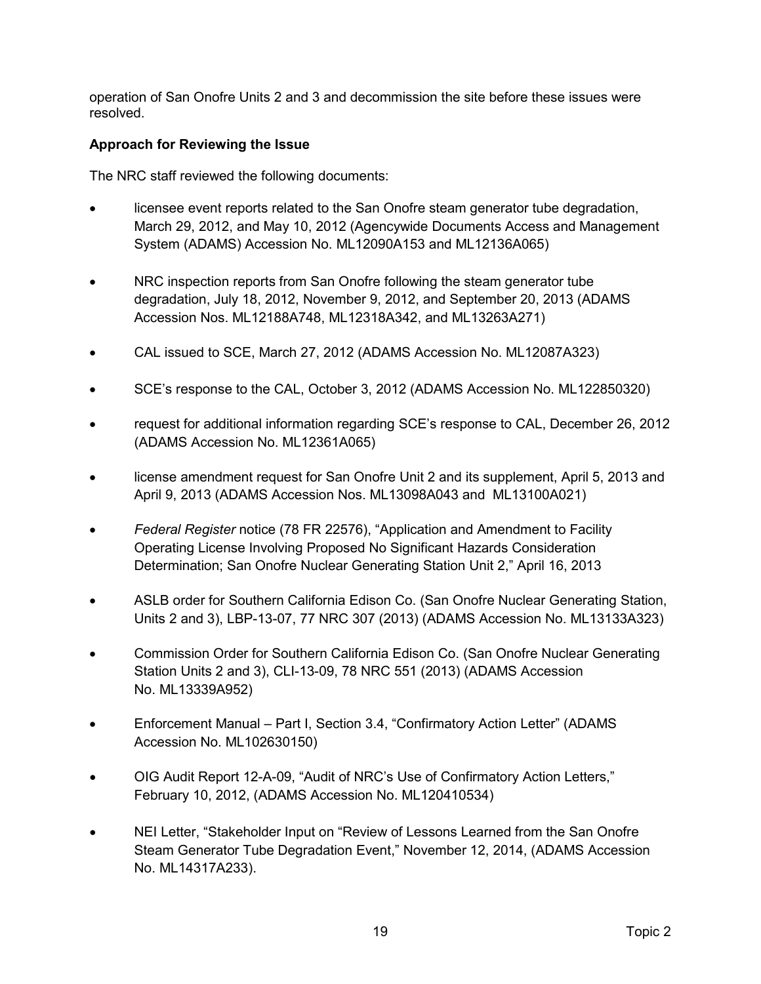operation of San Onofre Units 2 and 3 and decommission the site before these issues were resolved.

#### **Approach for Reviewing the Issue**

The NRC staff reviewed the following documents:

- licensee event reports related to the San Onofre steam generator tube degradation, March 29, 2012, and May 10, 2012 (Agencywide Documents Access and Management System (ADAMS) Accession No. ML12090A153 and ML12136A065)
- NRC inspection reports from San Onofre following the steam generator tube degradation, July 18, 2012, November 9, 2012, and September 20, 2013 (ADAMS Accession Nos. ML12188A748, ML12318A342, and ML13263A271)
- CAL issued to SCE, March 27, 2012 (ADAMS Accession No. ML12087A323)
- SCE's response to the CAL, October 3, 2012 (ADAMS Accession No. ML122850320)
- request for additional information regarding SCE's response to CAL, December 26, 2012 (ADAMS Accession No. ML12361A065)
- license amendment request for San Onofre Unit 2 and its supplement, April 5, 2013 and April 9, 2013 (ADAMS Accession Nos. ML13098A043 and ML13100A021)
- *Federal Register* notice (78 FR 22576), "Application and Amendment to Facility Operating License Involving Proposed No Significant Hazards Consideration Determination; San Onofre Nuclear Generating Station Unit 2," April 16, 2013
- ASLB order for Southern California Edison Co. (San Onofre Nuclear Generating Station, Units 2 and 3), LBP-13-07, 77 NRC 307 (2013) (ADAMS Accession No. ML13133A323)
- Commission Order for Southern California Edison Co. (San Onofre Nuclear Generating Station Units 2 and 3), CLI-13-09, 78 NRC 551 (2013) (ADAMS Accession No. ML13339A952)
- Enforcement Manual Part I, Section 3.4, "Confirmatory Action Letter" (ADAMS Accession No. ML102630150)
- OIG Audit Report 12-A-09, "Audit of NRC's Use of Confirmatory Action Letters," February 10, 2012, (ADAMS Accession No. ML120410534)
- NEI Letter, "Stakeholder Input on "Review of Lessons Learned from the San Onofre Steam Generator Tube Degradation Event," November 12, 2014, (ADAMS Accession No. ML14317A233).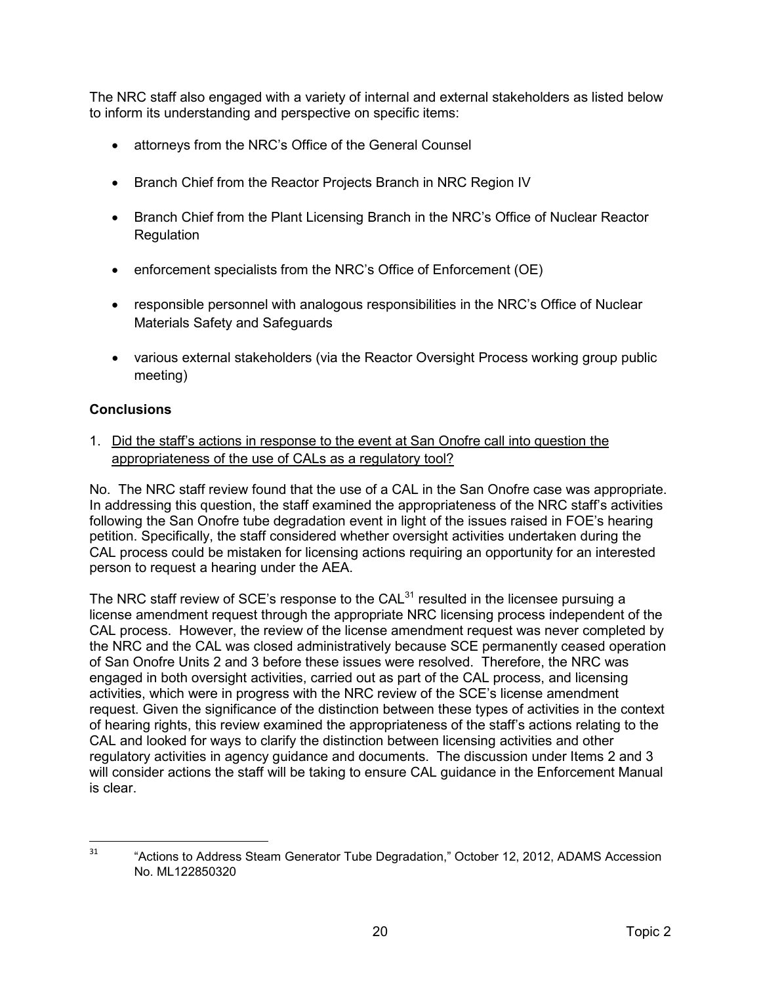The NRC staff also engaged with a variety of internal and external stakeholders as listed below to inform its understanding and perspective on specific items:

- attorneys from the NRC's Office of the General Counsel
- Branch Chief from the Reactor Projects Branch in NRC Region IV
- Branch Chief from the Plant Licensing Branch in the NRC's Office of Nuclear Reactor **Regulation**
- enforcement specialists from the NRC's Office of Enforcement (OE)
- responsible personnel with analogous responsibilities in the NRC's Office of Nuclear Materials Safety and Safeguards
- various external stakeholders (via the Reactor Oversight Process working group public meeting)

#### **Conclusions**

1. Did the staff's actions in response to the event at San Onofre call into question the appropriateness of the use of CALs as a regulatory tool?

No. The NRC staff review found that the use of a CAL in the San Onofre case was appropriate. In addressing this question, the staff examined the appropriateness of the NRC staff's activities following the San Onofre tube degradation event in light of the issues raised in FOE's hearing petition. Specifically, the staff considered whether oversight activities undertaken during the CAL process could be mistaken for licensing actions requiring an opportunity for an interested person to request a hearing under the AEA.

The NRC staff review of SCE's response to the  $CAL^{31}$  resulted in the licensee pursuing a license amendment request through the appropriate NRC licensing process independent of the CAL process. However, the review of the license amendment request was never completed by the NRC and the CAL was closed administratively because SCE permanently ceased operation of San Onofre Units 2 and 3 before these issues were resolved. Therefore, the NRC was engaged in both oversight activities, carried out as part of the CAL process, and licensing activities, which were in progress with the NRC review of the SCE's license amendment request. Given the significance of the distinction between these types of activities in the context of hearing rights, this review examined the appropriateness of the staff's actions relating to the CAL and looked for ways to clarify the distinction between licensing activities and other regulatory activities in agency guidance and documents. The discussion under Items 2 and 3 will consider actions the staff will be taking to ensure CAL guidance in the Enforcement Manual is clear.

<sup>&</sup>lt;sup>31</sup> "Actions to Address Steam Generator Tube Degradation," October 12, 2012, ADAMS Accession No. ML122850320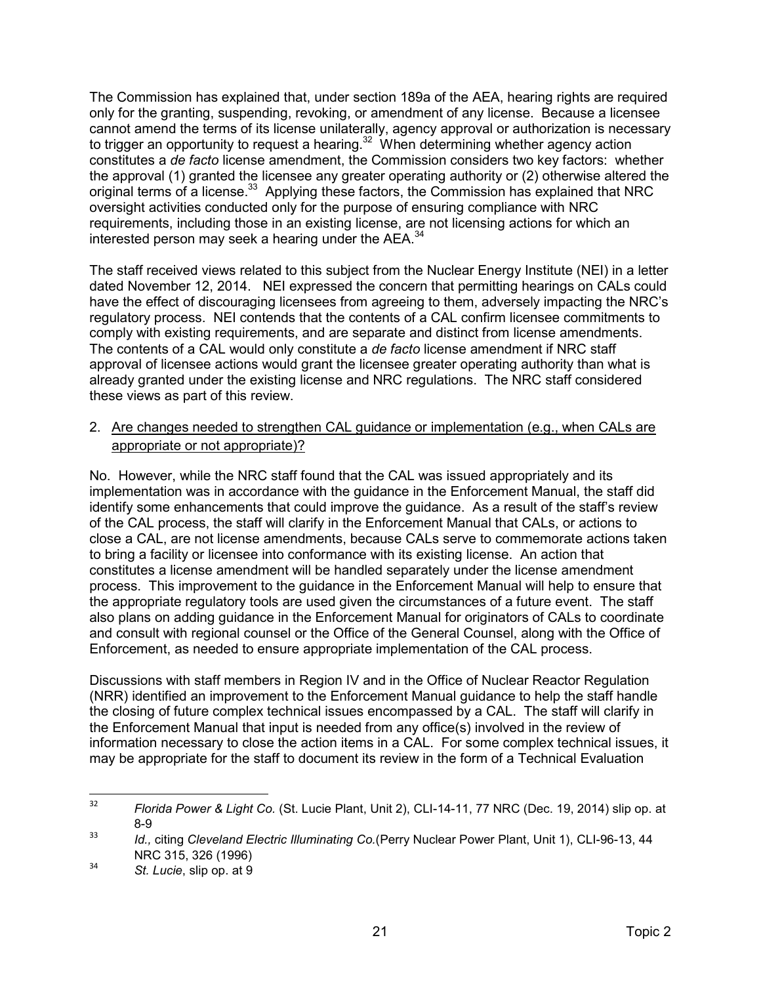The Commission has explained that, under section 189a of the AEA, hearing rights are required only for the granting, suspending, revoking, or amendment of any license. Because a licensee cannot amend the terms of its license unilaterally, agency approval or authorization is necessary to trigger an opportunity to request a hearing.<sup>32</sup> When determining whether agency action constitutes a *de facto* license amendment, the Commission considers two key factors: whether the approval (1) granted the licensee any greater operating authority or (2) otherwise altered the original terms of a license.<sup>33</sup> Applying these factors, the Commission has explained that NRC oversight activities conducted only for the purpose of ensuring compliance with NRC requirements, including those in an existing license, are not licensing actions for which an interested person may seek a hearing under the  $AEA$ <sup>34</sup>

The staff received views related to this subject from the Nuclear Energy Institute (NEI) in a letter dated November 12, 2014. NEI expressed the concern that permitting hearings on CALs could have the effect of discouraging licensees from agreeing to them, adversely impacting the NRC's regulatory process. NEI contends that the contents of a CAL confirm licensee commitments to comply with existing requirements, and are separate and distinct from license amendments. The contents of a CAL would only constitute a *de facto* license amendment if NRC staff approval of licensee actions would grant the licensee greater operating authority than what is already granted under the existing license and NRC regulations. The NRC staff considered these views as part of this review.

2. Are changes needed to strengthen CAL guidance or implementation (e.g., when CALs are appropriate or not appropriate)?

No. However, while the NRC staff found that the CAL was issued appropriately and its implementation was in accordance with the guidance in the Enforcement Manual, the staff did identify some enhancements that could improve the guidance. As a result of the staff's review of the CAL process, the staff will clarify in the Enforcement Manual that CALs, or actions to close a CAL, are not license amendments, because CALs serve to commemorate actions taken to bring a facility or licensee into conformance with its existing license. An action that constitutes a license amendment will be handled separately under the license amendment process. This improvement to the guidance in the Enforcement Manual will help to ensure that the appropriate regulatory tools are used given the circumstances of a future event. The staff also plans on adding guidance in the Enforcement Manual for originators of CALs to coordinate and consult with regional counsel or the Office of the General Counsel, along with the Office of Enforcement, as needed to ensure appropriate implementation of the CAL process.

Discussions with staff members in Region IV and in the Office of Nuclear Reactor Regulation (NRR) identified an improvement to the Enforcement Manual guidance to help the staff handle the closing of future complex technical issues encompassed by a CAL. The staff will clarify in the Enforcement Manual that input is needed from any office(s) involved in the review of information necessary to close the action items in a CAL. For some complex technical issues, it may be appropriate for the staff to document its review in the form of a Technical Evaluation

<sup>32</sup> *Florida Power & Light Co.* (St. Lucie Plant, Unit 2), CLI-14-11, 77 NRC (Dec. 19, 2014) slip op. at 8-9

<sup>33</sup> *Id.,* citing *Cleveland Electric Illuminating Co.*(Perry Nuclear Power Plant, Unit 1), CLI-96-13, 44 NRC 315, 326 (1996)

<sup>&</sup>lt;sup>34</sup> St. Lucie, slip op. at 9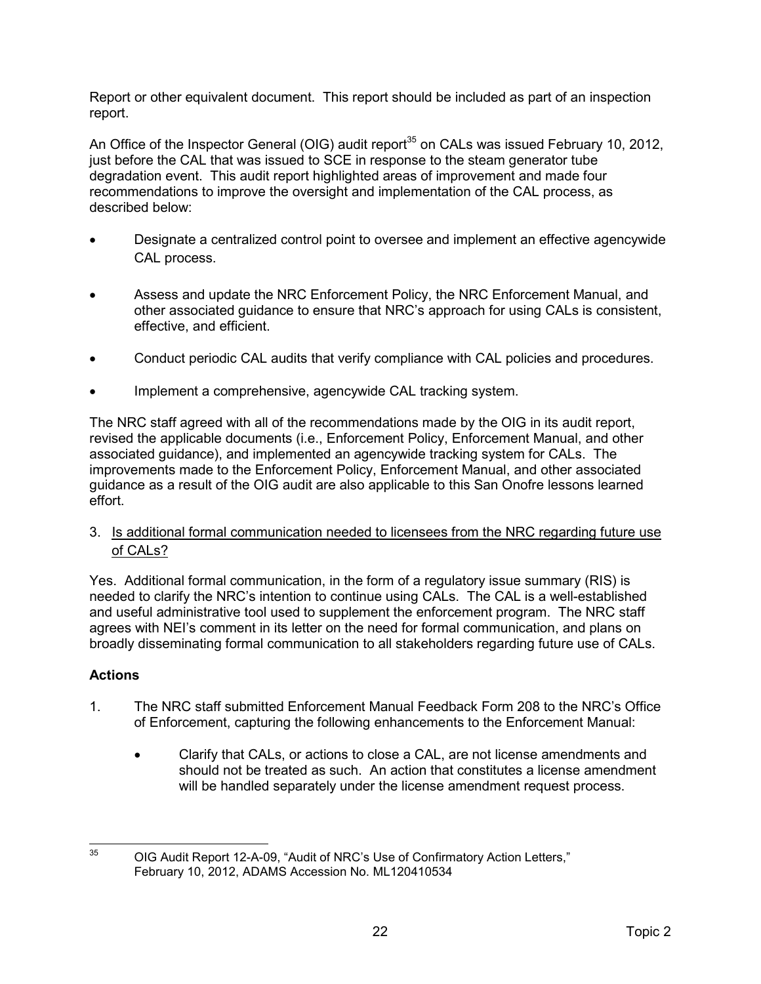Report or other equivalent document. This report should be included as part of an inspection report.

An Office of the Inspector General (OIG) audit report<sup>35</sup> on CALs was issued February 10, 2012, just before the CAL that was issued to SCE in response to the steam generator tube degradation event. This audit report highlighted areas of improvement and made four recommendations to improve the oversight and implementation of the CAL process, as described below:

- Designate a centralized control point to oversee and implement an effective agencywide CAL process.
- Assess and update the NRC Enforcement Policy, the NRC Enforcement Manual, and other associated guidance to ensure that NRC's approach for using CALs is consistent, effective, and efficient.
- Conduct periodic CAL audits that verify compliance with CAL policies and procedures.
- Implement a comprehensive, agencywide CAL tracking system.

The NRC staff agreed with all of the recommendations made by the OIG in its audit report, revised the applicable documents (i.e., Enforcement Policy, Enforcement Manual, and other associated guidance), and implemented an agencywide tracking system for CALs. The improvements made to the Enforcement Policy, Enforcement Manual, and other associated guidance as a result of the OIG audit are also applicable to this San Onofre lessons learned effort.

3. Is additional formal communication needed to licensees from the NRC regarding future use of CALs?

Yes. Additional formal communication, in the form of a regulatory issue summary (RIS) is needed to clarify the NRC's intention to continue using CALs. The CAL is a well-established and useful administrative tool used to supplement the enforcement program. The NRC staff agrees with NEI's comment in its letter on the need for formal communication, and plans on broadly disseminating formal communication to all stakeholders regarding future use of CALs.

# **Actions**

- 1. The NRC staff submitted Enforcement Manual Feedback Form 208 to the NRC's Office of Enforcement, capturing the following enhancements to the Enforcement Manual:
	- Clarify that CALs, or actions to close a CAL, are not license amendments and should not be treated as such. An action that constitutes a license amendment will be handled separately under the license amendment request process.

<sup>&</sup>lt;sup>35</sup> OIG Audit Report 12-A-09, "Audit of NRC's Use of Confirmatory Action Letters," February 10, 2012, ADAMS Accession No. ML120410534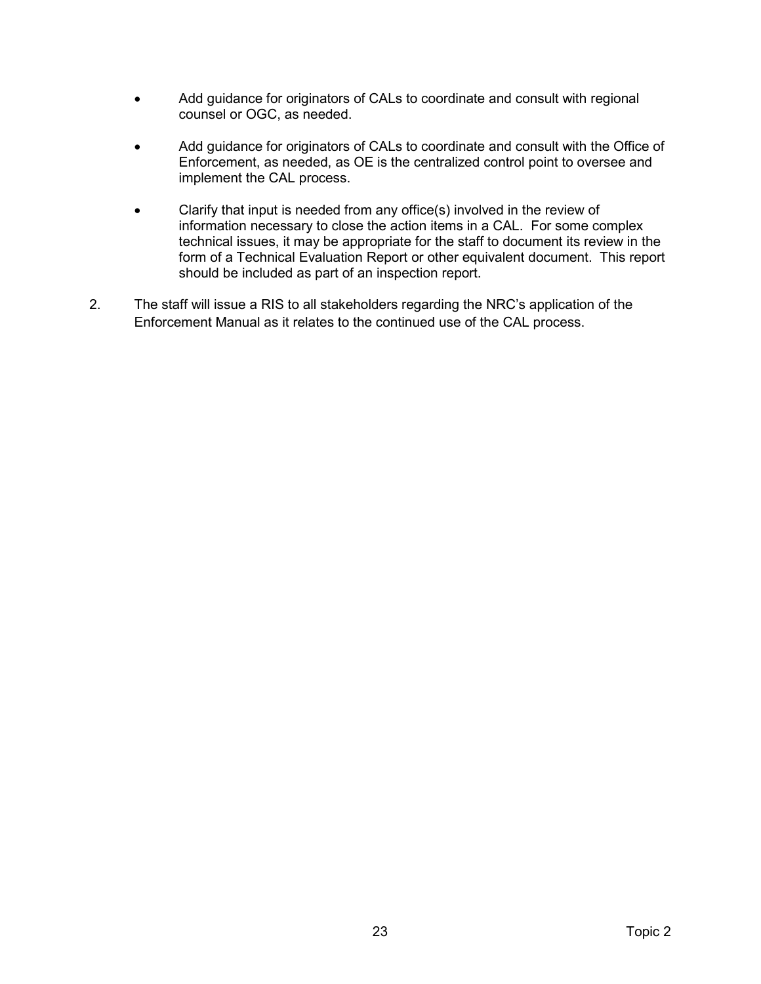- Add guidance for originators of CALs to coordinate and consult with regional counsel or OGC, as needed.
- Add guidance for originators of CALs to coordinate and consult with the Office of Enforcement, as needed, as OE is the centralized control point to oversee and implement the CAL process.
- Clarify that input is needed from any office(s) involved in the review of information necessary to close the action items in a CAL. For some complex technical issues, it may be appropriate for the staff to document its review in the form of a Technical Evaluation Report or other equivalent document. This report should be included as part of an inspection report.
- 2. The staff will issue a RIS to all stakeholders regarding the NRC's application of the Enforcement Manual as it relates to the continued use of the CAL process.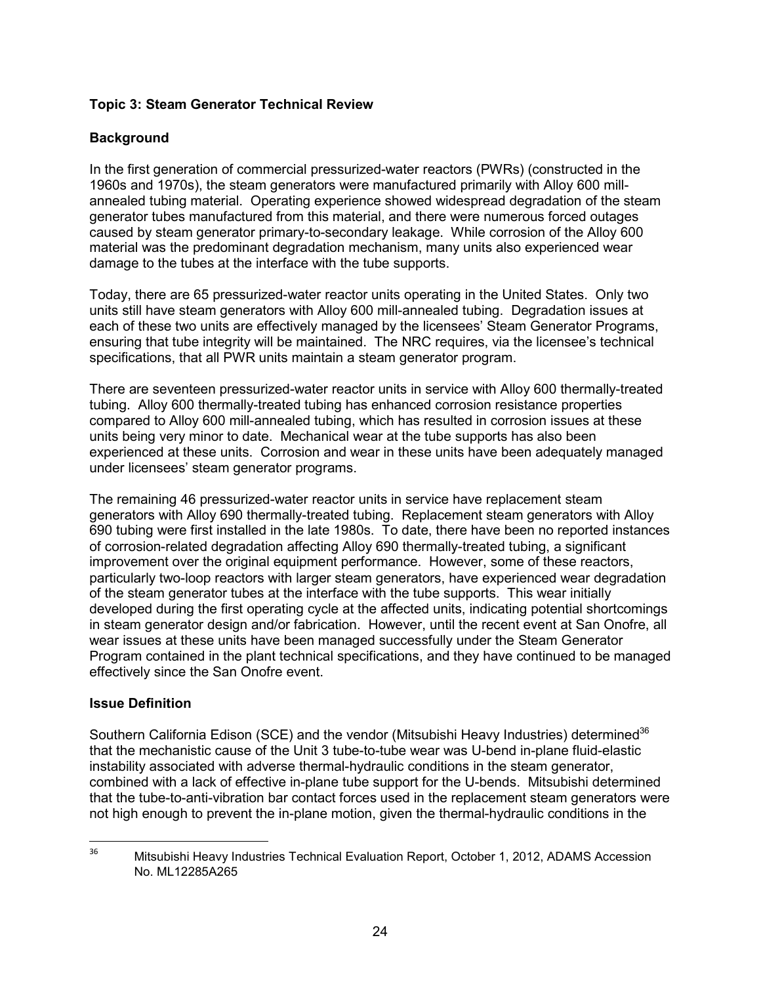#### **Topic 3: Steam Generator Technical Review**

### **Background**

In the first generation of commercial pressurized-water reactors (PWRs) (constructed in the 1960s and 1970s), the steam generators were manufactured primarily with Alloy 600 millannealed tubing material. Operating experience showed widespread degradation of the steam generator tubes manufactured from this material, and there were numerous forced outages caused by steam generator primary-to-secondary leakage. While corrosion of the Alloy 600 material was the predominant degradation mechanism, many units also experienced wear damage to the tubes at the interface with the tube supports.

Today, there are 65 pressurized-water reactor units operating in the United States. Only two units still have steam generators with Alloy 600 mill-annealed tubing. Degradation issues at each of these two units are effectively managed by the licensees' Steam Generator Programs, ensuring that tube integrity will be maintained. The NRC requires, via the licensee's technical specifications, that all PWR units maintain a steam generator program.

There are seventeen pressurized-water reactor units in service with Alloy 600 thermally-treated tubing. Alloy 600 thermally-treated tubing has enhanced corrosion resistance properties compared to Alloy 600 mill-annealed tubing, which has resulted in corrosion issues at these units being very minor to date. Mechanical wear at the tube supports has also been experienced at these units. Corrosion and wear in these units have been adequately managed under licensees' steam generator programs.

The remaining 46 pressurized-water reactor units in service have replacement steam generators with Alloy 690 thermally-treated tubing. Replacement steam generators with Alloy 690 tubing were first installed in the late 1980s. To date, there have been no reported instances of corrosion-related degradation affecting Alloy 690 thermally-treated tubing, a significant improvement over the original equipment performance. However, some of these reactors, particularly two-loop reactors with larger steam generators, have experienced wear degradation of the steam generator tubes at the interface with the tube supports. This wear initially developed during the first operating cycle at the affected units, indicating potential shortcomings in steam generator design and/or fabrication. However, until the recent event at San Onofre, all wear issues at these units have been managed successfully under the Steam Generator Program contained in the plant technical specifications, and they have continued to be managed effectively since the San Onofre event.

#### **Issue Definition**

Southern California Edison (SCE) and the vendor (Mitsubishi Heavy Industries) determined<sup>36</sup> that the mechanistic cause of the Unit 3 tube-to-tube wear was U-bend in-plane fluid-elastic instability associated with adverse thermal-hydraulic conditions in the steam generator, combined with a lack of effective in-plane tube support for the U-bends. Mitsubishi determined that the tube-to-anti-vibration bar contact forces used in the replacement steam generators were not high enough to prevent the in-plane motion, given the thermal-hydraulic conditions in the

<sup>&</sup>lt;sup>36</sup> Mitsubishi Heavy Industries Technical Evaluation Report, October 1, 2012, ADAMS Accession No. ML12285A265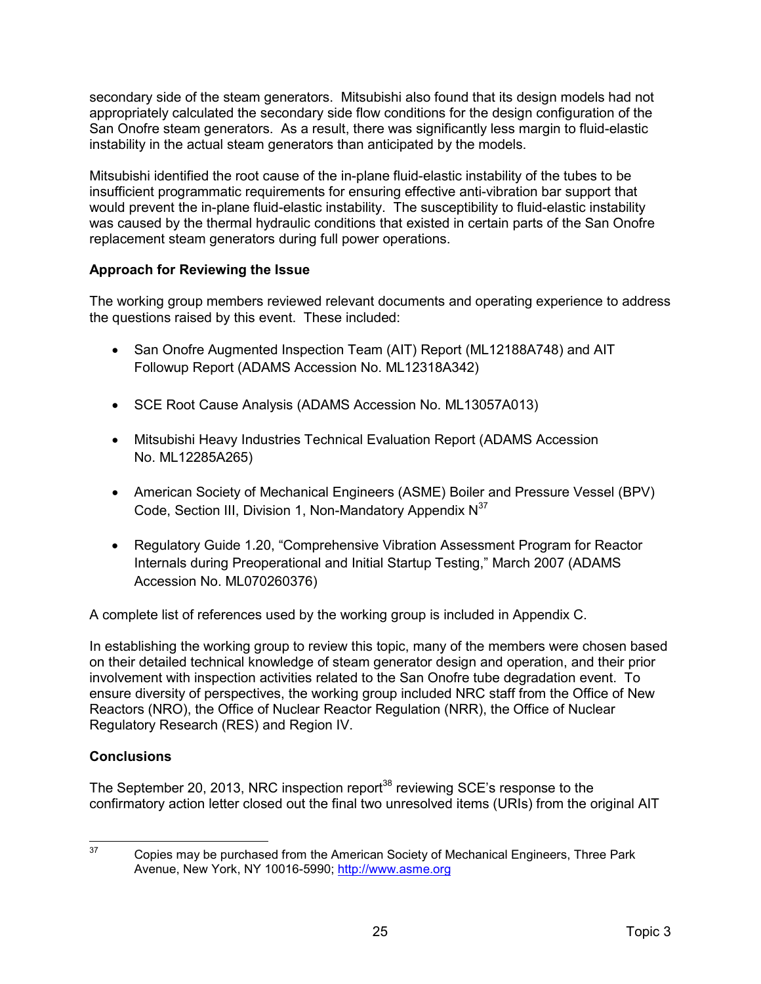secondary side of the steam generators. Mitsubishi also found that its design models had not appropriately calculated the secondary side flow conditions for the design configuration of the San Onofre steam generators. As a result, there was significantly less margin to fluid-elastic instability in the actual steam generators than anticipated by the models.

Mitsubishi identified the root cause of the in-plane fluid-elastic instability of the tubes to be insufficient programmatic requirements for ensuring effective anti-vibration bar support that would prevent the in-plane fluid-elastic instability. The susceptibility to fluid-elastic instability was caused by the thermal hydraulic conditions that existed in certain parts of the San Onofre replacement steam generators during full power operations.

# **Approach for Reviewing the Issue**

The working group members reviewed relevant documents and operating experience to address the questions raised by this event. These included:

- San Onofre Augmented Inspection Team (AIT) Report (ML12188A748) and AIT Followup Report (ADAMS Accession No. ML12318A342)
- SCE Root Cause Analysis (ADAMS Accession No. ML13057A013)
- Mitsubishi Heavy Industries Technical Evaluation Report (ADAMS Accession No. ML12285A265)
- American Society of Mechanical Engineers (ASME) Boiler and Pressure Vessel (BPV) Code, Section III, Division 1, Non-Mandatory Appendix  $N^{37}$
- Regulatory Guide 1.20, "Comprehensive Vibration Assessment Program for Reactor Internals during Preoperational and Initial Startup Testing," March 2007 (ADAMS Accession No. ML070260376)

A complete list of references used by the working group is included in Appendix C.

In establishing the working group to review this topic, many of the members were chosen based on their detailed technical knowledge of steam generator design and operation, and their prior involvement with inspection activities related to the San Onofre tube degradation event. To ensure diversity of perspectives, the working group included NRC staff from the Office of New Reactors (NRO), the Office of Nuclear Reactor Regulation (NRR), the Office of Nuclear Regulatory Research (RES) and Region IV.

# **Conclusions**

The September 20, 2013, NRC inspection report<sup>38</sup> reviewing SCE's response to the confirmatory action letter closed out the final two unresolved items (URIs) from the original AIT

<sup>&</sup>lt;sup>37</sup> Copies may be purchased from the American Society of Mechanical Engineers, Three Park Avenue, New York, NY 10016-5990; http://www.asme.org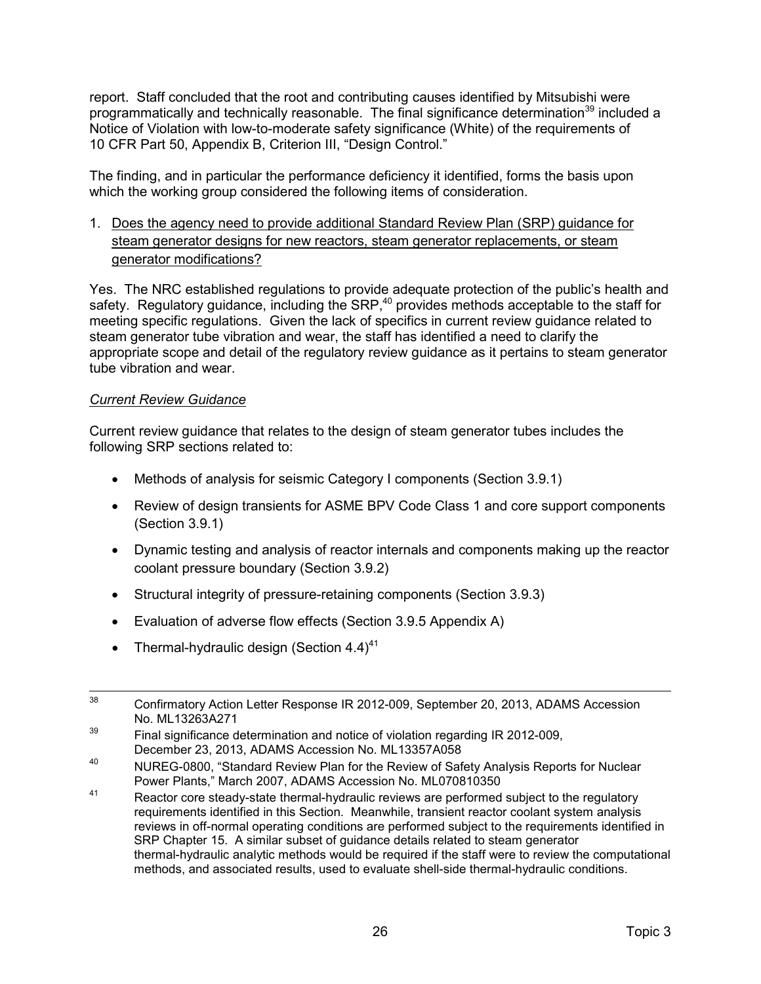report. Staff concluded that the root and contributing causes identified by Mitsubishi were programmatically and technically reasonable. The final significance determination<sup>39</sup> included a Notice of Violation with low-to-moderate safety significance (White) of the requirements of 10 CFR Part 50, Appendix B, Criterion III, "Design Control."

The finding, and in particular the performance deficiency it identified, forms the basis upon which the working group considered the following items of consideration.

1. Does the agency need to provide additional Standard Review Plan (SRP) guidance for steam generator designs for new reactors, steam generator replacements, or steam generator modifications?

Yes. The NRC established regulations to provide adequate protection of the public's health and safety. Regulatory guidance, including the SRP,<sup>40</sup> provides methods acceptable to the staff for meeting specific regulations. Given the lack of specifics in current review guidance related to steam generator tube vibration and wear, the staff has identified a need to clarify the appropriate scope and detail of the regulatory review guidance as it pertains to steam generator tube vibration and wear.

#### *Current Review Guidance*

Current review guidance that relates to the design of steam generator tubes includes the following SRP sections related to:

- Methods of analysis for seismic Category I components (Section 3.9.1)
- Review of design transients for ASME BPV Code Class 1 and core support components (Section 3.9.1)
- Dynamic testing and analysis of reactor internals and components making up the reactor coolant pressure boundary (Section 3.9.2)
- Structural integrity of pressure-retaining components (Section 3.9.3)
- Evaluation of adverse flow effects (Section 3.9.5 Appendix A)
- Thermal-hydraulic design (Section 4.4) $41$

 <sup>38</sup> Confirmatory Action Letter Response IR 2012-009, September 20, 2013, ADAMS Accession No. ML13263A271

 $39$  Final significance determination and notice of violation regarding IR 2012-009, December 23, 2013, ADAMS Accession No. ML13357A058

<sup>40</sup> NUREG-0800, "Standard Review Plan for the Review of Safety Analysis Reports for Nuclear Power Plants," March 2007, ADAMS Accession No. ML070810350

<sup>&</sup>lt;sup>41</sup> Reactor core steady-state thermal-hydraulic reviews are performed subject to the regulatory requirements identified in this Section. Meanwhile, transient reactor coolant system analysis reviews in off-normal operating conditions are performed subject to the requirements identified in SRP Chapter 15. A similar subset of guidance details related to steam generator thermal-hydraulic analytic methods would be required if the staff were to review the computational methods, and associated results, used to evaluate shell-side thermal-hydraulic conditions.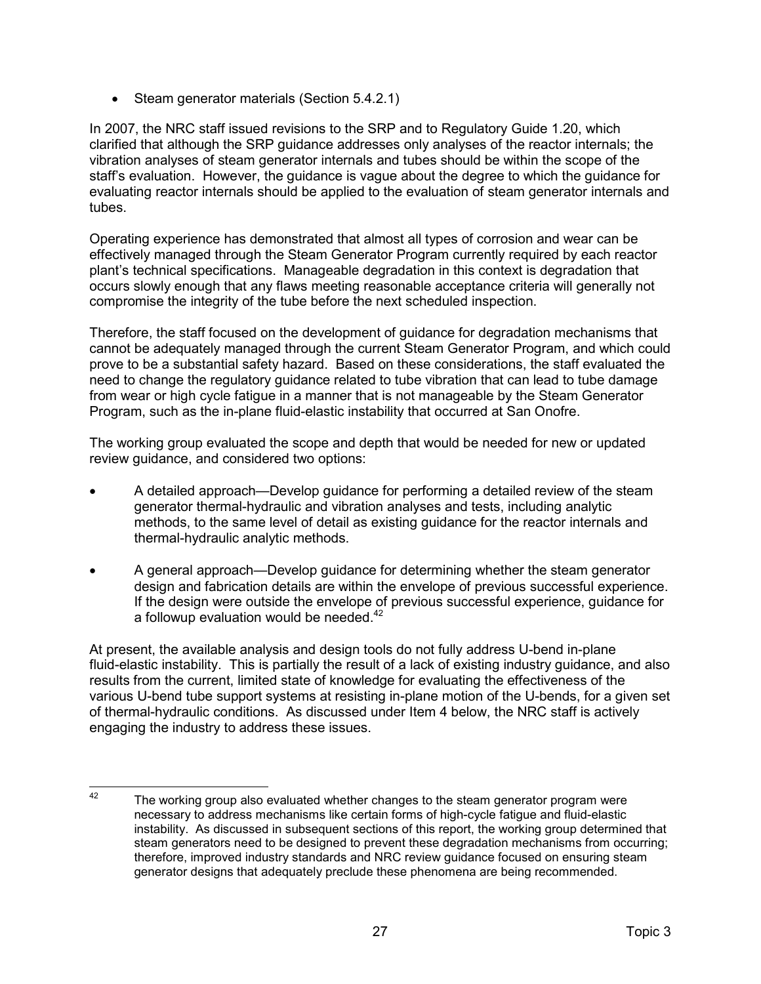• Steam generator materials (Section 5.4.2.1)

In 2007, the NRC staff issued revisions to the SRP and to Regulatory Guide 1.20, which clarified that although the SRP guidance addresses only analyses of the reactor internals; the vibration analyses of steam generator internals and tubes should be within the scope of the staff's evaluation. However, the guidance is vague about the degree to which the guidance for evaluating reactor internals should be applied to the evaluation of steam generator internals and tubes.

Operating experience has demonstrated that almost all types of corrosion and wear can be effectively managed through the Steam Generator Program currently required by each reactor plant's technical specifications. Manageable degradation in this context is degradation that occurs slowly enough that any flaws meeting reasonable acceptance criteria will generally not compromise the integrity of the tube before the next scheduled inspection.

Therefore, the staff focused on the development of guidance for degradation mechanisms that cannot be adequately managed through the current Steam Generator Program, and which could prove to be a substantial safety hazard. Based on these considerations, the staff evaluated the need to change the regulatory guidance related to tube vibration that can lead to tube damage from wear or high cycle fatigue in a manner that is not manageable by the Steam Generator Program, such as the in-plane fluid-elastic instability that occurred at San Onofre.

The working group evaluated the scope and depth that would be needed for new or updated review guidance, and considered two options:

- A detailed approach—Develop guidance for performing a detailed review of the steam generator thermal-hydraulic and vibration analyses and tests, including analytic methods, to the same level of detail as existing guidance for the reactor internals and thermal-hydraulic analytic methods.
- A general approach—Develop guidance for determining whether the steam generator design and fabrication details are within the envelope of previous successful experience. If the design were outside the envelope of previous successful experience, guidance for a followup evaluation would be needed.<sup>42</sup>

At present, the available analysis and design tools do not fully address U-bend in-plane fluid-elastic instability. This is partially the result of a lack of existing industry guidance, and also results from the current, limited state of knowledge for evaluating the effectiveness of the various U-bend tube support systems at resisting in-plane motion of the U-bends, for a given set of thermal-hydraulic conditions. As discussed under Item 4 below, the NRC staff is actively engaging the industry to address these issues.

 $42$  The working group also evaluated whether changes to the steam generator program were necessary to address mechanisms like certain forms of high-cycle fatigue and fluid-elastic instability. As discussed in subsequent sections of this report, the working group determined that steam generators need to be designed to prevent these degradation mechanisms from occurring: therefore, improved industry standards and NRC review guidance focused on ensuring steam generator designs that adequately preclude these phenomena are being recommended.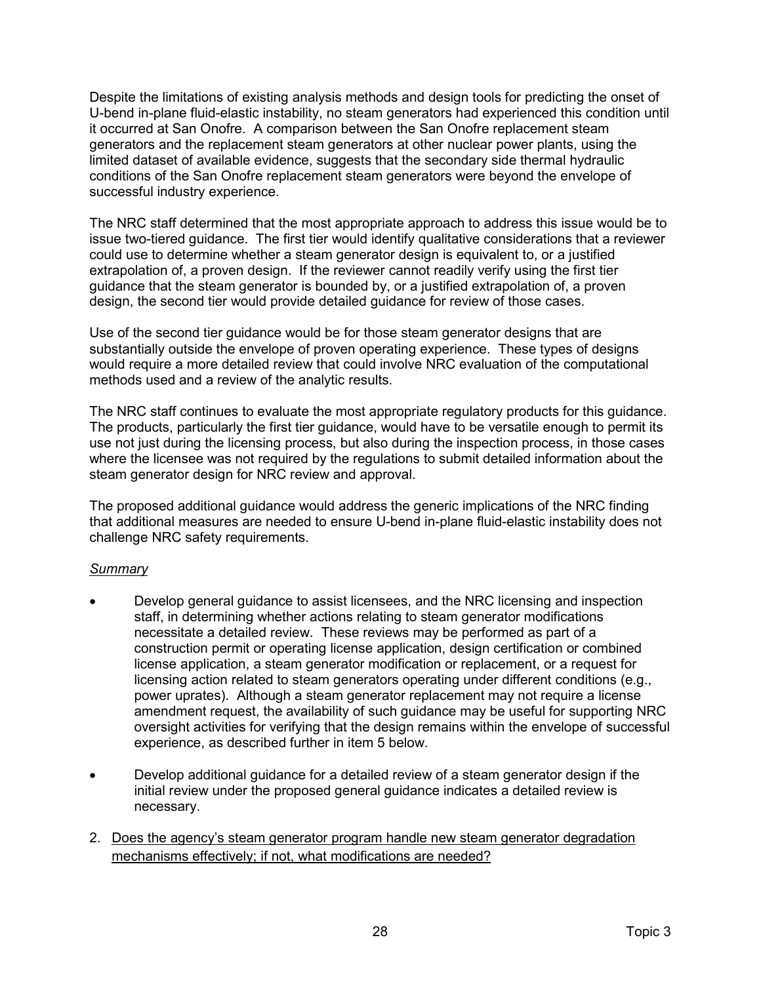Despite the limitations of existing analysis methods and design tools for predicting the onset of U-bend in-plane fluid-elastic instability, no steam generators had experienced this condition until it occurred at San Onofre. A comparison between the San Onofre replacement steam generators and the replacement steam generators at other nuclear power plants, using the limited dataset of available evidence, suggests that the secondary side thermal hydraulic conditions of the San Onofre replacement steam generators were beyond the envelope of successful industry experience.

The NRC staff determined that the most appropriate approach to address this issue would be to issue two-tiered guidance. The first tier would identify qualitative considerations that a reviewer could use to determine whether a steam generator design is equivalent to, or a justified extrapolation of, a proven design. If the reviewer cannot readily verify using the first tier guidance that the steam generator is bounded by, or a justified extrapolation of, a proven design, the second tier would provide detailed guidance for review of those cases.

Use of the second tier guidance would be for those steam generator designs that are substantially outside the envelope of proven operating experience. These types of designs would require a more detailed review that could involve NRC evaluation of the computational methods used and a review of the analytic results.

The NRC staff continues to evaluate the most appropriate regulatory products for this guidance. The products, particularly the first tier guidance, would have to be versatile enough to permit its use not just during the licensing process, but also during the inspection process, in those cases where the licensee was not required by the regulations to submit detailed information about the steam generator design for NRC review and approval.

The proposed additional guidance would address the generic implications of the NRC finding that additional measures are needed to ensure U-bend in-plane fluid-elastic instability does not challenge NRC safety requirements.

#### *Summary*

- Develop general guidance to assist licensees, and the NRC licensing and inspection staff, in determining whether actions relating to steam generator modifications necessitate a detailed review. These reviews may be performed as part of a construction permit or operating license application, design certification or combined license application, a steam generator modification or replacement, or a request for licensing action related to steam generators operating under different conditions (e.g., power uprates). Although a steam generator replacement may not require a license amendment request, the availability of such guidance may be useful for supporting NRC oversight activities for verifying that the design remains within the envelope of successful experience, as described further in item 5 below.
- Develop additional guidance for a detailed review of a steam generator design if the initial review under the proposed general guidance indicates a detailed review is necessary.
- 2. Does the agency's steam generator program handle new steam generator degradation mechanisms effectively; if not, what modifications are needed?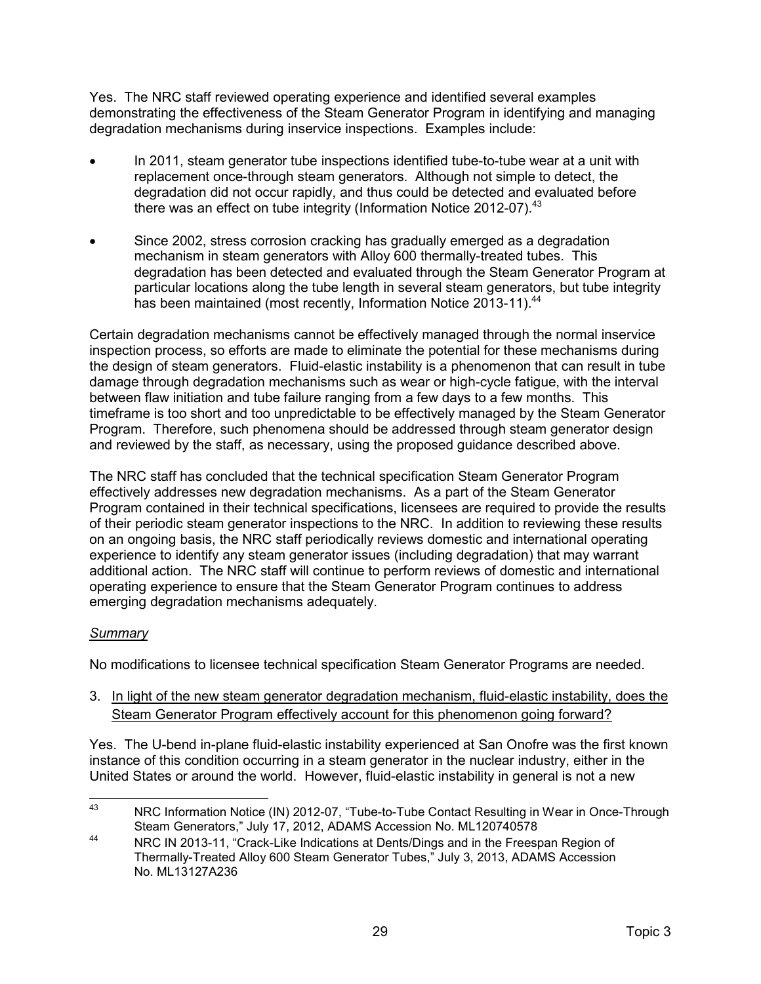Yes. The NRC staff reviewed operating experience and identified several examples demonstrating the effectiveness of the Steam Generator Program in identifying and managing degradation mechanisms during inservice inspections. Examples include:

- In 2011, steam generator tube inspections identified tube-to-tube wear at a unit with replacement once-through steam generators. Although not simple to detect, the degradation did not occur rapidly, and thus could be detected and evaluated before there was an effect on tube integrity (Information Notice 2012-07). $43$
- Since 2002, stress corrosion cracking has gradually emerged as a degradation mechanism in steam generators with Alloy 600 thermally-treated tubes. This degradation has been detected and evaluated through the Steam Generator Program at particular locations along the tube length in several steam generators, but tube integrity has been maintained (most recently, Information Notice 2013-11).<sup>44</sup>

Certain degradation mechanisms cannot be effectively managed through the normal inservice inspection process, so efforts are made to eliminate the potential for these mechanisms during the design of steam generators. Fluid-elastic instability is a phenomenon that can result in tube damage through degradation mechanisms such as wear or high-cycle fatigue, with the interval between flaw initiation and tube failure ranging from a few days to a few months. This timeframe is too short and too unpredictable to be effectively managed by the Steam Generator Program. Therefore, such phenomena should be addressed through steam generator design and reviewed by the staff, as necessary, using the proposed guidance described above.

The NRC staff has concluded that the technical specification Steam Generator Program effectively addresses new degradation mechanisms. As a part of the Steam Generator Program contained in their technical specifications, licensees are required to provide the results of their periodic steam generator inspections to the NRC. In addition to reviewing these results on an ongoing basis, the NRC staff periodically reviews domestic and international operating experience to identify any steam generator issues (including degradation) that may warrant additional action. The NRC staff will continue to perform reviews of domestic and international operating experience to ensure that the Steam Generator Program continues to address emerging degradation mechanisms adequately.

# *Summary*

No modifications to licensee technical specification Steam Generator Programs are needed.

#### 3. In light of the new steam generator degradation mechanism, fluid-elastic instability, does the Steam Generator Program effectively account for this phenomenon going forward?

Yes. The U-bend in-plane fluid-elastic instability experienced at San Onofre was the first known instance of this condition occurring in a steam generator in the nuclear industry, either in the United States or around the world. However, fluid-elastic instability in general is not a new

<sup>&</sup>lt;sup>43</sup> NRC Information Notice (IN) 2012-07, "Tube-to-Tube Contact Resulting in Wear in Once-Through Steam Generators," July 17, 2012, ADAMS Accession No. ML120740578

<sup>44</sup> NRC IN 2013-11, "Crack-Like Indications at Dents/Dings and in the Freespan Region of Thermally-Treated Alloy 600 Steam Generator Tubes," July 3, 2013, ADAMS Accession No. ML13127A236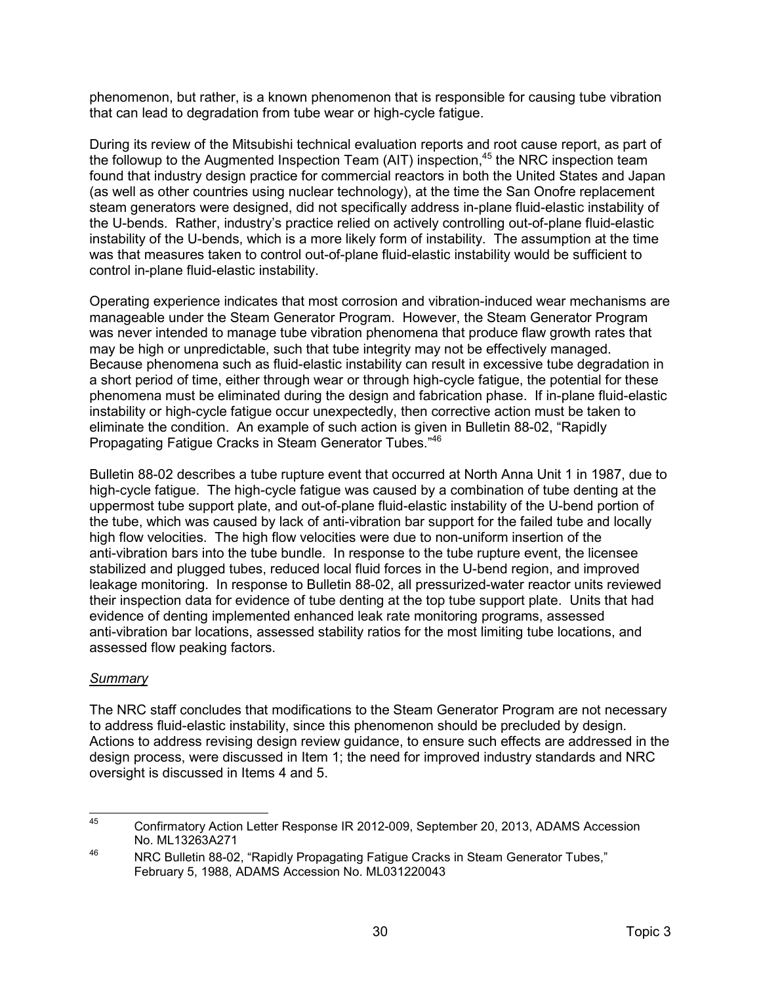phenomenon, but rather, is a known phenomenon that is responsible for causing tube vibration that can lead to degradation from tube wear or high-cycle fatigue.

During its review of the Mitsubishi technical evaluation reports and root cause report, as part of the followup to the Augmented Inspection Team (AIT) inspection,<sup>45</sup> the NRC inspection team found that industry design practice for commercial reactors in both the United States and Japan (as well as other countries using nuclear technology), at the time the San Onofre replacement steam generators were designed, did not specifically address in-plane fluid-elastic instability of the U-bends. Rather, industry's practice relied on actively controlling out-of-plane fluid-elastic instability of the U-bends, which is a more likely form of instability. The assumption at the time was that measures taken to control out-of-plane fluid-elastic instability would be sufficient to control in-plane fluid-elastic instability.

Operating experience indicates that most corrosion and vibration-induced wear mechanisms are manageable under the Steam Generator Program. However, the Steam Generator Program was never intended to manage tube vibration phenomena that produce flaw growth rates that may be high or unpredictable, such that tube integrity may not be effectively managed. Because phenomena such as fluid-elastic instability can result in excessive tube degradation in a short period of time, either through wear or through high-cycle fatigue, the potential for these phenomena must be eliminated during the design and fabrication phase. If in-plane fluid-elastic instability or high-cycle fatigue occur unexpectedly, then corrective action must be taken to eliminate the condition. An example of such action is given in Bulletin 88-02, "Rapidly Propagating Fatigue Cracks in Steam Generator Tubes."46

Bulletin 88-02 describes a tube rupture event that occurred at North Anna Unit 1 in 1987, due to high-cycle fatigue. The high-cycle fatigue was caused by a combination of tube denting at the uppermost tube support plate, and out-of-plane fluid-elastic instability of the U-bend portion of the tube, which was caused by lack of anti-vibration bar support for the failed tube and locally high flow velocities. The high flow velocities were due to non-uniform insertion of the anti-vibration bars into the tube bundle. In response to the tube rupture event, the licensee stabilized and plugged tubes, reduced local fluid forces in the U-bend region, and improved leakage monitoring. In response to Bulletin 88-02, all pressurized-water reactor units reviewed their inspection data for evidence of tube denting at the top tube support plate. Units that had evidence of denting implemented enhanced leak rate monitoring programs, assessed anti-vibration bar locations, assessed stability ratios for the most limiting tube locations, and assessed flow peaking factors.

#### *Summary*

The NRC staff concludes that modifications to the Steam Generator Program are not necessary to address fluid-elastic instability, since this phenomenon should be precluded by design. Actions to address revising design review guidance, to ensure such effects are addressed in the design process, were discussed in Item 1; the need for improved industry standards and NRC oversight is discussed in Items 4 and 5.

 <sup>45</sup> Confirmatory Action Letter Response IR 2012-009, September 20, 2013, ADAMS Accession No. ML13263A271

<sup>46</sup> NRC Bulletin 88-02, "Rapidly Propagating Fatigue Cracks in Steam Generator Tubes," February 5, 1988, ADAMS Accession No. ML031220043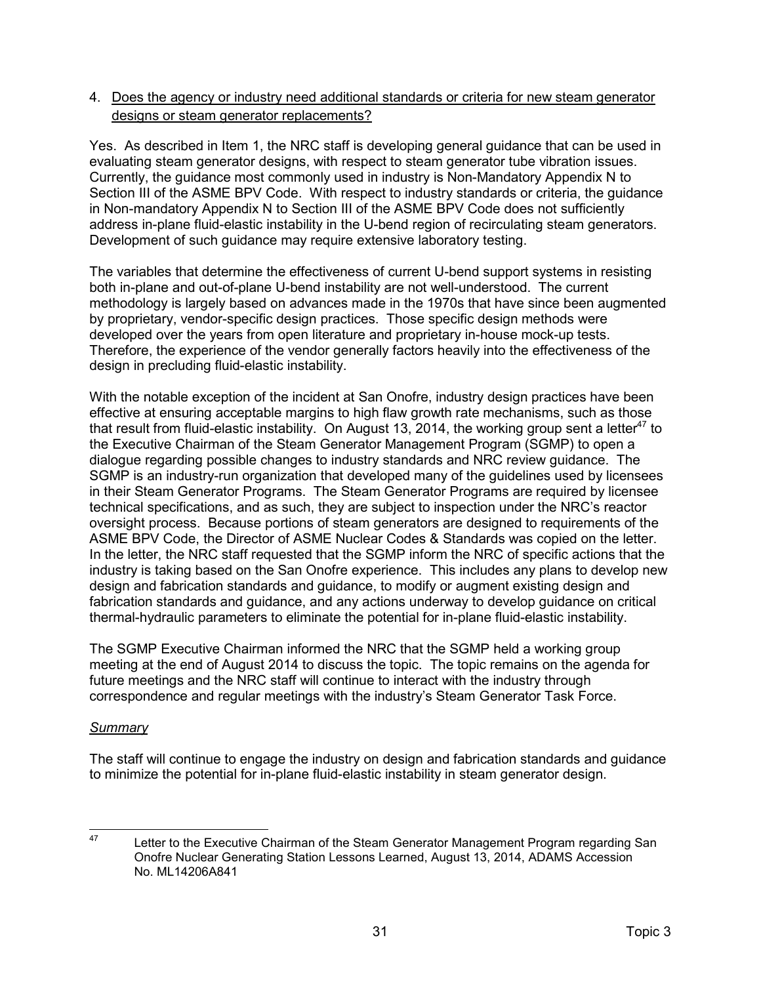#### 4. Does the agency or industry need additional standards or criteria for new steam generator designs or steam generator replacements?

Yes. As described in Item 1, the NRC staff is developing general guidance that can be used in evaluating steam generator designs, with respect to steam generator tube vibration issues. Currently, the guidance most commonly used in industry is Non-Mandatory Appendix N to Section III of the ASME BPV Code. With respect to industry standards or criteria, the guidance in Non-mandatory Appendix N to Section III of the ASME BPV Code does not sufficiently address in-plane fluid-elastic instability in the U-bend region of recirculating steam generators. Development of such guidance may require extensive laboratory testing.

The variables that determine the effectiveness of current U-bend support systems in resisting both in-plane and out-of-plane U-bend instability are not well-understood. The current methodology is largely based on advances made in the 1970s that have since been augmented by proprietary, vendor-specific design practices. Those specific design methods were developed over the years from open literature and proprietary in-house mock-up tests. Therefore, the experience of the vendor generally factors heavily into the effectiveness of the design in precluding fluid-elastic instability.

With the notable exception of the incident at San Onofre, industry design practices have been effective at ensuring acceptable margins to high flaw growth rate mechanisms, such as those that result from fluid-elastic instability. On August 13, 2014, the working group sent a letter<sup>47</sup> to the Executive Chairman of the Steam Generator Management Program (SGMP) to open a dialogue regarding possible changes to industry standards and NRC review guidance. The SGMP is an industry-run organization that developed many of the guidelines used by licensees in their Steam Generator Programs. The Steam Generator Programs are required by licensee technical specifications, and as such, they are subject to inspection under the NRC's reactor oversight process. Because portions of steam generators are designed to requirements of the ASME BPV Code, the Director of ASME Nuclear Codes & Standards was copied on the letter. In the letter, the NRC staff requested that the SGMP inform the NRC of specific actions that the industry is taking based on the San Onofre experience. This includes any plans to develop new design and fabrication standards and guidance, to modify or augment existing design and fabrication standards and guidance, and any actions underway to develop guidance on critical thermal-hydraulic parameters to eliminate the potential for in-plane fluid-elastic instability.

The SGMP Executive Chairman informed the NRC that the SGMP held a working group meeting at the end of August 2014 to discuss the topic. The topic remains on the agenda for future meetings and the NRC staff will continue to interact with the industry through correspondence and regular meetings with the industry's Steam Generator Task Force.

#### *Summary*

The staff will continue to engage the industry on design and fabrication standards and guidance to minimize the potential for in-plane fluid-elastic instability in steam generator design.

<sup>&</sup>lt;sup>47</sup> Letter to the Executive Chairman of the Steam Generator Management Program regarding San Onofre Nuclear Generating Station Lessons Learned, August 13, 2014, ADAMS Accession No. ML14206A841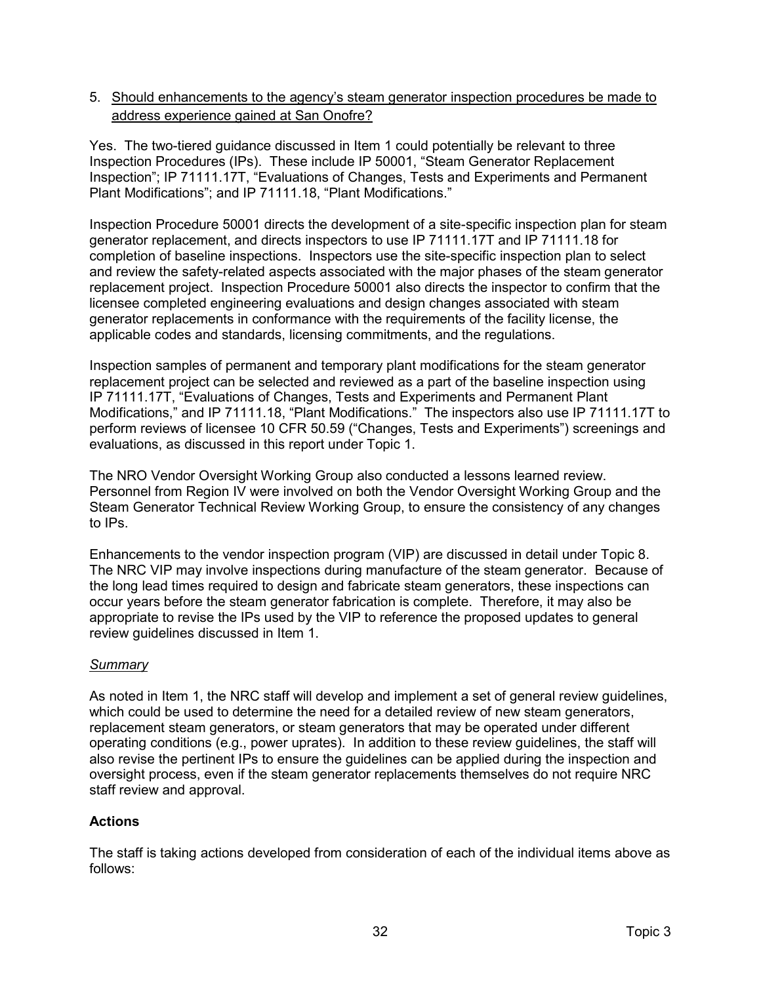#### 5. Should enhancements to the agency's steam generator inspection procedures be made to address experience gained at San Onofre?

Yes. The two-tiered guidance discussed in Item 1 could potentially be relevant to three Inspection Procedures (IPs). These include IP 50001, "Steam Generator Replacement Inspection"; IP 71111.17T, "Evaluations of Changes, Tests and Experiments and Permanent Plant Modifications"; and IP 71111.18, "Plant Modifications."

Inspection Procedure 50001 directs the development of a site-specific inspection plan for steam generator replacement, and directs inspectors to use IP 71111.17T and IP 71111.18 for completion of baseline inspections. Inspectors use the site-specific inspection plan to select and review the safety-related aspects associated with the major phases of the steam generator replacement project. Inspection Procedure 50001 also directs the inspector to confirm that the licensee completed engineering evaluations and design changes associated with steam generator replacements in conformance with the requirements of the facility license, the applicable codes and standards, licensing commitments, and the regulations.

Inspection samples of permanent and temporary plant modifications for the steam generator replacement project can be selected and reviewed as a part of the baseline inspection using IP 71111.17T, "Evaluations of Changes, Tests and Experiments and Permanent Plant Modifications," and IP 71111.18, "Plant Modifications." The inspectors also use IP 71111.17T to perform reviews of licensee 10 CFR 50.59 ("Changes, Tests and Experiments") screenings and evaluations, as discussed in this report under Topic 1.

The NRO Vendor Oversight Working Group also conducted a lessons learned review. Personnel from Region IV were involved on both the Vendor Oversight Working Group and the Steam Generator Technical Review Working Group, to ensure the consistency of any changes to IPs.

Enhancements to the vendor inspection program (VIP) are discussed in detail under Topic 8. The NRC VIP may involve inspections during manufacture of the steam generator. Because of the long lead times required to design and fabricate steam generators, these inspections can occur years before the steam generator fabrication is complete. Therefore, it may also be appropriate to revise the IPs used by the VIP to reference the proposed updates to general review guidelines discussed in Item 1.

#### *Summary*

As noted in Item 1, the NRC staff will develop and implement a set of general review guidelines, which could be used to determine the need for a detailed review of new steam generators, replacement steam generators, or steam generators that may be operated under different operating conditions (e.g., power uprates). In addition to these review guidelines, the staff will also revise the pertinent IPs to ensure the guidelines can be applied during the inspection and oversight process, even if the steam generator replacements themselves do not require NRC staff review and approval.

#### **Actions**

The staff is taking actions developed from consideration of each of the individual items above as follows: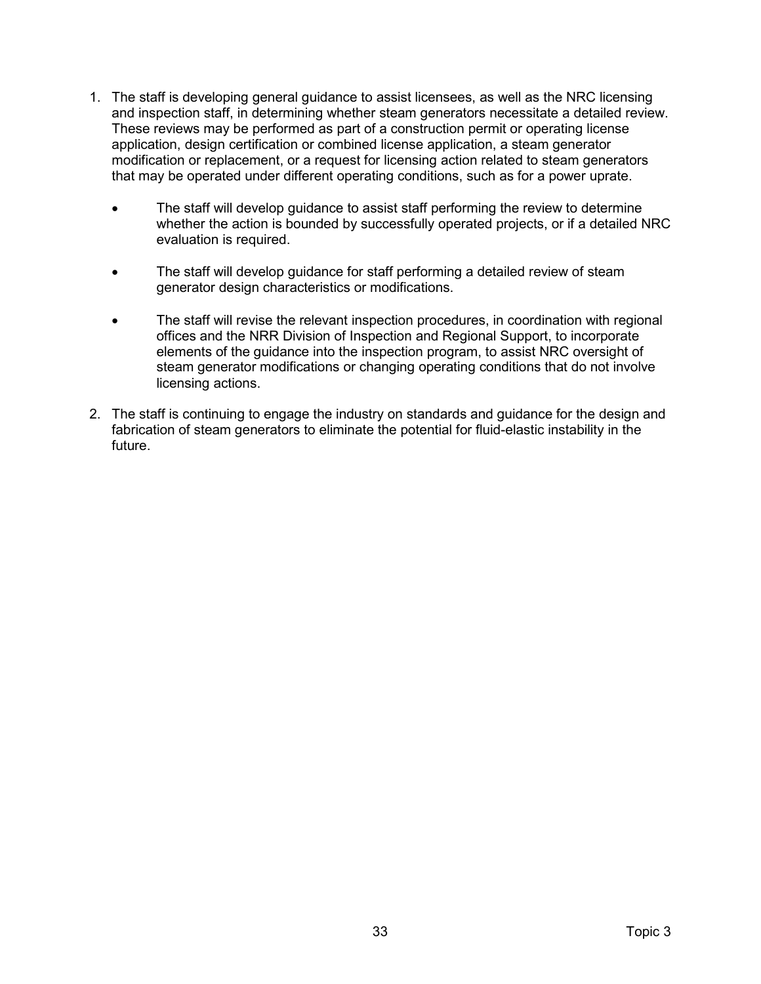- 1. The staff is developing general guidance to assist licensees, as well as the NRC licensing and inspection staff, in determining whether steam generators necessitate a detailed review. These reviews may be performed as part of a construction permit or operating license application, design certification or combined license application, a steam generator modification or replacement, or a request for licensing action related to steam generators that may be operated under different operating conditions, such as for a power uprate.
	- The staff will develop guidance to assist staff performing the review to determine whether the action is bounded by successfully operated projects, or if a detailed NRC evaluation is required.
	- The staff will develop guidance for staff performing a detailed review of steam generator design characteristics or modifications.
	- The staff will revise the relevant inspection procedures, in coordination with regional offices and the NRR Division of Inspection and Regional Support, to incorporate elements of the guidance into the inspection program, to assist NRC oversight of steam generator modifications or changing operating conditions that do not involve licensing actions.
- 2. The staff is continuing to engage the industry on standards and guidance for the design and fabrication of steam generators to eliminate the potential for fluid-elastic instability in the future.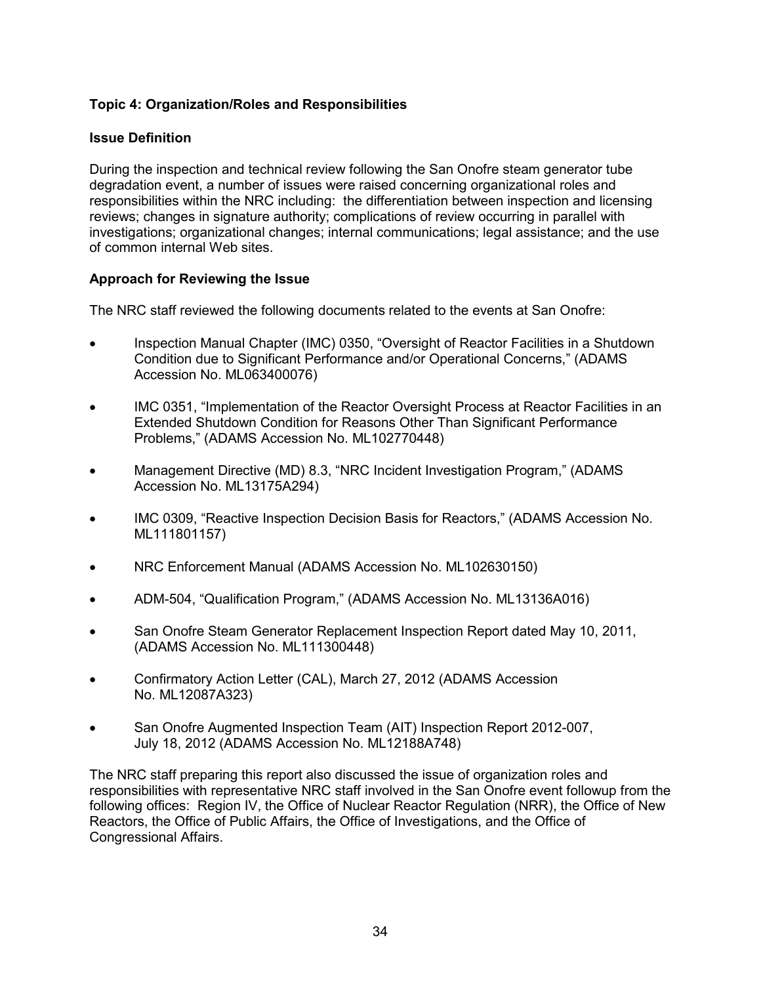#### **Topic 4: Organization/Roles and Responsibilities**

#### **Issue Definition**

During the inspection and technical review following the San Onofre steam generator tube degradation event, a number of issues were raised concerning organizational roles and responsibilities within the NRC including: the differentiation between inspection and licensing reviews; changes in signature authority; complications of review occurring in parallel with investigations; organizational changes; internal communications; legal assistance; and the use of common internal Web sites.

#### **Approach for Reviewing the Issue**

The NRC staff reviewed the following documents related to the events at San Onofre:

- Inspection Manual Chapter (IMC) 0350, "Oversight of Reactor Facilities in a Shutdown Condition due to Significant Performance and/or Operational Concerns," (ADAMS Accession No. ML063400076)
- IMC 0351, "Implementation of the Reactor Oversight Process at Reactor Facilities in an Extended Shutdown Condition for Reasons Other Than Significant Performance Problems," (ADAMS Accession No. ML102770448)
- Management Directive (MD) 8.3, "NRC Incident Investigation Program," (ADAMS Accession No. ML13175A294)
- IMC 0309, "Reactive Inspection Decision Basis for Reactors," (ADAMS Accession No. ML111801157)
- NRC Enforcement Manual (ADAMS Accession No. ML102630150)
- ADM-504, "Qualification Program," (ADAMS Accession No. ML13136A016)
- San Onofre Steam Generator Replacement Inspection Report dated May 10, 2011, (ADAMS Accession No. ML111300448)
- Confirmatory Action Letter (CAL), March 27, 2012 (ADAMS Accession No. ML12087A323)
- San Onofre Augmented Inspection Team (AIT) Inspection Report 2012-007, July 18, 2012 (ADAMS Accession No. ML12188A748)

The NRC staff preparing this report also discussed the issue of organization roles and responsibilities with representative NRC staff involved in the San Onofre event followup from the following offices: Region IV, the Office of Nuclear Reactor Regulation (NRR), the Office of New Reactors, the Office of Public Affairs, the Office of Investigations, and the Office of Congressional Affairs.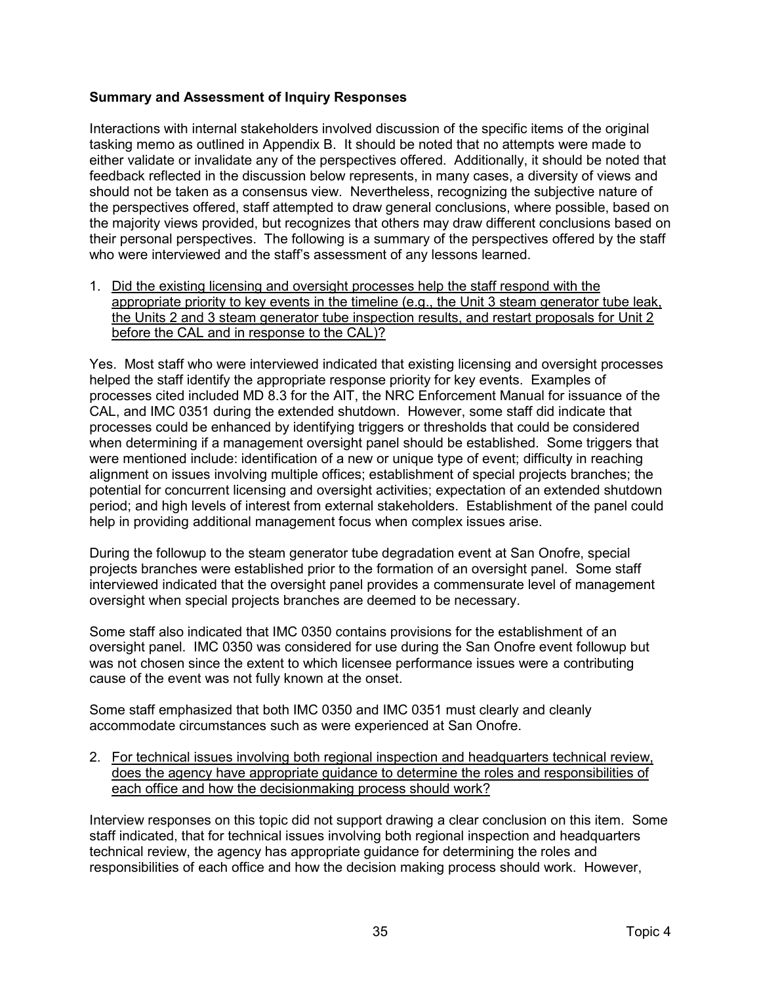#### **Summary and Assessment of Inquiry Responses**

Interactions with internal stakeholders involved discussion of the specific items of the original tasking memo as outlined in Appendix B. It should be noted that no attempts were made to either validate or invalidate any of the perspectives offered. Additionally, it should be noted that feedback reflected in the discussion below represents, in many cases, a diversity of views and should not be taken as a consensus view. Nevertheless, recognizing the subjective nature of the perspectives offered, staff attempted to draw general conclusions, where possible, based on the majority views provided, but recognizes that others may draw different conclusions based on their personal perspectives. The following is a summary of the perspectives offered by the staff who were interviewed and the staff's assessment of any lessons learned.

1. Did the existing licensing and oversight processes help the staff respond with the appropriate priority to key events in the timeline (e.g., the Unit 3 steam generator tube leak, the Units 2 and 3 steam generator tube inspection results, and restart proposals for Unit 2 before the CAL and in response to the CAL)?

Yes. Most staff who were interviewed indicated that existing licensing and oversight processes helped the staff identify the appropriate response priority for key events. Examples of processes cited included MD 8.3 for the AIT, the NRC Enforcement Manual for issuance of the CAL, and IMC 0351 during the extended shutdown. However, some staff did indicate that processes could be enhanced by identifying triggers or thresholds that could be considered when determining if a management oversight panel should be established. Some triggers that were mentioned include: identification of a new or unique type of event; difficulty in reaching alignment on issues involving multiple offices; establishment of special projects branches; the potential for concurrent licensing and oversight activities; expectation of an extended shutdown period; and high levels of interest from external stakeholders. Establishment of the panel could help in providing additional management focus when complex issues arise.

During the followup to the steam generator tube degradation event at San Onofre, special projects branches were established prior to the formation of an oversight panel. Some staff interviewed indicated that the oversight panel provides a commensurate level of management oversight when special projects branches are deemed to be necessary.

Some staff also indicated that IMC 0350 contains provisions for the establishment of an oversight panel. IMC 0350 was considered for use during the San Onofre event followup but was not chosen since the extent to which licensee performance issues were a contributing cause of the event was not fully known at the onset.

Some staff emphasized that both IMC 0350 and IMC 0351 must clearly and cleanly accommodate circumstances such as were experienced at San Onofre.

2. For technical issues involving both regional inspection and headquarters technical review, does the agency have appropriate guidance to determine the roles and responsibilities of each office and how the decisionmaking process should work?

Interview responses on this topic did not support drawing a clear conclusion on this item. Some staff indicated, that for technical issues involving both regional inspection and headquarters technical review, the agency has appropriate guidance for determining the roles and responsibilities of each office and how the decision making process should work. However,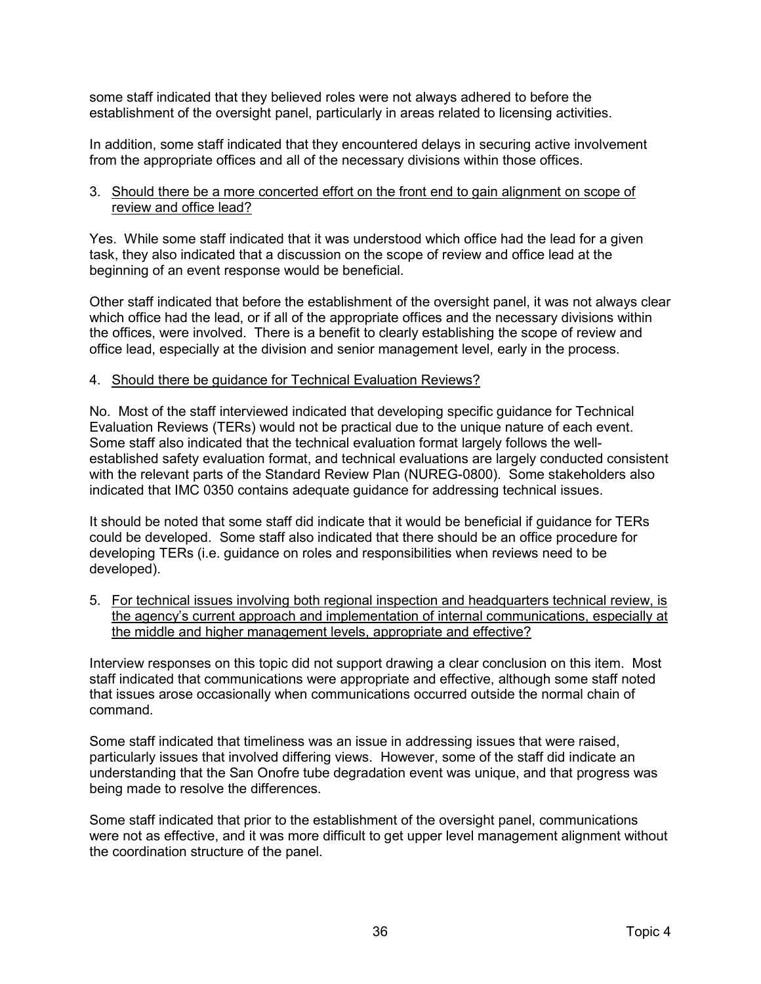some staff indicated that they believed roles were not always adhered to before the establishment of the oversight panel, particularly in areas related to licensing activities.

In addition, some staff indicated that they encountered delays in securing active involvement from the appropriate offices and all of the necessary divisions within those offices.

#### 3. Should there be a more concerted effort on the front end to gain alignment on scope of review and office lead?

Yes. While some staff indicated that it was understood which office had the lead for a given task, they also indicated that a discussion on the scope of review and office lead at the beginning of an event response would be beneficial.

Other staff indicated that before the establishment of the oversight panel, it was not always clear which office had the lead, or if all of the appropriate offices and the necessary divisions within the offices, were involved. There is a benefit to clearly establishing the scope of review and office lead, especially at the division and senior management level, early in the process.

#### 4. Should there be guidance for Technical Evaluation Reviews?

No. Most of the staff interviewed indicated that developing specific guidance for Technical Evaluation Reviews (TERs) would not be practical due to the unique nature of each event. Some staff also indicated that the technical evaluation format largely follows the wellestablished safety evaluation format, and technical evaluations are largely conducted consistent with the relevant parts of the Standard Review Plan (NUREG-0800). Some stakeholders also indicated that IMC 0350 contains adequate guidance for addressing technical issues.

It should be noted that some staff did indicate that it would be beneficial if guidance for TERs could be developed. Some staff also indicated that there should be an office procedure for developing TERs (i.e. guidance on roles and responsibilities when reviews need to be developed).

5. For technical issues involving both regional inspection and headquarters technical review, is the agency's current approach and implementation of internal communications, especially at the middle and higher management levels, appropriate and effective?

Interview responses on this topic did not support drawing a clear conclusion on this item. Most staff indicated that communications were appropriate and effective, although some staff noted that issues arose occasionally when communications occurred outside the normal chain of command.

Some staff indicated that timeliness was an issue in addressing issues that were raised, particularly issues that involved differing views. However, some of the staff did indicate an understanding that the San Onofre tube degradation event was unique, and that progress was being made to resolve the differences.

Some staff indicated that prior to the establishment of the oversight panel, communications were not as effective, and it was more difficult to get upper level management alignment without the coordination structure of the panel.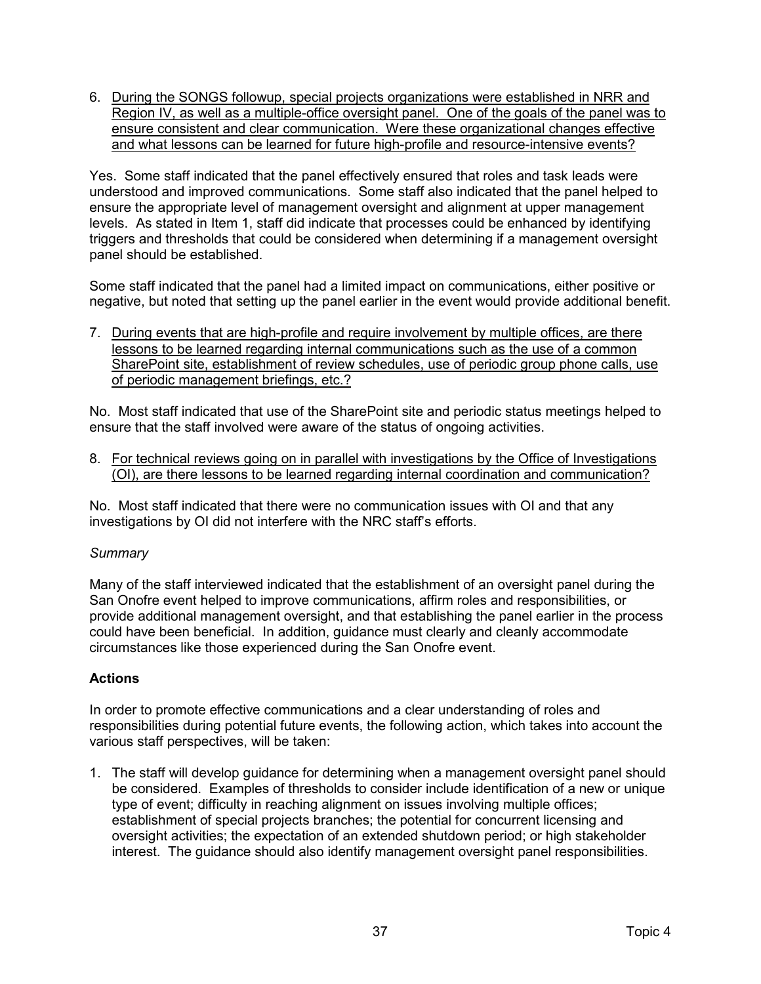6. During the SONGS followup, special projects organizations were established in NRR and Region IV, as well as a multiple-office oversight panel. One of the goals of the panel was to ensure consistent and clear communication. Were these organizational changes effective and what lessons can be learned for future high-profile and resource-intensive events?

Yes. Some staff indicated that the panel effectively ensured that roles and task leads were understood and improved communications. Some staff also indicated that the panel helped to ensure the appropriate level of management oversight and alignment at upper management levels. As stated in Item 1, staff did indicate that processes could be enhanced by identifying triggers and thresholds that could be considered when determining if a management oversight panel should be established.

Some staff indicated that the panel had a limited impact on communications, either positive or negative, but noted that setting up the panel earlier in the event would provide additional benefit.

7. During events that are high-profile and require involvement by multiple offices, are there lessons to be learned regarding internal communications such as the use of a common SharePoint site, establishment of review schedules, use of periodic group phone calls, use of periodic management briefings, etc.?

No. Most staff indicated that use of the SharePoint site and periodic status meetings helped to ensure that the staff involved were aware of the status of ongoing activities.

8. For technical reviews going on in parallel with investigations by the Office of Investigations (OI), are there lessons to be learned regarding internal coordination and communication?

No. Most staff indicated that there were no communication issues with OI and that any investigations by OI did not interfere with the NRC staff's efforts.

# *Summary*

Many of the staff interviewed indicated that the establishment of an oversight panel during the San Onofre event helped to improve communications, affirm roles and responsibilities, or provide additional management oversight, and that establishing the panel earlier in the process could have been beneficial. In addition, guidance must clearly and cleanly accommodate circumstances like those experienced during the San Onofre event.

# **Actions**

In order to promote effective communications and a clear understanding of roles and responsibilities during potential future events, the following action, which takes into account the various staff perspectives, will be taken:

1. The staff will develop guidance for determining when a management oversight panel should be considered. Examples of thresholds to consider include identification of a new or unique type of event; difficulty in reaching alignment on issues involving multiple offices; establishment of special projects branches; the potential for concurrent licensing and oversight activities; the expectation of an extended shutdown period; or high stakeholder interest. The guidance should also identify management oversight panel responsibilities.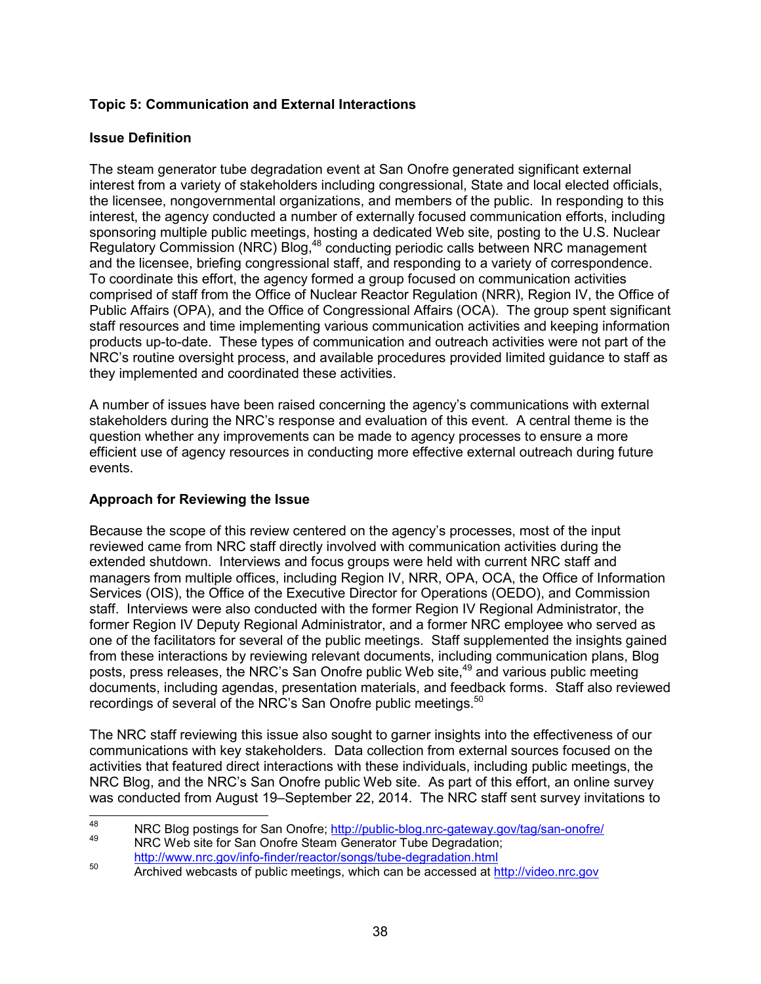# **Topic 5: Communication and External Interactions**

#### **Issue Definition**

The steam generator tube degradation event at San Onofre generated significant external interest from a variety of stakeholders including congressional, State and local elected officials, the licensee, nongovernmental organizations, and members of the public. In responding to this interest, the agency conducted a number of externally focused communication efforts, including sponsoring multiple public meetings, hosting a dedicated Web site, posting to the U.S. Nuclear Regulatory Commission (NRC) Blog,<sup>48</sup> conducting periodic calls between NRC management and the licensee, briefing congressional staff, and responding to a variety of correspondence. To coordinate this effort, the agency formed a group focused on communication activities comprised of staff from the Office of Nuclear Reactor Regulation (NRR), Region IV, the Office of Public Affairs (OPA), and the Office of Congressional Affairs (OCA). The group spent significant staff resources and time implementing various communication activities and keeping information products up-to-date. These types of communication and outreach activities were not part of the NRC's routine oversight process, and available procedures provided limited guidance to staff as they implemented and coordinated these activities.

A number of issues have been raised concerning the agency's communications with external stakeholders during the NRC's response and evaluation of this event. A central theme is the question whether any improvements can be made to agency processes to ensure a more efficient use of agency resources in conducting more effective external outreach during future events.

#### **Approach for Reviewing the Issue**

Because the scope of this review centered on the agency's processes, most of the input reviewed came from NRC staff directly involved with communication activities during the extended shutdown. Interviews and focus groups were held with current NRC staff and managers from multiple offices, including Region IV, NRR, OPA, OCA, the Office of Information Services (OIS), the Office of the Executive Director for Operations (OEDO), and Commission staff. Interviews were also conducted with the former Region IV Regional Administrator, the former Region IV Deputy Regional Administrator, and a former NRC employee who served as one of the facilitators for several of the public meetings. Staff supplemented the insights gained from these interactions by reviewing relevant documents, including communication plans, Blog posts, press releases, the NRC's San Onofre public Web site,<sup>49</sup> and various public meeting documents, including agendas, presentation materials, and feedback forms. Staff also reviewed recordings of several of the NRC's San Onofre public meetings.<sup>50</sup>

The NRC staff reviewing this issue also sought to garner insights into the effectiveness of our communications with key stakeholders. Data collection from external sources focused on the activities that featured direct interactions with these individuals, including public meetings, the NRC Blog, and the NRC's San Onofre public Web site. As part of this effort, an online survey was conducted from August 19–September 22, 2014. The NRC staff sent survey invitations to

<sup>48</sup> NRC Blog postings for San Onofre; http://public-blog.nrc-gateway.gov/tag/san-onofre/

NRC Web site for San Onofre Steam Generator Tube Degradation:

http://www.nrc.gov/info-finder/reactor/songs/tube-degradation.html<br><sup>50</sup> Archived webcasts of public meetings, which can be accessed at http://video.nrc.gov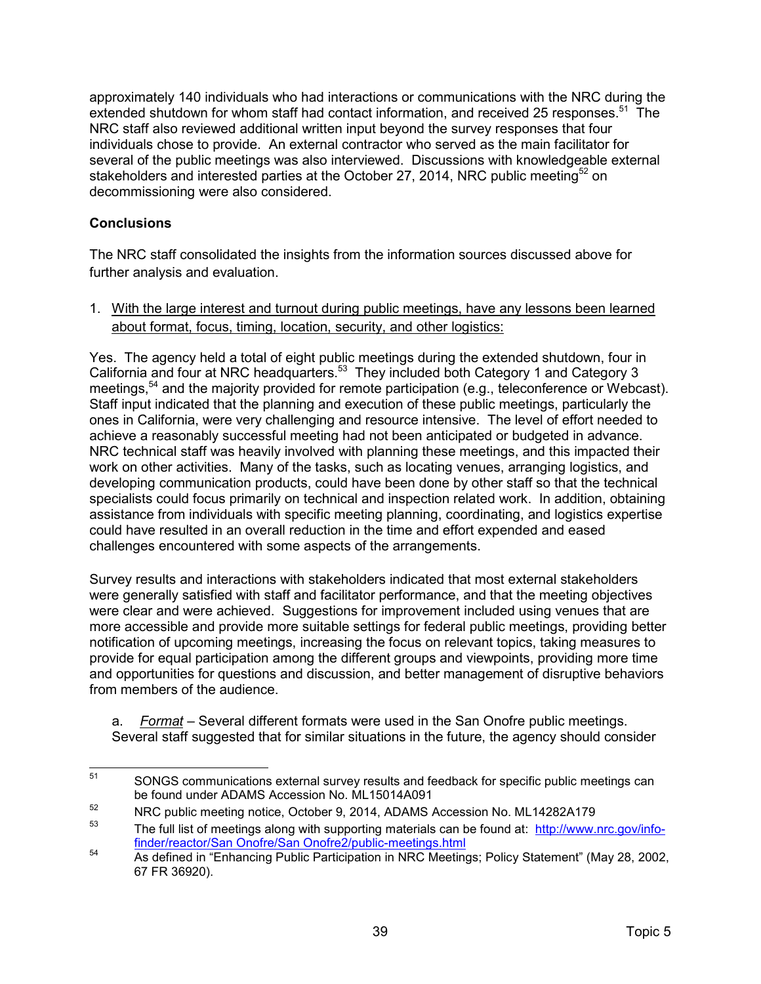approximately 140 individuals who had interactions or communications with the NRC during the extended shutdown for whom staff had contact information, and received 25 responses.<sup>51</sup> The NRC staff also reviewed additional written input beyond the survey responses that four individuals chose to provide. An external contractor who served as the main facilitator for several of the public meetings was also interviewed. Discussions with knowledgeable external stakeholders and interested parties at the October 27, 2014, NRC public meeting<sup>52</sup> on decommissioning were also considered.

# **Conclusions**

The NRC staff consolidated the insights from the information sources discussed above for further analysis and evaluation.

1. With the large interest and turnout during public meetings, have any lessons been learned about format, focus, timing, location, security, and other logistics:

Yes. The agency held a total of eight public meetings during the extended shutdown, four in California and four at NRC headquarters.<sup>53</sup> They included both Category 1 and Category 3 meetings,<sup>54</sup> and the majority provided for remote participation (e.g., teleconference or Webcast). Staff input indicated that the planning and execution of these public meetings, particularly the ones in California, were very challenging and resource intensive. The level of effort needed to achieve a reasonably successful meeting had not been anticipated or budgeted in advance. NRC technical staff was heavily involved with planning these meetings, and this impacted their work on other activities. Many of the tasks, such as locating venues, arranging logistics, and developing communication products, could have been done by other staff so that the technical specialists could focus primarily on technical and inspection related work. In addition, obtaining assistance from individuals with specific meeting planning, coordinating, and logistics expertise could have resulted in an overall reduction in the time and effort expended and eased challenges encountered with some aspects of the arrangements.

Survey results and interactions with stakeholders indicated that most external stakeholders were generally satisfied with staff and facilitator performance, and that the meeting objectives were clear and were achieved. Suggestions for improvement included using venues that are more accessible and provide more suitable settings for federal public meetings, providing better notification of upcoming meetings, increasing the focus on relevant topics, taking measures to provide for equal participation among the different groups and viewpoints, providing more time and opportunities for questions and discussion, and better management of disruptive behaviors from members of the audience.

a. *Format* – Several different formats were used in the San Onofre public meetings. Several staff suggested that for similar situations in the future, the agency should consider

 $51$  SONGS communications external survey results and feedback for specific public meetings can be found under ADAMS Accession No. ML15014A091

 $52$  NRC public meeting notice, October 9, 2014, ADAMS Accession No. ML14282A179

The full list of meetings along with supporting materials can be found at: http://www.nrc.gov/info-<br>finder/reactor/San Onofre/San Onofre2/public-meetings.html

find the method of the Chan Onofreid Chan Onofrez public Participation in NRC Meetings; Policy Statement" (May 28, 2002, 67 FR 36920).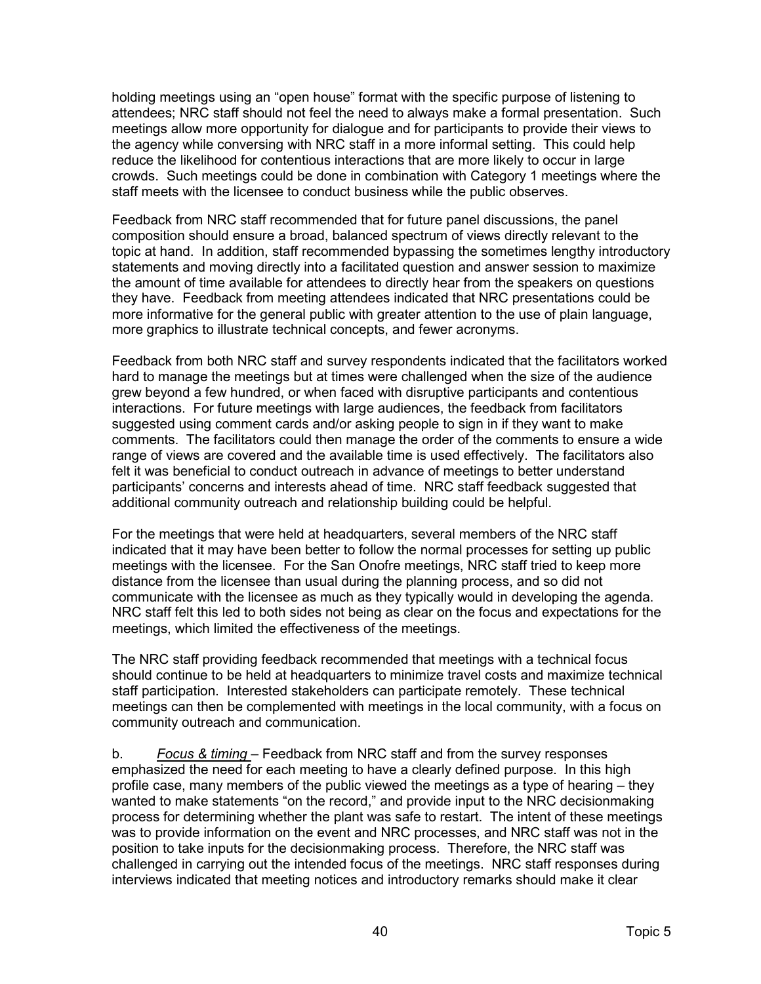holding meetings using an "open house" format with the specific purpose of listening to attendees; NRC staff should not feel the need to always make a formal presentation. Such meetings allow more opportunity for dialogue and for participants to provide their views to the agency while conversing with NRC staff in a more informal setting. This could help reduce the likelihood for contentious interactions that are more likely to occur in large crowds. Such meetings could be done in combination with Category 1 meetings where the staff meets with the licensee to conduct business while the public observes.

Feedback from NRC staff recommended that for future panel discussions, the panel composition should ensure a broad, balanced spectrum of views directly relevant to the topic at hand. In addition, staff recommended bypassing the sometimes lengthy introductory statements and moving directly into a facilitated question and answer session to maximize the amount of time available for attendees to directly hear from the speakers on questions they have. Feedback from meeting attendees indicated that NRC presentations could be more informative for the general public with greater attention to the use of plain language, more graphics to illustrate technical concepts, and fewer acronyms.

Feedback from both NRC staff and survey respondents indicated that the facilitators worked hard to manage the meetings but at times were challenged when the size of the audience grew beyond a few hundred, or when faced with disruptive participants and contentious interactions. For future meetings with large audiences, the feedback from facilitators suggested using comment cards and/or asking people to sign in if they want to make comments. The facilitators could then manage the order of the comments to ensure a wide range of views are covered and the available time is used effectively. The facilitators also felt it was beneficial to conduct outreach in advance of meetings to better understand participants' concerns and interests ahead of time. NRC staff feedback suggested that additional community outreach and relationship building could be helpful.

For the meetings that were held at headquarters, several members of the NRC staff indicated that it may have been better to follow the normal processes for setting up public meetings with the licensee. For the San Onofre meetings, NRC staff tried to keep more distance from the licensee than usual during the planning process, and so did not communicate with the licensee as much as they typically would in developing the agenda. NRC staff felt this led to both sides not being as clear on the focus and expectations for the meetings, which limited the effectiveness of the meetings.

The NRC staff providing feedback recommended that meetings with a technical focus should continue to be held at headquarters to minimize travel costs and maximize technical staff participation. Interested stakeholders can participate remotely. These technical meetings can then be complemented with meetings in the local community, with a focus on community outreach and communication.

b. *Focus & timing* – Feedback from NRC staff and from the survey responses emphasized the need for each meeting to have a clearly defined purpose. In this high profile case, many members of the public viewed the meetings as a type of hearing – they wanted to make statements "on the record," and provide input to the NRC decisionmaking process for determining whether the plant was safe to restart. The intent of these meetings was to provide information on the event and NRC processes, and NRC staff was not in the position to take inputs for the decisionmaking process. Therefore, the NRC staff was challenged in carrying out the intended focus of the meetings. NRC staff responses during interviews indicated that meeting notices and introductory remarks should make it clear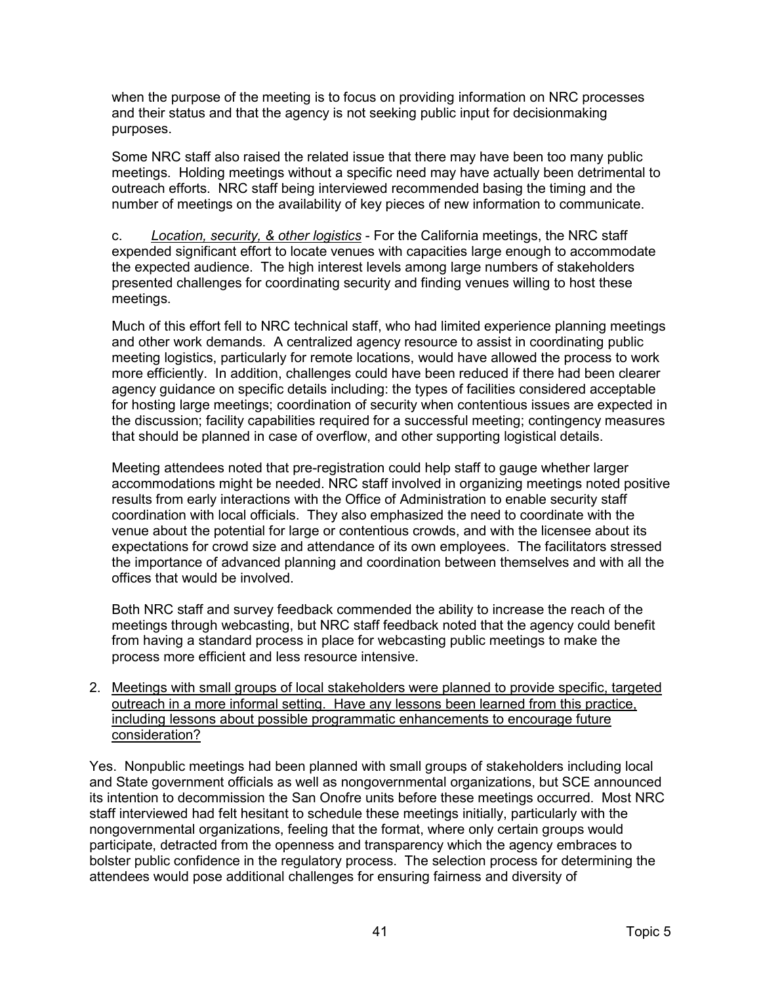when the purpose of the meeting is to focus on providing information on NRC processes and their status and that the agency is not seeking public input for decisionmaking purposes.

Some NRC staff also raised the related issue that there may have been too many public meetings. Holding meetings without a specific need may have actually been detrimental to outreach efforts. NRC staff being interviewed recommended basing the timing and the number of meetings on the availability of key pieces of new information to communicate.

c. *Location, security, & other logistics* - For the California meetings, the NRC staff expended significant effort to locate venues with capacities large enough to accommodate the expected audience. The high interest levels among large numbers of stakeholders presented challenges for coordinating security and finding venues willing to host these meetings.

Much of this effort fell to NRC technical staff, who had limited experience planning meetings and other work demands. A centralized agency resource to assist in coordinating public meeting logistics, particularly for remote locations, would have allowed the process to work more efficiently. In addition, challenges could have been reduced if there had been clearer agency guidance on specific details including: the types of facilities considered acceptable for hosting large meetings; coordination of security when contentious issues are expected in the discussion; facility capabilities required for a successful meeting; contingency measures that should be planned in case of overflow, and other supporting logistical details.

Meeting attendees noted that pre-registration could help staff to gauge whether larger accommodations might be needed. NRC staff involved in organizing meetings noted positive results from early interactions with the Office of Administration to enable security staff coordination with local officials. They also emphasized the need to coordinate with the venue about the potential for large or contentious crowds, and with the licensee about its expectations for crowd size and attendance of its own employees. The facilitators stressed the importance of advanced planning and coordination between themselves and with all the offices that would be involved.

Both NRC staff and survey feedback commended the ability to increase the reach of the meetings through webcasting, but NRC staff feedback noted that the agency could benefit from having a standard process in place for webcasting public meetings to make the process more efficient and less resource intensive.

2. Meetings with small groups of local stakeholders were planned to provide specific, targeted outreach in a more informal setting. Have any lessons been learned from this practice, including lessons about possible programmatic enhancements to encourage future consideration?

Yes. Nonpublic meetings had been planned with small groups of stakeholders including local and State government officials as well as nongovernmental organizations, but SCE announced its intention to decommission the San Onofre units before these meetings occurred. Most NRC staff interviewed had felt hesitant to schedule these meetings initially, particularly with the nongovernmental organizations, feeling that the format, where only certain groups would participate, detracted from the openness and transparency which the agency embraces to bolster public confidence in the regulatory process. The selection process for determining the attendees would pose additional challenges for ensuring fairness and diversity of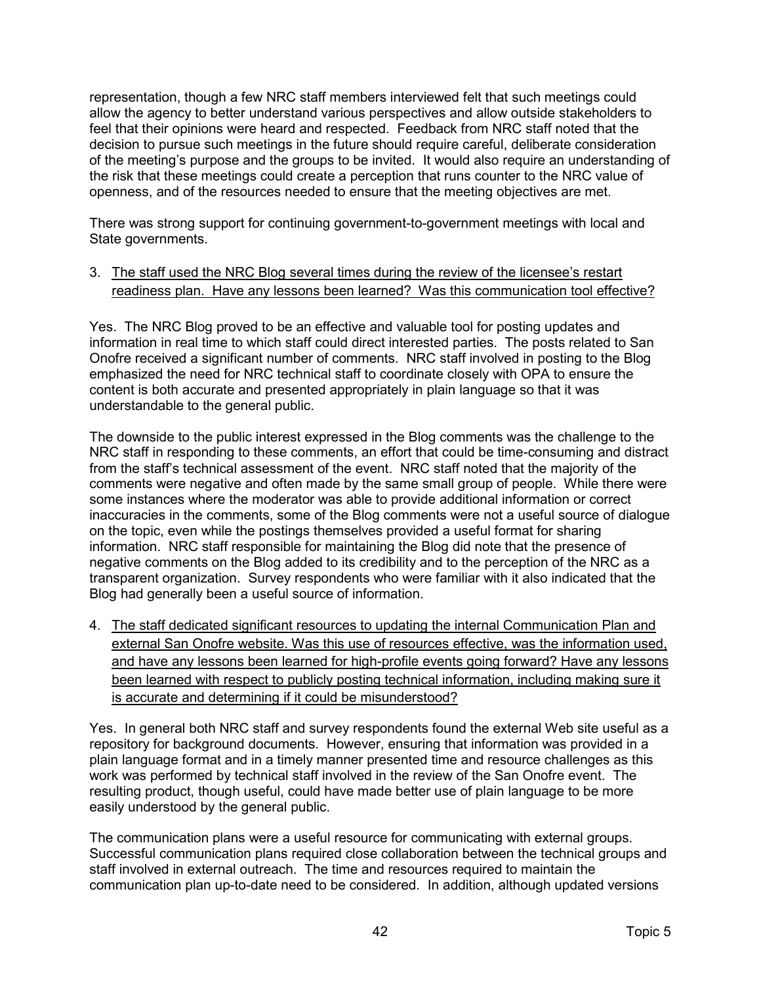representation, though a few NRC staff members interviewed felt that such meetings could allow the agency to better understand various perspectives and allow outside stakeholders to feel that their opinions were heard and respected. Feedback from NRC staff noted that the decision to pursue such meetings in the future should require careful, deliberate consideration of the meeting's purpose and the groups to be invited. It would also require an understanding of the risk that these meetings could create a perception that runs counter to the NRC value of openness, and of the resources needed to ensure that the meeting objectives are met.

There was strong support for continuing government-to-government meetings with local and State governments.

3. The staff used the NRC Blog several times during the review of the licensee's restart readiness plan. Have any lessons been learned? Was this communication tool effective?

Yes. The NRC Blog proved to be an effective and valuable tool for posting updates and information in real time to which staff could direct interested parties. The posts related to San Onofre received a significant number of comments. NRC staff involved in posting to the Blog emphasized the need for NRC technical staff to coordinate closely with OPA to ensure the content is both accurate and presented appropriately in plain language so that it was understandable to the general public.

The downside to the public interest expressed in the Blog comments was the challenge to the NRC staff in responding to these comments, an effort that could be time-consuming and distract from the staff's technical assessment of the event. NRC staff noted that the majority of the comments were negative and often made by the same small group of people. While there were some instances where the moderator was able to provide additional information or correct inaccuracies in the comments, some of the Blog comments were not a useful source of dialogue on the topic, even while the postings themselves provided a useful format for sharing information. NRC staff responsible for maintaining the Blog did note that the presence of negative comments on the Blog added to its credibility and to the perception of the NRC as a transparent organization. Survey respondents who were familiar with it also indicated that the Blog had generally been a useful source of information.

4. The staff dedicated significant resources to updating the internal Communication Plan and external San Onofre website. Was this use of resources effective, was the information used, and have any lessons been learned for high-profile events going forward? Have any lessons been learned with respect to publicly posting technical information, including making sure it is accurate and determining if it could be misunderstood?

Yes. In general both NRC staff and survey respondents found the external Web site useful as a repository for background documents. However, ensuring that information was provided in a plain language format and in a timely manner presented time and resource challenges as this work was performed by technical staff involved in the review of the San Onofre event. The resulting product, though useful, could have made better use of plain language to be more easily understood by the general public.

The communication plans were a useful resource for communicating with external groups. Successful communication plans required close collaboration between the technical groups and staff involved in external outreach. The time and resources required to maintain the communication plan up-to-date need to be considered. In addition, although updated versions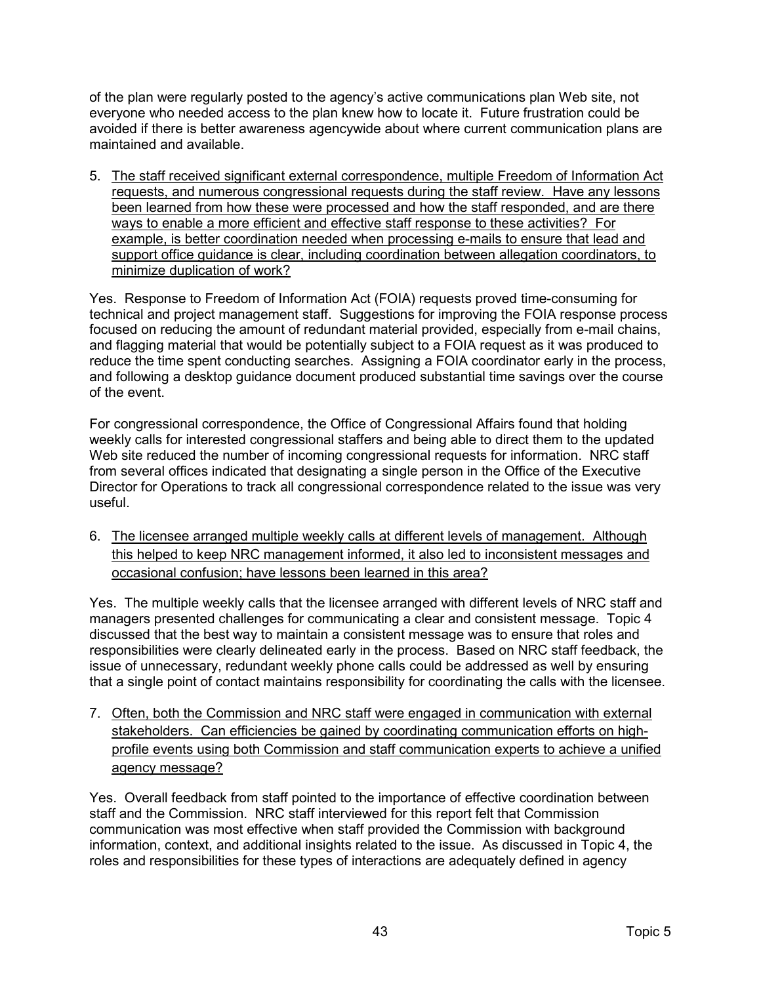of the plan were regularly posted to the agency's active communications plan Web site, not everyone who needed access to the plan knew how to locate it. Future frustration could be avoided if there is better awareness agencywide about where current communication plans are maintained and available.

5. The staff received significant external correspondence, multiple Freedom of Information Act requests, and numerous congressional requests during the staff review. Have any lessons been learned from how these were processed and how the staff responded, and are there ways to enable a more efficient and effective staff response to these activities? For example, is better coordination needed when processing e-mails to ensure that lead and support office guidance is clear, including coordination between allegation coordinators, to minimize duplication of work?

Yes. Response to Freedom of Information Act (FOIA) requests proved time-consuming for technical and project management staff. Suggestions for improving the FOIA response process focused on reducing the amount of redundant material provided, especially from e-mail chains, and flagging material that would be potentially subject to a FOIA request as it was produced to reduce the time spent conducting searches. Assigning a FOIA coordinator early in the process, and following a desktop guidance document produced substantial time savings over the course of the event.

For congressional correspondence, the Office of Congressional Affairs found that holding weekly calls for interested congressional staffers and being able to direct them to the updated Web site reduced the number of incoming congressional requests for information. NRC staff from several offices indicated that designating a single person in the Office of the Executive Director for Operations to track all congressional correspondence related to the issue was very useful.

6. The licensee arranged multiple weekly calls at different levels of management. Although this helped to keep NRC management informed, it also led to inconsistent messages and occasional confusion; have lessons been learned in this area?

Yes. The multiple weekly calls that the licensee arranged with different levels of NRC staff and managers presented challenges for communicating a clear and consistent message. Topic 4 discussed that the best way to maintain a consistent message was to ensure that roles and responsibilities were clearly delineated early in the process. Based on NRC staff feedback, the issue of unnecessary, redundant weekly phone calls could be addressed as well by ensuring that a single point of contact maintains responsibility for coordinating the calls with the licensee.

7. Often, both the Commission and NRC staff were engaged in communication with external stakeholders. Can efficiencies be gained by coordinating communication efforts on highprofile events using both Commission and staff communication experts to achieve a unified agency message?

Yes. Overall feedback from staff pointed to the importance of effective coordination between staff and the Commission. NRC staff interviewed for this report felt that Commission communication was most effective when staff provided the Commission with background information, context, and additional insights related to the issue. As discussed in Topic 4, the roles and responsibilities for these types of interactions are adequately defined in agency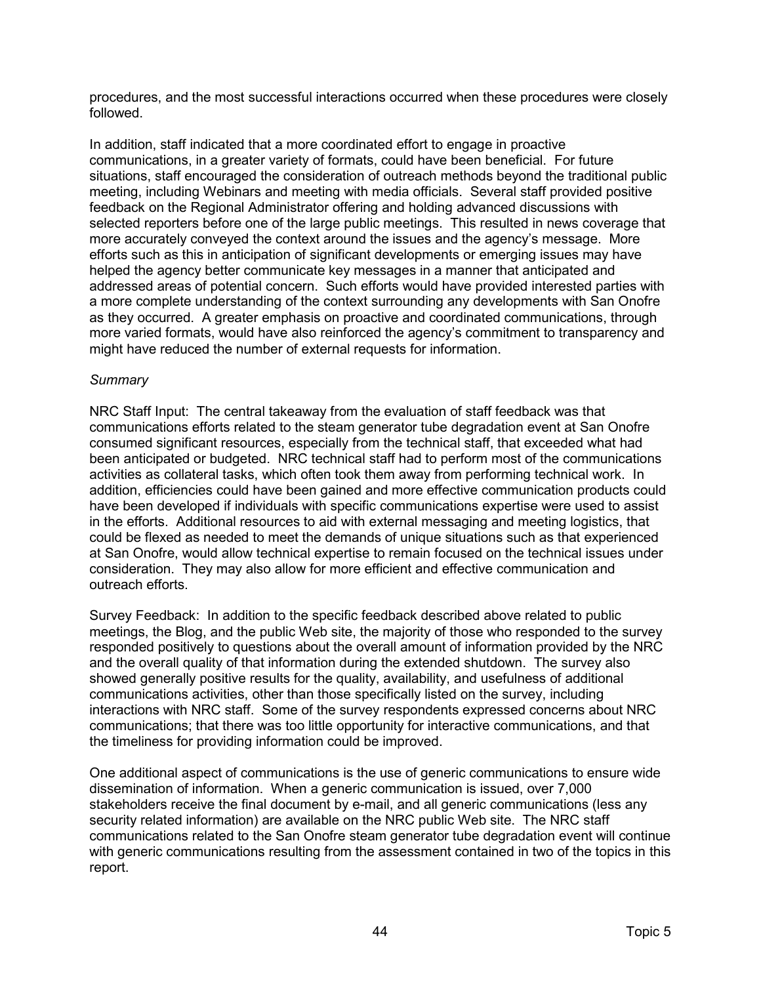procedures, and the most successful interactions occurred when these procedures were closely followed.

In addition, staff indicated that a more coordinated effort to engage in proactive communications, in a greater variety of formats, could have been beneficial. For future situations, staff encouraged the consideration of outreach methods beyond the traditional public meeting, including Webinars and meeting with media officials. Several staff provided positive feedback on the Regional Administrator offering and holding advanced discussions with selected reporters before one of the large public meetings. This resulted in news coverage that more accurately conveyed the context around the issues and the agency's message. More efforts such as this in anticipation of significant developments or emerging issues may have helped the agency better communicate key messages in a manner that anticipated and addressed areas of potential concern. Such efforts would have provided interested parties with a more complete understanding of the context surrounding any developments with San Onofre as they occurred. A greater emphasis on proactive and coordinated communications, through more varied formats, would have also reinforced the agency's commitment to transparency and might have reduced the number of external requests for information.

#### *Summary*

NRC Staff Input: The central takeaway from the evaluation of staff feedback was that communications efforts related to the steam generator tube degradation event at San Onofre consumed significant resources, especially from the technical staff, that exceeded what had been anticipated or budgeted. NRC technical staff had to perform most of the communications activities as collateral tasks, which often took them away from performing technical work. In addition, efficiencies could have been gained and more effective communication products could have been developed if individuals with specific communications expertise were used to assist in the efforts. Additional resources to aid with external messaging and meeting logistics, that could be flexed as needed to meet the demands of unique situations such as that experienced at San Onofre, would allow technical expertise to remain focused on the technical issues under consideration. They may also allow for more efficient and effective communication and outreach efforts.

Survey Feedback: In addition to the specific feedback described above related to public meetings, the Blog, and the public Web site, the majority of those who responded to the survey responded positively to questions about the overall amount of information provided by the NRC and the overall quality of that information during the extended shutdown. The survey also showed generally positive results for the quality, availability, and usefulness of additional communications activities, other than those specifically listed on the survey, including interactions with NRC staff. Some of the survey respondents expressed concerns about NRC communications; that there was too little opportunity for interactive communications, and that the timeliness for providing information could be improved.

One additional aspect of communications is the use of generic communications to ensure wide dissemination of information. When a generic communication is issued, over 7,000 stakeholders receive the final document by e-mail, and all generic communications (less any security related information) are available on the NRC public Web site. The NRC staff communications related to the San Onofre steam generator tube degradation event will continue with generic communications resulting from the assessment contained in two of the topics in this report.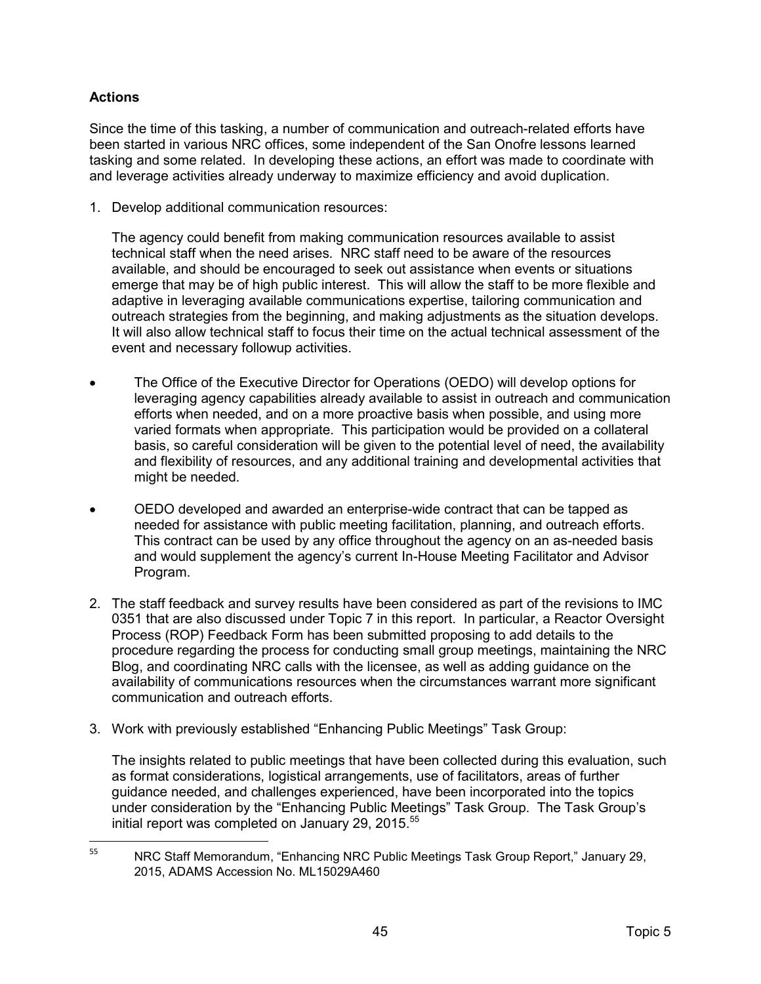# **Actions**

Since the time of this tasking, a number of communication and outreach-related efforts have been started in various NRC offices, some independent of the San Onofre lessons learned tasking and some related. In developing these actions, an effort was made to coordinate with and leverage activities already underway to maximize efficiency and avoid duplication.

1. Develop additional communication resources:

The agency could benefit from making communication resources available to assist technical staff when the need arises. NRC staff need to be aware of the resources available, and should be encouraged to seek out assistance when events or situations emerge that may be of high public interest. This will allow the staff to be more flexible and adaptive in leveraging available communications expertise, tailoring communication and outreach strategies from the beginning, and making adjustments as the situation develops. It will also allow technical staff to focus their time on the actual technical assessment of the event and necessary followup activities.

- The Office of the Executive Director for Operations (OEDO) will develop options for leveraging agency capabilities already available to assist in outreach and communication efforts when needed, and on a more proactive basis when possible, and using more varied formats when appropriate. This participation would be provided on a collateral basis, so careful consideration will be given to the potential level of need, the availability and flexibility of resources, and any additional training and developmental activities that might be needed.
- OEDO developed and awarded an enterprise-wide contract that can be tapped as needed for assistance with public meeting facilitation, planning, and outreach efforts. This contract can be used by any office throughout the agency on an as-needed basis and would supplement the agency's current In-House Meeting Facilitator and Advisor Program.
- 2. The staff feedback and survey results have been considered as part of the revisions to IMC 0351 that are also discussed under Topic 7 in this report. In particular, a Reactor Oversight Process (ROP) Feedback Form has been submitted proposing to add details to the procedure regarding the process for conducting small group meetings, maintaining the NRC Blog, and coordinating NRC calls with the licensee, as well as adding guidance on the availability of communications resources when the circumstances warrant more significant communication and outreach efforts.
- 3. Work with previously established "Enhancing Public Meetings" Task Group:

The insights related to public meetings that have been collected during this evaluation, such as format considerations, logistical arrangements, use of facilitators, areas of further guidance needed, and challenges experienced, have been incorporated into the topics under consideration by the "Enhancing Public Meetings" Task Group. The Task Group's initial report was completed on January 29, 2015. 55

<sup>55</sup> NRC Staff Memorandum, "Enhancing NRC Public Meetings Task Group Report," January 29, 2015, ADAMS Accession No. ML15029A460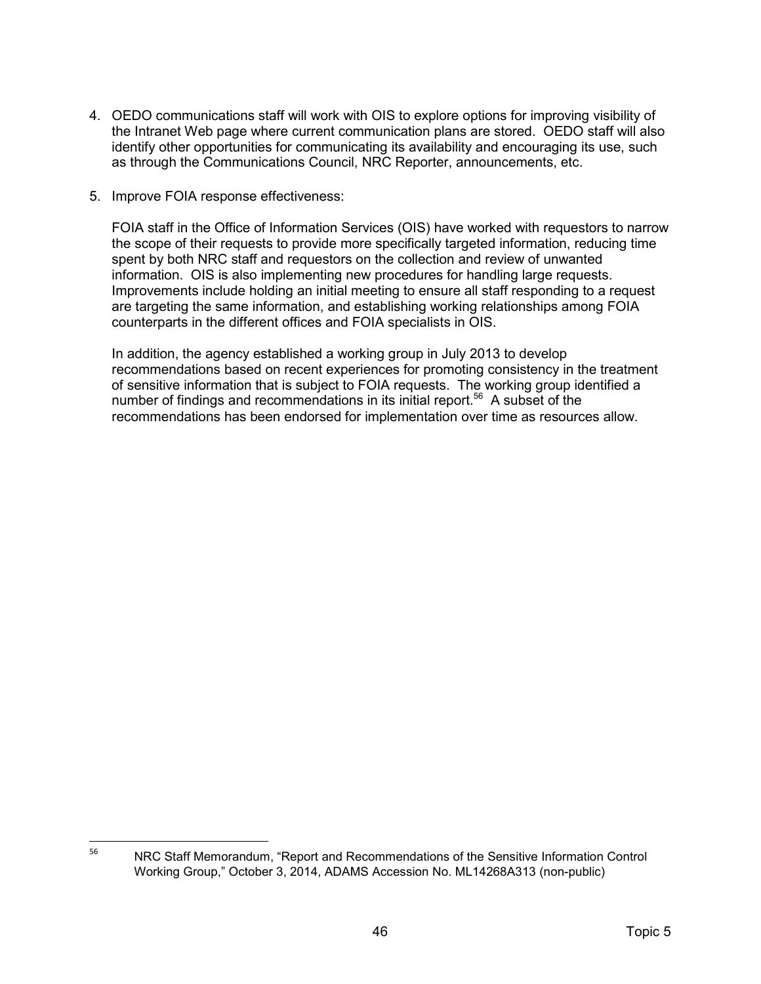- 4. OEDO communications staff will work with OIS to explore options for improving visibility of the Intranet Web page where current communication plans are stored. OEDO staff will also identify other opportunities for communicating its availability and encouraging its use, such as through the Communications Council, NRC Reporter, announcements, etc.
- 5. Improve FOIA response effectiveness:

FOIA staff in the Office of Information Services (OIS) have worked with requestors to narrow the scope of their requests to provide more specifically targeted information, reducing time spent by both NRC staff and requestors on the collection and review of unwanted information. OIS is also implementing new procedures for handling large requests. Improvements include holding an initial meeting to ensure all staff responding to a request are targeting the same information, and establishing working relationships among FOIA counterparts in the different offices and FOIA specialists in OIS.

In addition, the agency established a working group in July 2013 to develop recommendations based on recent experiences for promoting consistency in the treatment of sensitive information that is subject to FOIA requests. The working group identified a number of findings and recommendations in its initial report.<sup>56</sup> A subset of the recommendations has been endorsed for implementation over time as resources allow.

<sup>56</sup> NRC Staff Memorandum, "Report and Recommendations of the Sensitive Information Control Working Group," October 3, 2014, ADAMS Accession No. ML14268A313 (non-public)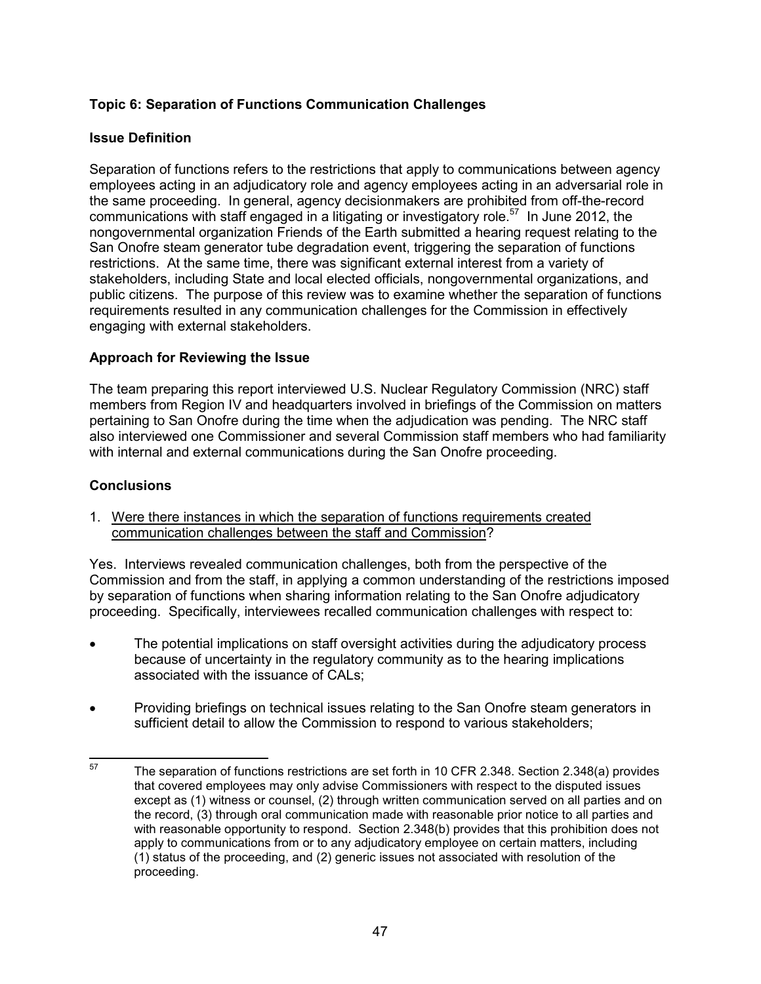# **Topic 6: Separation of Functions Communication Challenges**

### **Issue Definition**

Separation of functions refers to the restrictions that apply to communications between agency employees acting in an adjudicatory role and agency employees acting in an adversarial role in the same proceeding. In general, agency decisionmakers are prohibited from off-the-record communications with staff engaged in a litigating or investigatory role.<sup>57</sup> In June 2012, the nongovernmental organization Friends of the Earth submitted a hearing request relating to the San Onofre steam generator tube degradation event, triggering the separation of functions restrictions. At the same time, there was significant external interest from a variety of stakeholders, including State and local elected officials, nongovernmental organizations, and public citizens. The purpose of this review was to examine whether the separation of functions requirements resulted in any communication challenges for the Commission in effectively engaging with external stakeholders.

#### **Approach for Reviewing the Issue**

The team preparing this report interviewed U.S. Nuclear Regulatory Commission (NRC) staff members from Region IV and headquarters involved in briefings of the Commission on matters pertaining to San Onofre during the time when the adjudication was pending. The NRC staff also interviewed one Commissioner and several Commission staff members who had familiarity with internal and external communications during the San Onofre proceeding.

#### **Conclusions**

1. Were there instances in which the separation of functions requirements created communication challenges between the staff and Commission?

Yes. Interviews revealed communication challenges, both from the perspective of the Commission and from the staff, in applying a common understanding of the restrictions imposed by separation of functions when sharing information relating to the San Onofre adjudicatory proceeding. Specifically, interviewees recalled communication challenges with respect to:

- The potential implications on staff oversight activities during the adjudicatory process because of uncertainty in the regulatory community as to the hearing implications associated with the issuance of CALs;
- Providing briefings on technical issues relating to the San Onofre steam generators in sufficient detail to allow the Commission to respond to various stakeholders;

 $57$  The separation of functions restrictions are set forth in 10 CFR 2.348. Section 2.348(a) provides that covered employees may only advise Commissioners with respect to the disputed issues except as (1) witness or counsel, (2) through written communication served on all parties and on the record, (3) through oral communication made with reasonable prior notice to all parties and with reasonable opportunity to respond. Section 2.348(b) provides that this prohibition does not apply to communications from or to any adjudicatory employee on certain matters, including (1) status of the proceeding, and (2) generic issues not associated with resolution of the proceeding.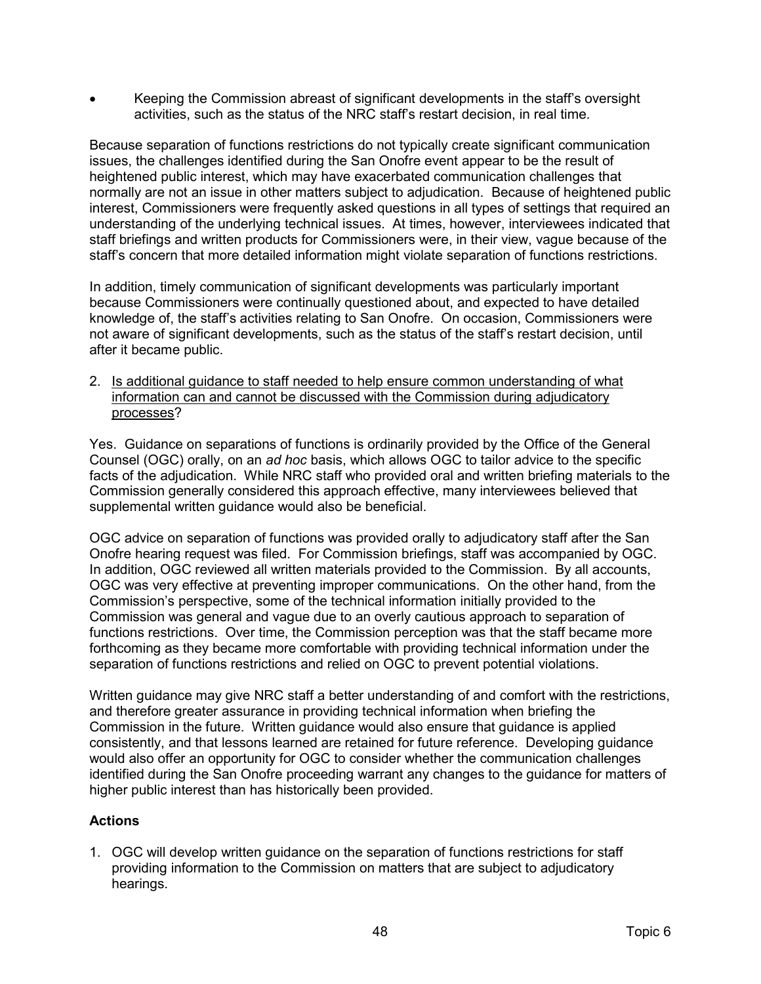• Keeping the Commission abreast of significant developments in the staff's oversight activities, such as the status of the NRC staff's restart decision, in real time.

Because separation of functions restrictions do not typically create significant communication issues, the challenges identified during the San Onofre event appear to be the result of heightened public interest, which may have exacerbated communication challenges that normally are not an issue in other matters subject to adjudication. Because of heightened public interest, Commissioners were frequently asked questions in all types of settings that required an understanding of the underlying technical issues. At times, however, interviewees indicated that staff briefings and written products for Commissioners were, in their view, vague because of the staff's concern that more detailed information might violate separation of functions restrictions.

In addition, timely communication of significant developments was particularly important because Commissioners were continually questioned about, and expected to have detailed knowledge of, the staff's activities relating to San Onofre. On occasion, Commissioners were not aware of significant developments, such as the status of the staff's restart decision, until after it became public.

2. Is additional guidance to staff needed to help ensure common understanding of what information can and cannot be discussed with the Commission during adjudicatory processes?

Yes. Guidance on separations of functions is ordinarily provided by the Office of the General Counsel (OGC) orally, on an *ad hoc* basis, which allows OGC to tailor advice to the specific facts of the adjudication. While NRC staff who provided oral and written briefing materials to the Commission generally considered this approach effective, many interviewees believed that supplemental written guidance would also be beneficial.

OGC advice on separation of functions was provided orally to adjudicatory staff after the San Onofre hearing request was filed. For Commission briefings, staff was accompanied by OGC. In addition, OGC reviewed all written materials provided to the Commission. By all accounts, OGC was very effective at preventing improper communications. On the other hand, from the Commission's perspective, some of the technical information initially provided to the Commission was general and vague due to an overly cautious approach to separation of functions restrictions. Over time, the Commission perception was that the staff became more forthcoming as they became more comfortable with providing technical information under the separation of functions restrictions and relied on OGC to prevent potential violations.

Written guidance may give NRC staff a better understanding of and comfort with the restrictions, and therefore greater assurance in providing technical information when briefing the Commission in the future. Written guidance would also ensure that guidance is applied consistently, and that lessons learned are retained for future reference. Developing guidance would also offer an opportunity for OGC to consider whether the communication challenges identified during the San Onofre proceeding warrant any changes to the guidance for matters of higher public interest than has historically been provided.

# **Actions**

1. OGC will develop written guidance on the separation of functions restrictions for staff providing information to the Commission on matters that are subject to adjudicatory hearings.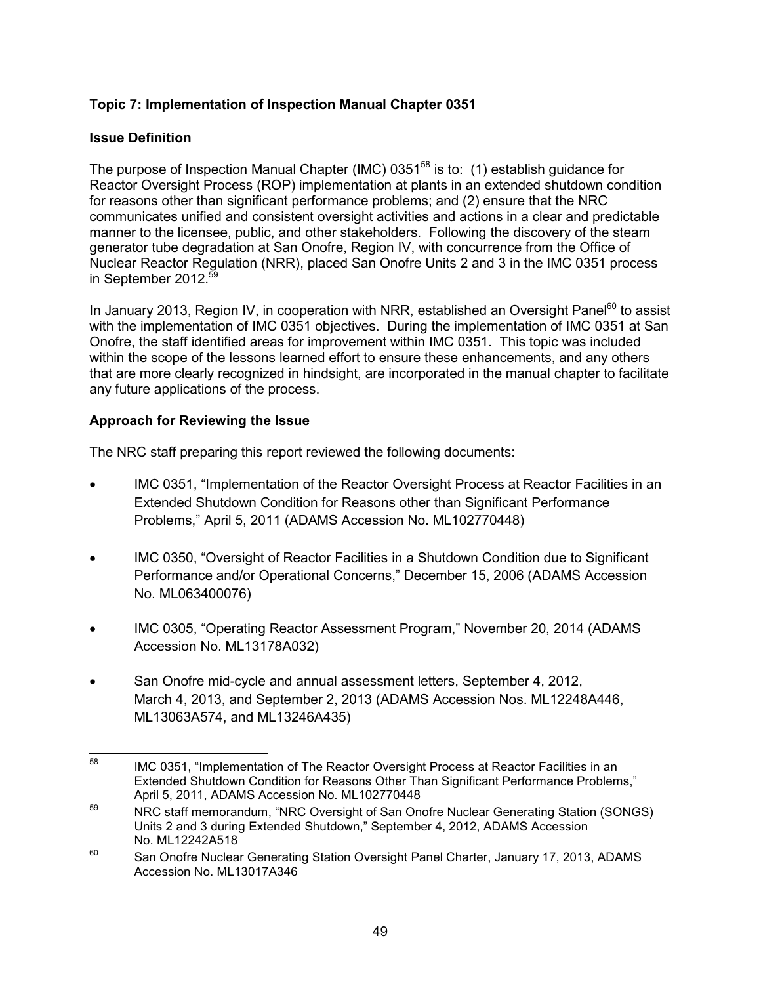# **Topic 7: Implementation of Inspection Manual Chapter 0351**

# **Issue Definition**

The purpose of Inspection Manual Chapter (IMC)  $0351^{58}$  is to: (1) establish guidance for Reactor Oversight Process (ROP) implementation at plants in an extended shutdown condition for reasons other than significant performance problems; and (2) ensure that the NRC communicates unified and consistent oversight activities and actions in a clear and predictable manner to the licensee, public, and other stakeholders. Following the discovery of the steam generator tube degradation at San Onofre, Region IV, with concurrence from the Office of Nuclear Reactor Regulation (NRR), placed San Onofre Units 2 and 3 in the IMC 0351 process in September 2012. 59

In January 2013, Region IV, in cooperation with NRR, established an Oversight Panel<sup>60</sup> to assist with the implementation of IMC 0351 objectives. During the implementation of IMC 0351 at San Onofre, the staff identified areas for improvement within IMC 0351. This topic was included within the scope of the lessons learned effort to ensure these enhancements, and any others that are more clearly recognized in hindsight, are incorporated in the manual chapter to facilitate any future applications of the process.

# **Approach for Reviewing the Issue**

The NRC staff preparing this report reviewed the following documents:

- IMC 0351, "Implementation of the Reactor Oversight Process at Reactor Facilities in an Extended Shutdown Condition for Reasons other than Significant Performance Problems," April 5, 2011 (ADAMS Accession No. ML102770448)
- IMC 0350, "Oversight of Reactor Facilities in a Shutdown Condition due to Significant Performance and/or Operational Concerns," December 15, 2006 (ADAMS Accession No. ML063400076)
- IMC 0305, "Operating Reactor Assessment Program," November 20, 2014 (ADAMS Accession No. ML13178A032)
- San Onofre mid-cycle and annual assessment letters, September 4, 2012, March 4, 2013, and September 2, 2013 (ADAMS Accession Nos. ML12248A446, ML13063A574, and ML13246A435)

<sup>&</sup>lt;sup>58</sup> IMC 0351, "Implementation of The Reactor Oversight Process at Reactor Facilities in an Extended Shutdown Condition for Reasons Other Than Significant Performance Problems," April 5, 2011, ADAMS Accession No. ML102770448

<sup>&</sup>lt;sup>59</sup> NRC staff memorandum, "NRC Oversight of San Onofre Nuclear Generating Station (SONGS) Units 2 and 3 during Extended Shutdown," September 4, 2012, ADAMS Accession No. ML12242A518

<sup>&</sup>lt;sup>60</sup> San Onofre Nuclear Generating Station Oversight Panel Charter, January 17, 2013, ADAMS Accession No. ML13017A346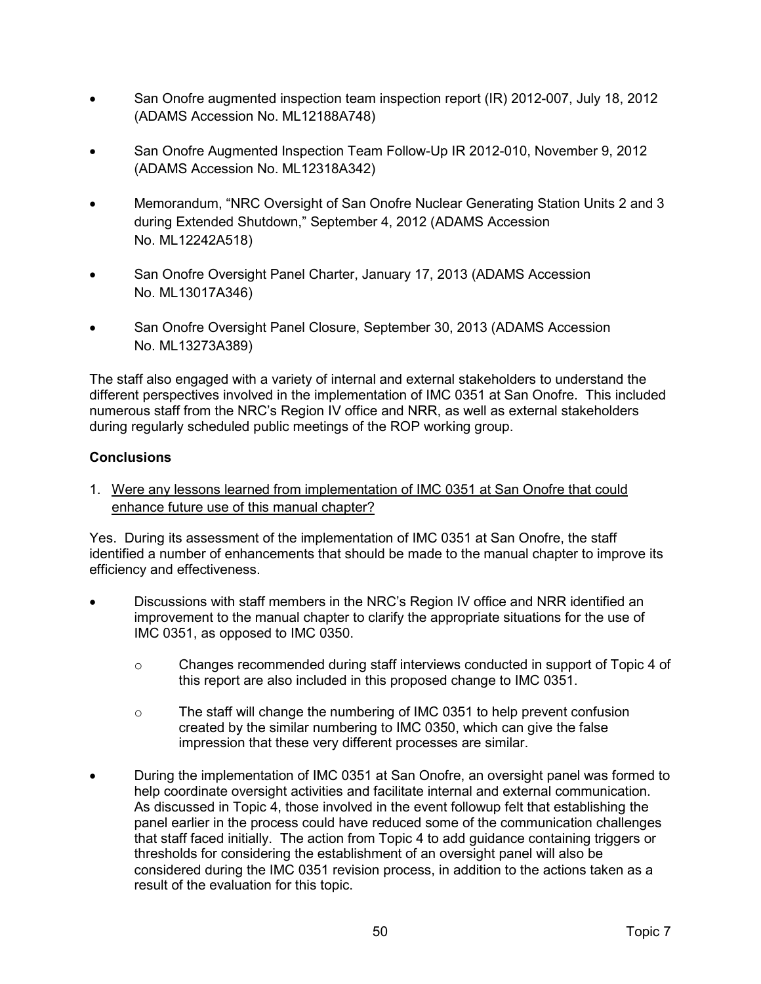- San Onofre augmented inspection team inspection report (IR) 2012-007, July 18, 2012 (ADAMS Accession No. ML12188A748)
- San Onofre Augmented Inspection Team Follow-Up IR 2012-010, November 9, 2012 (ADAMS Accession No. ML12318A342)
- Memorandum, "NRC Oversight of San Onofre Nuclear Generating Station Units 2 and 3 during Extended Shutdown," September 4, 2012 (ADAMS Accession No. ML12242A518)
- San Onofre Oversight Panel Charter, January 17, 2013 (ADAMS Accession No. ML13017A346)
- San Onofre Oversight Panel Closure, September 30, 2013 (ADAMS Accession No. ML13273A389)

The staff also engaged with a variety of internal and external stakeholders to understand the different perspectives involved in the implementation of IMC 0351 at San Onofre. This included numerous staff from the NRC's Region IV office and NRR, as well as external stakeholders during regularly scheduled public meetings of the ROP working group.

#### **Conclusions**

1. Were any lessons learned from implementation of IMC 0351 at San Onofre that could enhance future use of this manual chapter?

Yes. During its assessment of the implementation of IMC 0351 at San Onofre, the staff identified a number of enhancements that should be made to the manual chapter to improve its efficiency and effectiveness.

- Discussions with staff members in the NRC's Region IV office and NRR identified an improvement to the manual chapter to clarify the appropriate situations for the use of IMC 0351, as opposed to IMC 0350.
	- $\circ$  Changes recommended during staff interviews conducted in support of Topic 4 of this report are also included in this proposed change to IMC 0351.
	- $\circ$  The staff will change the numbering of IMC 0351 to help prevent confusion created by the similar numbering to IMC 0350, which can give the false impression that these very different processes are similar.
- During the implementation of IMC 0351 at San Onofre, an oversight panel was formed to help coordinate oversight activities and facilitate internal and external communication. As discussed in Topic 4, those involved in the event followup felt that establishing the panel earlier in the process could have reduced some of the communication challenges that staff faced initially. The action from Topic 4 to add guidance containing triggers or thresholds for considering the establishment of an oversight panel will also be considered during the IMC 0351 revision process, in addition to the actions taken as a result of the evaluation for this topic.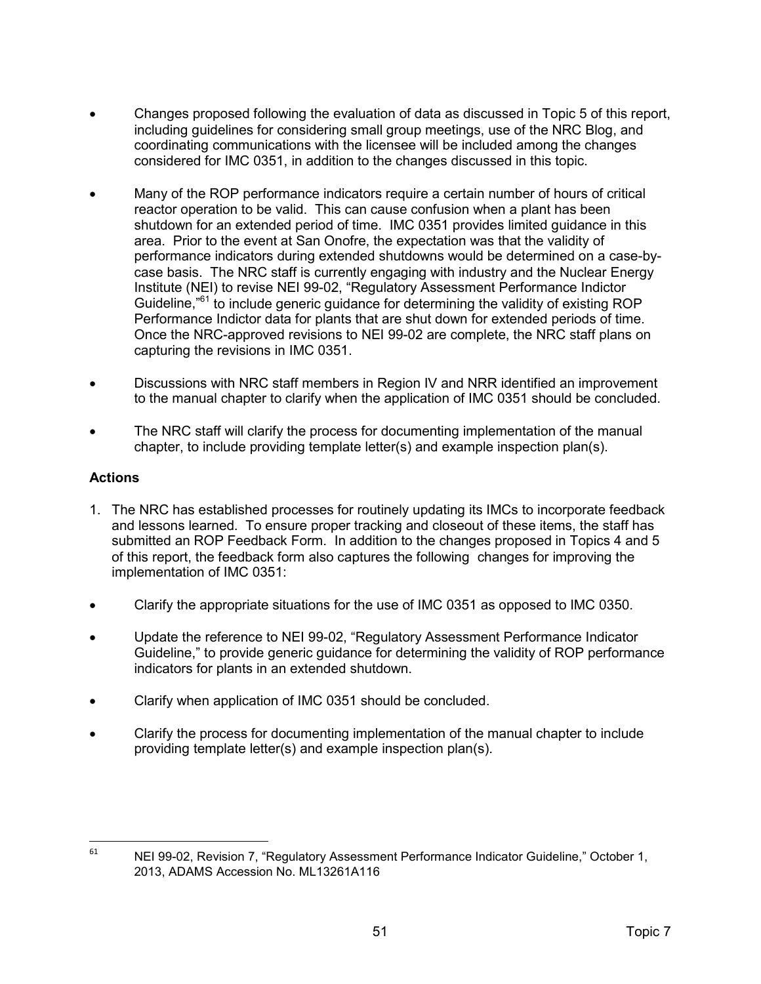- Changes proposed following the evaluation of data as discussed in Topic 5 of this report, including guidelines for considering small group meetings, use of the NRC Blog, and coordinating communications with the licensee will be included among the changes considered for IMC 0351, in addition to the changes discussed in this topic.
- Many of the ROP performance indicators require a certain number of hours of critical reactor operation to be valid. This can cause confusion when a plant has been shutdown for an extended period of time. IMC 0351 provides limited guidance in this area. Prior to the event at San Onofre, the expectation was that the validity of performance indicators during extended shutdowns would be determined on a case-bycase basis. The NRC staff is currently engaging with industry and the Nuclear Energy Institute (NEI) to revise NEI 99-02, "Regulatory Assessment Performance Indictor Guideline,<sup>"61</sup> to include generic guidance for determining the validity of existing ROP Performance Indictor data for plants that are shut down for extended periods of time. Once the NRC-approved revisions to NEI 99-02 are complete, the NRC staff plans on capturing the revisions in IMC 0351.
- Discussions with NRC staff members in Region IV and NRR identified an improvement to the manual chapter to clarify when the application of IMC 0351 should be concluded.
- The NRC staff will clarify the process for documenting implementation of the manual chapter, to include providing template letter(s) and example inspection plan(s).

#### **Actions**

- 1. The NRC has established processes for routinely updating its IMCs to incorporate feedback and lessons learned. To ensure proper tracking and closeout of these items, the staff has submitted an ROP Feedback Form. In addition to the changes proposed in Topics 4 and 5 of this report, the feedback form also captures the following changes for improving the implementation of IMC 0351:
- Clarify the appropriate situations for the use of IMC 0351 as opposed to IMC 0350.
- Update the reference to NEI 99-02, "Regulatory Assessment Performance Indicator Guideline," to provide generic guidance for determining the validity of ROP performance indicators for plants in an extended shutdown.
- Clarify when application of IMC 0351 should be concluded.
- Clarify the process for documenting implementation of the manual chapter to include providing template letter(s) and example inspection plan(s).

 $61$  NEI 99-02, Revision 7, "Regulatory Assessment Performance Indicator Guideline," October 1, 2013, ADAMS Accession No. ML13261A116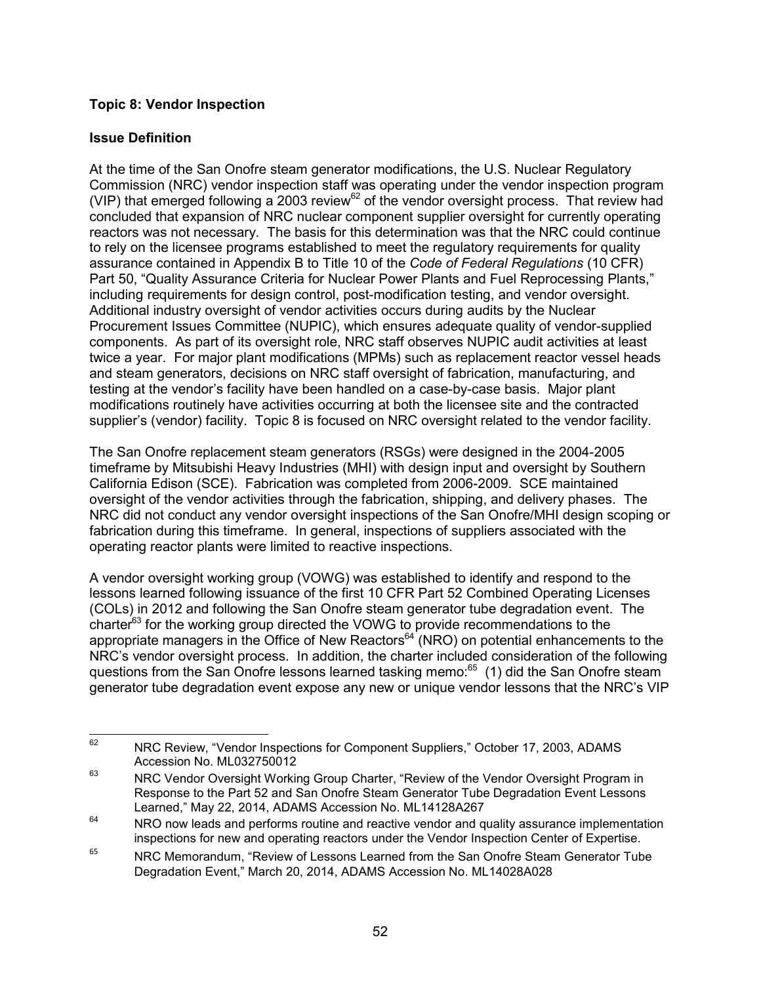#### **Topic 8: Vendor Inspection**

#### **Issue Definition**

At the time of the San Onofre steam generator modifications, the U.S. Nuclear Regulatory Commission (NRC) vendor inspection staff was operating under the vendor inspection program (VIP) that emerged following a 2003 review<sup>62</sup> of the vendor oversight process. That review had concluded that expansion of NRC nuclear component supplier oversight for currently operating reactors was not necessary. The basis for this determination was that the NRC could continue to rely on the licensee programs established to meet the regulatory requirements for quality assurance contained in Appendix B to Title 10 of the *Code of Federal Regulations* (10 CFR) Part 50, "Quality Assurance Criteria for Nuclear Power Plants and Fuel Reprocessing Plants," including requirements for design control, post-modification testing, and vendor oversight. Additional industry oversight of vendor activities occurs during audits by the Nuclear Procurement Issues Committee (NUPIC), which ensures adequate quality of vendor-supplied components. As part of its oversight role, NRC staff observes NUPIC audit activities at least twice a year. For major plant modifications (MPMs) such as replacement reactor vessel heads and steam generators, decisions on NRC staff oversight of fabrication, manufacturing, and testing at the vendor's facility have been handled on a case-by-case basis. Major plant modifications routinely have activities occurring at both the licensee site and the contracted supplier's (vendor) facility. Topic 8 is focused on NRC oversight related to the vendor facility.

The San Onofre replacement steam generators (RSGs) were designed in the 2004-2005 timeframe by Mitsubishi Heavy Industries (MHI) with design input and oversight by Southern California Edison (SCE). Fabrication was completed from 2006-2009. SCE maintained oversight of the vendor activities through the fabrication, shipping, and delivery phases. The NRC did not conduct any vendor oversight inspections of the San Onofre/MHI design scoping or fabrication during this timeframe. In general, inspections of suppliers associated with the operating reactor plants were limited to reactive inspections.

A vendor oversight working group (VOWG) was established to identify and respond to the lessons learned following issuance of the first 10 CFR Part 52 Combined Operating Licenses (COLs) in 2012 and following the San Onofre steam generator tube degradation event. The charter<sup>63</sup> for the working group directed the VOWG to provide recommendations to the appropriate managers in the Office of New Reactors<sup>64</sup> (NRO) on potential enhancements to the NRC's vendor oversight process. In addition, the charter included consideration of the following questions from the San Onofre lessons learned tasking memo:<sup>65</sup> (1) did the San Onofre steam generator tube degradation event expose any new or unique vendor lessons that the NRC's VIP

 <sup>62</sup> NRC Review, "Vendor Inspections for Component Suppliers," October 17, 2003, ADAMS Accession No. ML032750012

<sup>&</sup>lt;sup>63</sup> NRC Vendor Oversight Working Group Charter, "Review of the Vendor Oversight Program in Response to the Part 52 and San Onofre Steam Generator Tube Degradation Event Lessons Learned," May 22, 2014, ADAMS Accession No. ML14128A267

 $64$  NRO now leads and performs routine and reactive vendor and quality assurance implementation inspections for new and operating reactors under the Vendor Inspection Center of Expertise.

 $165$  NRC Memorandum, "Review of Lessons Learned from the San Onofre Steam Generator Tube Degradation Event," March 20, 2014, ADAMS Accession No. ML14028A028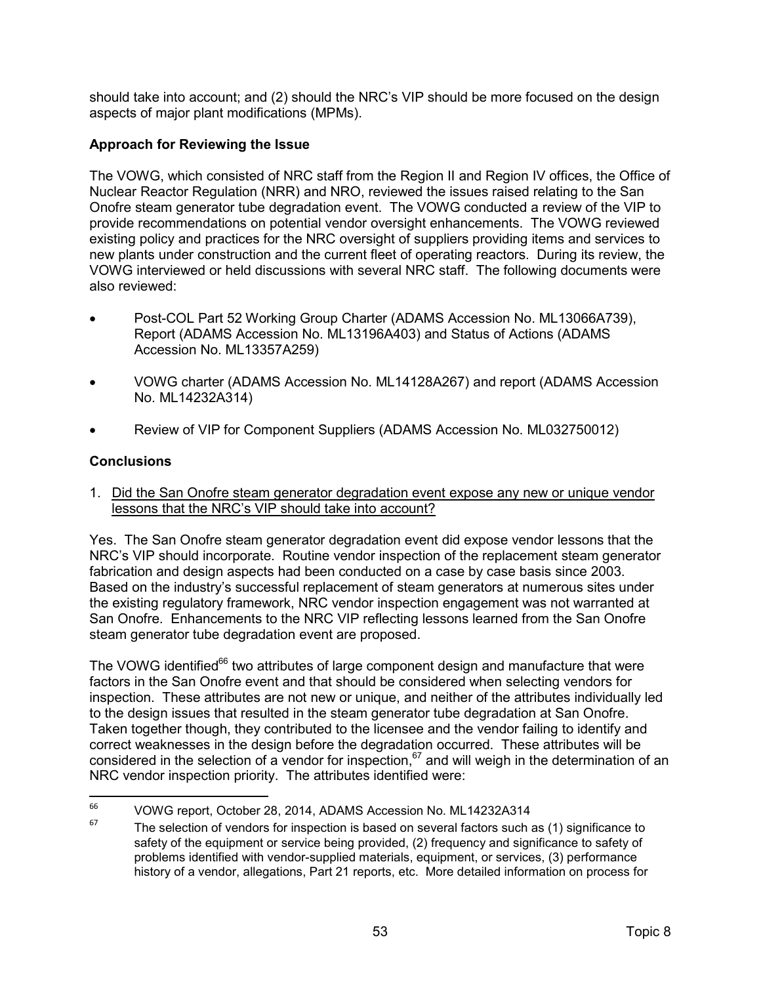should take into account; and (2) should the NRC's VIP should be more focused on the design aspects of major plant modifications (MPMs).

# **Approach for Reviewing the Issue**

The VOWG, which consisted of NRC staff from the Region II and Region IV offices, the Office of Nuclear Reactor Regulation (NRR) and NRO, reviewed the issues raised relating to the San Onofre steam generator tube degradation event. The VOWG conducted a review of the VIP to provide recommendations on potential vendor oversight enhancements. The VOWG reviewed existing policy and practices for the NRC oversight of suppliers providing items and services to new plants under construction and the current fleet of operating reactors. During its review, the VOWG interviewed or held discussions with several NRC staff. The following documents were also reviewed:

- Post-COL Part 52 Working Group Charter (ADAMS Accession No. ML13066A739), Report (ADAMS Accession No. ML13196A403) and Status of Actions (ADAMS Accession No. ML13357A259)
- VOWG charter (ADAMS Accession No. ML14128A267) and report (ADAMS Accession No. ML14232A314)
- Review of VIP for Component Suppliers (ADAMS Accession No. ML032750012)

#### **Conclusions**

1. Did the San Onofre steam generator degradation event expose any new or unique vendor lessons that the NRC's VIP should take into account?

Yes. The San Onofre steam generator degradation event did expose vendor lessons that the NRC's VIP should incorporate. Routine vendor inspection of the replacement steam generator fabrication and design aspects had been conducted on a case by case basis since 2003. Based on the industry's successful replacement of steam generators at numerous sites under the existing regulatory framework, NRC vendor inspection engagement was not warranted at San Onofre. Enhancements to the NRC VIP reflecting lessons learned from the San Onofre steam generator tube degradation event are proposed.

The VOWG identified<sup>66</sup> two attributes of large component design and manufacture that were factors in the San Onofre event and that should be considered when selecting vendors for inspection. These attributes are not new or unique, and neither of the attributes individually led to the design issues that resulted in the steam generator tube degradation at San Onofre. Taken together though, they contributed to the licensee and the vendor failing to identify and correct weaknesses in the design before the degradation occurred. These attributes will be considered in the selection of a vendor for inspection, $67$  and will weigh in the determination of an NRC vendor inspection priority. The attributes identified were:

<sup>&</sup>lt;sup>66</sup> VOWG report, October 28, 2014, ADAMS Accession No. ML14232A314

The selection of vendors for inspection is based on several factors such as (1) significance to safety of the equipment or service being provided, (2) frequency and significance to safety of problems identified with vendor-supplied materials, equipment, or services, (3) performance history of a vendor, allegations, Part 21 reports, etc. More detailed information on process for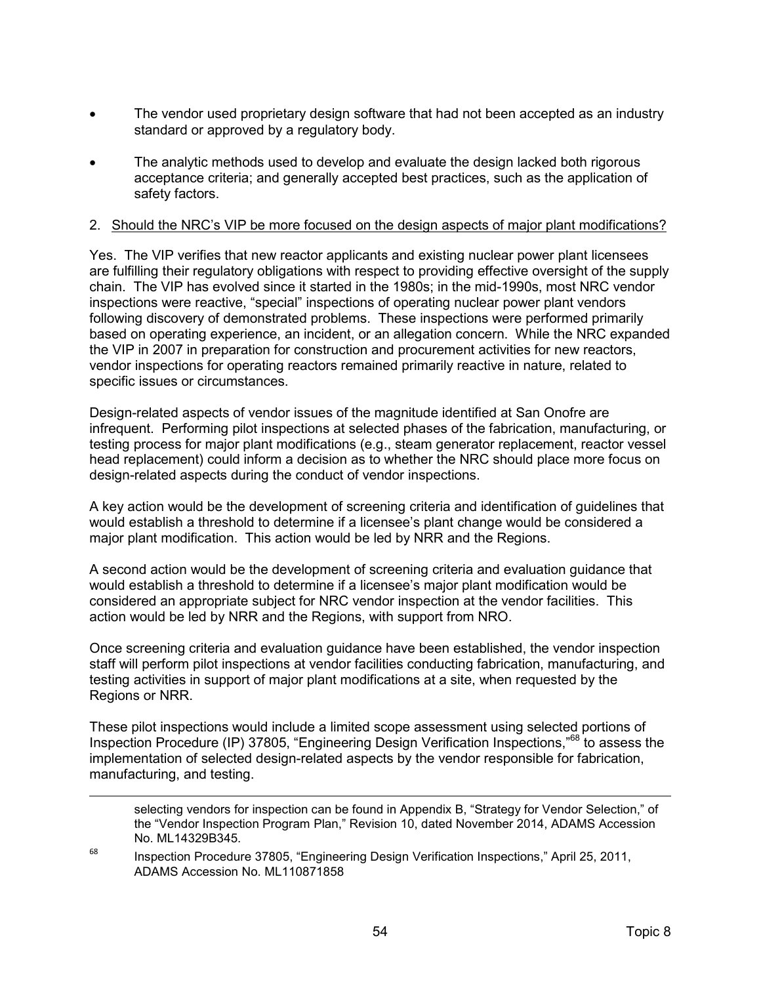- The vendor used proprietary design software that had not been accepted as an industry standard or approved by a regulatory body.
- The analytic methods used to develop and evaluate the design lacked both rigorous acceptance criteria; and generally accepted best practices, such as the application of safety factors.

#### 2. Should the NRC's VIP be more focused on the design aspects of major plant modifications?

Yes. The VIP verifies that new reactor applicants and existing nuclear power plant licensees are fulfilling their regulatory obligations with respect to providing effective oversight of the supply chain. The VIP has evolved since it started in the 1980s; in the mid-1990s, most NRC vendor inspections were reactive, "special" inspections of operating nuclear power plant vendors following discovery of demonstrated problems. These inspections were performed primarily based on operating experience, an incident, or an allegation concern. While the NRC expanded the VIP in 2007 in preparation for construction and procurement activities for new reactors, vendor inspections for operating reactors remained primarily reactive in nature, related to specific issues or circumstances.

Design-related aspects of vendor issues of the magnitude identified at San Onofre are infrequent. Performing pilot inspections at selected phases of the fabrication, manufacturing, or testing process for major plant modifications (e.g., steam generator replacement, reactor vessel head replacement) could inform a decision as to whether the NRC should place more focus on design-related aspects during the conduct of vendor inspections.

A key action would be the development of screening criteria and identification of guidelines that would establish a threshold to determine if a licensee's plant change would be considered a major plant modification. This action would be led by NRR and the Regions.

A second action would be the development of screening criteria and evaluation guidance that would establish a threshold to determine if a licensee's major plant modification would be considered an appropriate subject for NRC vendor inspection at the vendor facilities. This action would be led by NRR and the Regions, with support from NRO.

Once screening criteria and evaluation guidance have been established, the vendor inspection staff will perform pilot inspections at vendor facilities conducting fabrication, manufacturing, and testing activities in support of major plant modifications at a site, when requested by the Regions or NRR.

These pilot inspections would include a limited scope assessment using selected portions of Inspection Procedure (IP) 37805, "Engineering Design Verification Inspections,"68 to assess the implementation of selected design-related aspects by the vendor responsible for fabrication, manufacturing, and testing.

selecting vendors for inspection can be found in Appendix B, "Strategy for Vendor Selection," of the "Vendor Inspection Program Plan," Revision 10, dated November 2014, ADAMS Accession No. ML14329B345.

<sup>68</sup> Inspection Procedure 37805, "Engineering Design Verification Inspections," April 25, 2011, ADAMS Accession No. ML110871858

 $\overline{a}$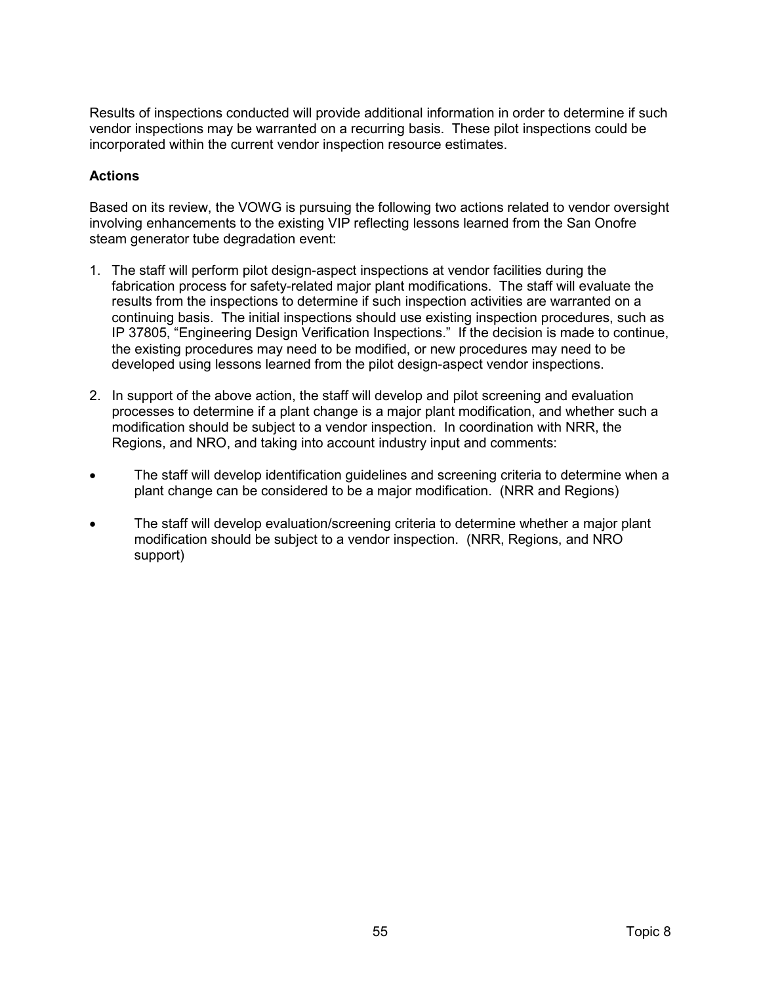Results of inspections conducted will provide additional information in order to determine if such vendor inspections may be warranted on a recurring basis. These pilot inspections could be incorporated within the current vendor inspection resource estimates.

#### **Actions**

Based on its review, the VOWG is pursuing the following two actions related to vendor oversight involving enhancements to the existing VIP reflecting lessons learned from the San Onofre steam generator tube degradation event:

- 1. The staff will perform pilot design-aspect inspections at vendor facilities during the fabrication process for safety-related major plant modifications. The staff will evaluate the results from the inspections to determine if such inspection activities are warranted on a continuing basis. The initial inspections should use existing inspection procedures, such as IP 37805, "Engineering Design Verification Inspections." If the decision is made to continue, the existing procedures may need to be modified, or new procedures may need to be developed using lessons learned from the pilot design-aspect vendor inspections.
- 2. In support of the above action, the staff will develop and pilot screening and evaluation processes to determine if a plant change is a major plant modification, and whether such a modification should be subject to a vendor inspection. In coordination with NRR, the Regions, and NRO, and taking into account industry input and comments:
- The staff will develop identification guidelines and screening criteria to determine when a plant change can be considered to be a major modification. (NRR and Regions)
- The staff will develop evaluation/screening criteria to determine whether a major plant modification should be subject to a vendor inspection. (NRR, Regions, and NRO support)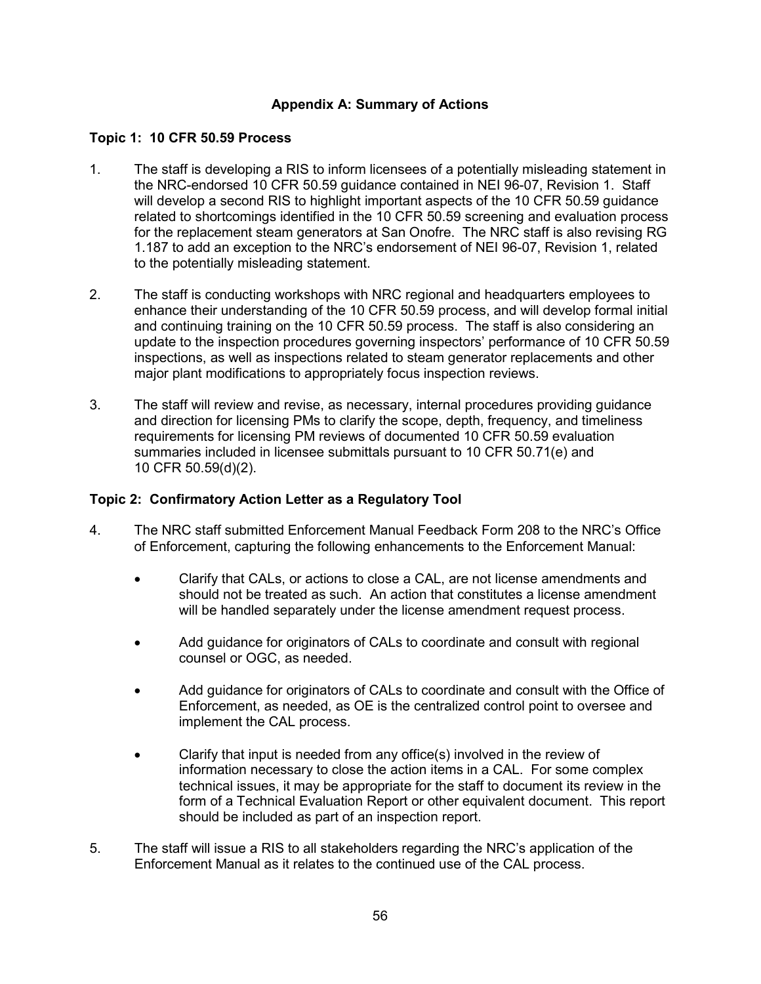#### **Appendix A: Summary of Actions**

#### **Topic 1: 10 CFR 50.59 Process**

- 1. The staff is developing a RIS to inform licensees of a potentially misleading statement in the NRC-endorsed 10 CFR 50.59 guidance contained in NEI 96-07, Revision 1. Staff will develop a second RIS to highlight important aspects of the 10 CFR 50.59 guidance related to shortcomings identified in the 10 CFR 50.59 screening and evaluation process for the replacement steam generators at San Onofre. The NRC staff is also revising RG 1.187 to add an exception to the NRC's endorsement of NEI 96-07, Revision 1, related to the potentially misleading statement.
- 2. The staff is conducting workshops with NRC regional and headquarters employees to enhance their understanding of the 10 CFR 50.59 process, and will develop formal initial and continuing training on the 10 CFR 50.59 process. The staff is also considering an update to the inspection procedures governing inspectors' performance of 10 CFR 50.59 inspections, as well as inspections related to steam generator replacements and other major plant modifications to appropriately focus inspection reviews.
- 3. The staff will review and revise, as necessary, internal procedures providing guidance and direction for licensing PMs to clarify the scope, depth, frequency, and timeliness requirements for licensing PM reviews of documented 10 CFR 50.59 evaluation summaries included in licensee submittals pursuant to 10 CFR 50.71(e) and 10 CFR 50.59(d)(2).

#### **Topic 2: Confirmatory Action Letter as a Regulatory Tool**

- 4. The NRC staff submitted Enforcement Manual Feedback Form 208 to the NRC's Office of Enforcement, capturing the following enhancements to the Enforcement Manual:
	- Clarify that CALs, or actions to close a CAL, are not license amendments and should not be treated as such. An action that constitutes a license amendment will be handled separately under the license amendment request process.
	- Add guidance for originators of CALs to coordinate and consult with regional counsel or OGC, as needed.
	- Add guidance for originators of CALs to coordinate and consult with the Office of Enforcement, as needed, as OE is the centralized control point to oversee and implement the CAL process.
	- Clarify that input is needed from any office(s) involved in the review of information necessary to close the action items in a CAL. For some complex technical issues, it may be appropriate for the staff to document its review in the form of a Technical Evaluation Report or other equivalent document. This report should be included as part of an inspection report.
- 5. The staff will issue a RIS to all stakeholders regarding the NRC's application of the Enforcement Manual as it relates to the continued use of the CAL process.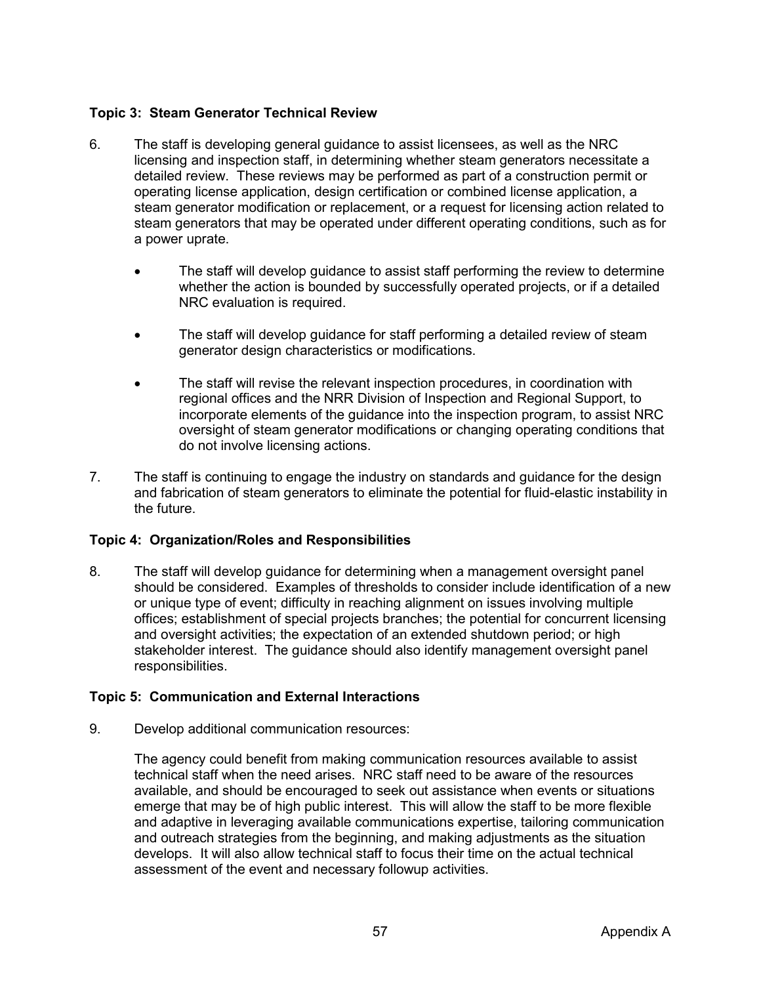#### **Topic 3: Steam Generator Technical Review**

- 6. The staff is developing general guidance to assist licensees, as well as the NRC licensing and inspection staff, in determining whether steam generators necessitate a detailed review. These reviews may be performed as part of a construction permit or operating license application, design certification or combined license application, a steam generator modification or replacement, or a request for licensing action related to steam generators that may be operated under different operating conditions, such as for a power uprate.
	- The staff will develop quidance to assist staff performing the review to determine whether the action is bounded by successfully operated projects, or if a detailed NRC evaluation is required.
	- The staff will develop guidance for staff performing a detailed review of steam generator design characteristics or modifications.
	- The staff will revise the relevant inspection procedures, in coordination with regional offices and the NRR Division of Inspection and Regional Support, to incorporate elements of the guidance into the inspection program, to assist NRC oversight of steam generator modifications or changing operating conditions that do not involve licensing actions.
- 7. The staff is continuing to engage the industry on standards and guidance for the design and fabrication of steam generators to eliminate the potential for fluid-elastic instability in the future.

#### **Topic 4: Organization/Roles and Responsibilities**

8. The staff will develop guidance for determining when a management oversight panel should be considered. Examples of thresholds to consider include identification of a new or unique type of event; difficulty in reaching alignment on issues involving multiple offices; establishment of special projects branches; the potential for concurrent licensing and oversight activities; the expectation of an extended shutdown period; or high stakeholder interest. The guidance should also identify management oversight panel responsibilities.

#### **Topic 5: Communication and External Interactions**

9. Develop additional communication resources:

The agency could benefit from making communication resources available to assist technical staff when the need arises. NRC staff need to be aware of the resources available, and should be encouraged to seek out assistance when events or situations emerge that may be of high public interest. This will allow the staff to be more flexible and adaptive in leveraging available communications expertise, tailoring communication and outreach strategies from the beginning, and making adjustments as the situation develops. It will also allow technical staff to focus their time on the actual technical assessment of the event and necessary followup activities.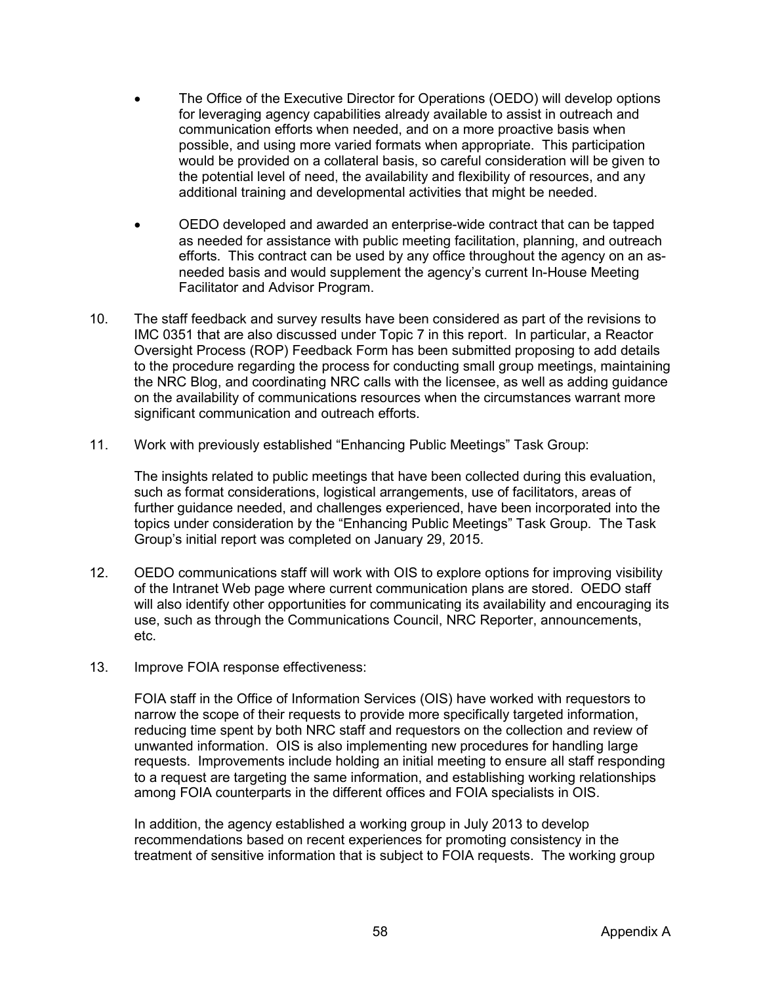- The Office of the Executive Director for Operations (OEDO) will develop options for leveraging agency capabilities already available to assist in outreach and communication efforts when needed, and on a more proactive basis when possible, and using more varied formats when appropriate. This participation would be provided on a collateral basis, so careful consideration will be given to the potential level of need, the availability and flexibility of resources, and any additional training and developmental activities that might be needed.
- OEDO developed and awarded an enterprise-wide contract that can be tapped as needed for assistance with public meeting facilitation, planning, and outreach efforts. This contract can be used by any office throughout the agency on an asneeded basis and would supplement the agency's current In-House Meeting Facilitator and Advisor Program.
- 10. The staff feedback and survey results have been considered as part of the revisions to IMC 0351 that are also discussed under Topic 7 in this report. In particular, a Reactor Oversight Process (ROP) Feedback Form has been submitted proposing to add details to the procedure regarding the process for conducting small group meetings, maintaining the NRC Blog, and coordinating NRC calls with the licensee, as well as adding guidance on the availability of communications resources when the circumstances warrant more significant communication and outreach efforts.
- 11. Work with previously established "Enhancing Public Meetings" Task Group:

The insights related to public meetings that have been collected during this evaluation, such as format considerations, logistical arrangements, use of facilitators, areas of further guidance needed, and challenges experienced, have been incorporated into the topics under consideration by the "Enhancing Public Meetings" Task Group. The Task Group's initial report was completed on January 29, 2015.

- 12. OEDO communications staff will work with OIS to explore options for improving visibility of the Intranet Web page where current communication plans are stored. OEDO staff will also identify other opportunities for communicating its availability and encouraging its use, such as through the Communications Council, NRC Reporter, announcements, etc.
- 13. Improve FOIA response effectiveness:

FOIA staff in the Office of Information Services (OIS) have worked with requestors to narrow the scope of their requests to provide more specifically targeted information, reducing time spent by both NRC staff and requestors on the collection and review of unwanted information. OIS is also implementing new procedures for handling large requests. Improvements include holding an initial meeting to ensure all staff responding to a request are targeting the same information, and establishing working relationships among FOIA counterparts in the different offices and FOIA specialists in OIS.

In addition, the agency established a working group in July 2013 to develop recommendations based on recent experiences for promoting consistency in the treatment of sensitive information that is subject to FOIA requests. The working group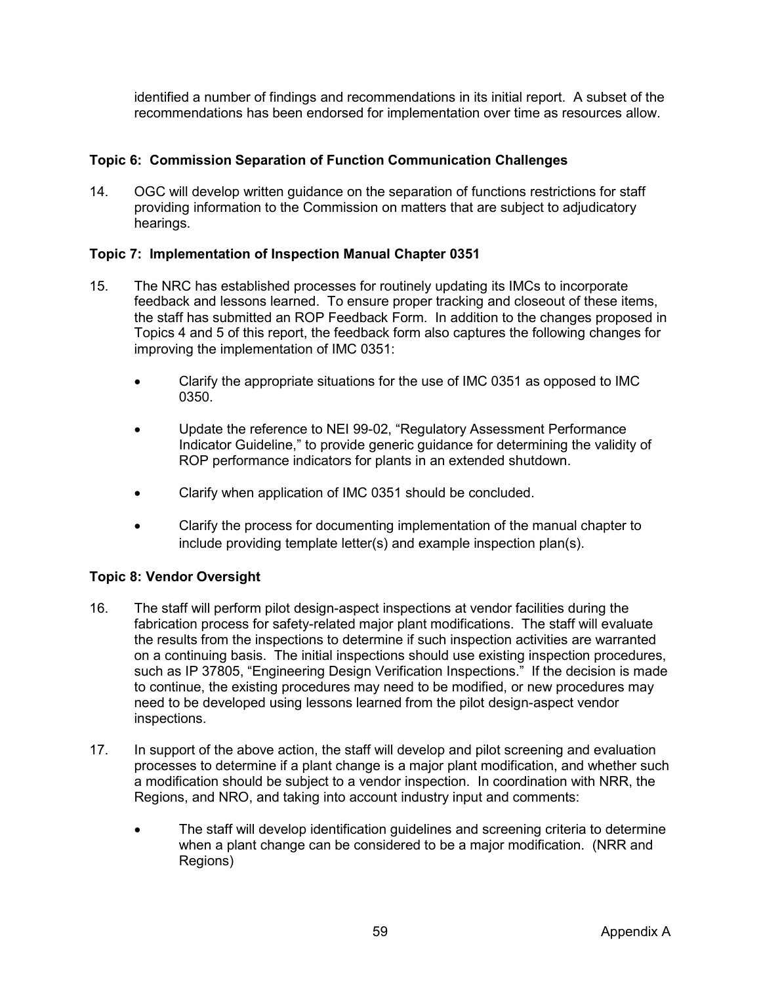identified a number of findings and recommendations in its initial report. A subset of the recommendations has been endorsed for implementation over time as resources allow.

#### **Topic 6: Commission Separation of Function Communication Challenges**

14. OGC will develop written guidance on the separation of functions restrictions for staff providing information to the Commission on matters that are subject to adjudicatory hearings.

#### **Topic 7: Implementation of Inspection Manual Chapter 0351**

- 15. The NRC has established processes for routinely updating its IMCs to incorporate feedback and lessons learned. To ensure proper tracking and closeout of these items, the staff has submitted an ROP Feedback Form. In addition to the changes proposed in Topics 4 and 5 of this report, the feedback form also captures the following changes for improving the implementation of IMC 0351:
	- Clarify the appropriate situations for the use of IMC 0351 as opposed to IMC 0350.
	- Update the reference to NEI 99-02, "Regulatory Assessment Performance Indicator Guideline," to provide generic guidance for determining the validity of ROP performance indicators for plants in an extended shutdown.
	- Clarify when application of IMC 0351 should be concluded.
	- Clarify the process for documenting implementation of the manual chapter to include providing template letter(s) and example inspection plan(s).

#### **Topic 8: Vendor Oversight**

- 16. The staff will perform pilot design-aspect inspections at vendor facilities during the fabrication process for safety-related major plant modifications. The staff will evaluate the results from the inspections to determine if such inspection activities are warranted on a continuing basis. The initial inspections should use existing inspection procedures, such as IP 37805, "Engineering Design Verification Inspections." If the decision is made to continue, the existing procedures may need to be modified, or new procedures may need to be developed using lessons learned from the pilot design-aspect vendor inspections.
- 17. In support of the above action, the staff will develop and pilot screening and evaluation processes to determine if a plant change is a major plant modification, and whether such a modification should be subject to a vendor inspection. In coordination with NRR, the Regions, and NRO, and taking into account industry input and comments:
	- The staff will develop identification guidelines and screening criteria to determine when a plant change can be considered to be a major modification. (NRR and Regions)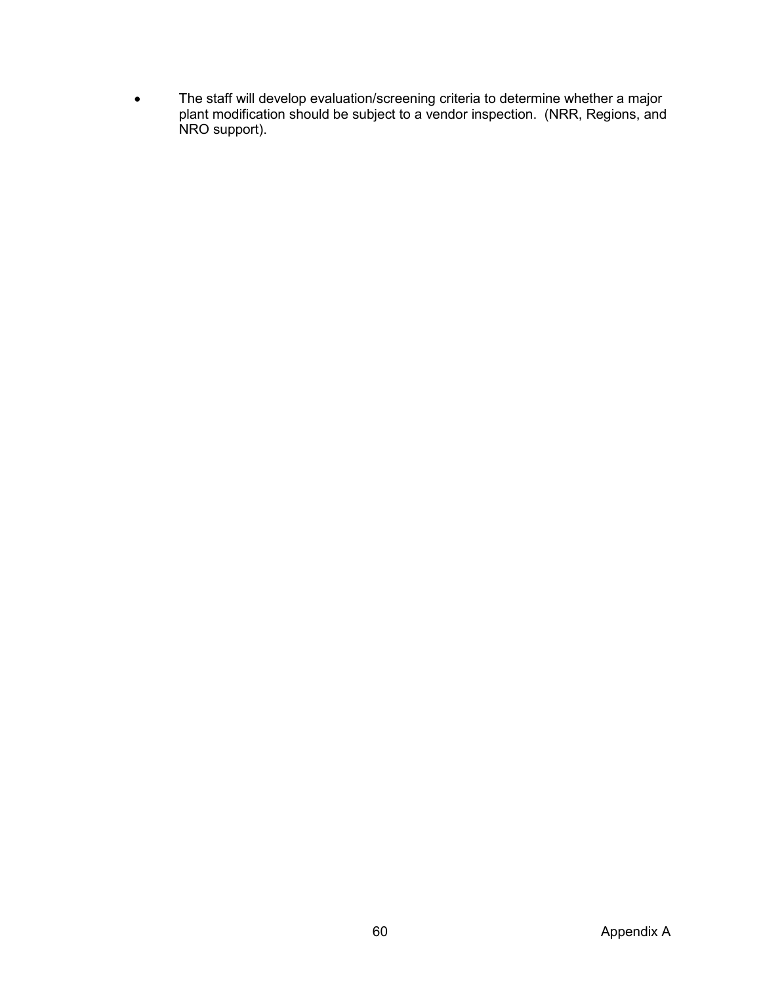• The staff will develop evaluation/screening criteria to determine whether a major plant modification should be subject to a vendor inspection. (NRR, Regions, and NRO support).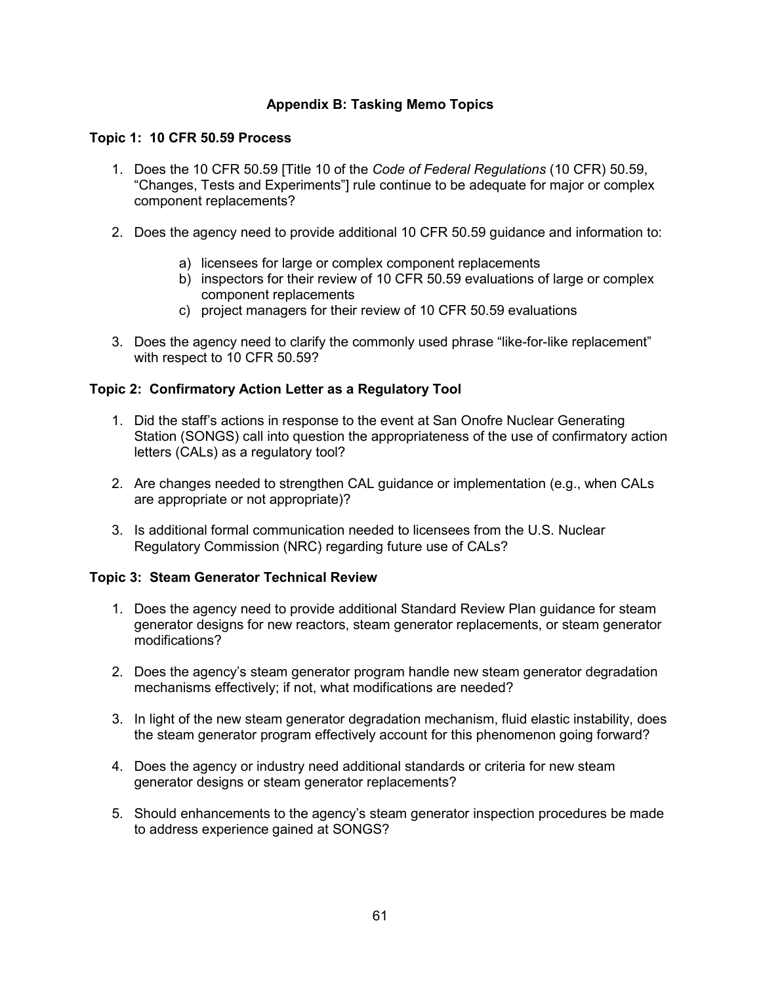#### **Appendix B: Tasking Memo Topics**

#### **Topic 1: 10 CFR 50.59 Process**

- 1. Does the 10 CFR 50.59 [Title 10 of the *Code of Federal Regulations* (10 CFR) 50.59, "Changes, Tests and Experiments"] rule continue to be adequate for major or complex component replacements?
- 2. Does the agency need to provide additional 10 CFR 50.59 guidance and information to:
	- a) licensees for large or complex component replacements
	- b) inspectors for their review of 10 CFR 50.59 evaluations of large or complex component replacements
	- c) project managers for their review of 10 CFR 50.59 evaluations
- 3. Does the agency need to clarify the commonly used phrase "like-for-like replacement" with respect to 10 CFR 50.59?

#### **Topic 2: Confirmatory Action Letter as a Regulatory Tool**

- 1. Did the staff's actions in response to the event at San Onofre Nuclear Generating Station (SONGS) call into question the appropriateness of the use of confirmatory action letters (CALs) as a regulatory tool?
- 2. Are changes needed to strengthen CAL guidance or implementation (e.g., when CALs are appropriate or not appropriate)?
- 3. Is additional formal communication needed to licensees from the U.S. Nuclear Regulatory Commission (NRC) regarding future use of CALs?

#### **Topic 3: Steam Generator Technical Review**

- 1. Does the agency need to provide additional Standard Review Plan guidance for steam generator designs for new reactors, steam generator replacements, or steam generator modifications?
- 2. Does the agency's steam generator program handle new steam generator degradation mechanisms effectively; if not, what modifications are needed?
- 3. In light of the new steam generator degradation mechanism, fluid elastic instability, does the steam generator program effectively account for this phenomenon going forward?
- 4. Does the agency or industry need additional standards or criteria for new steam generator designs or steam generator replacements?
- 5. Should enhancements to the agency's steam generator inspection procedures be made to address experience gained at SONGS?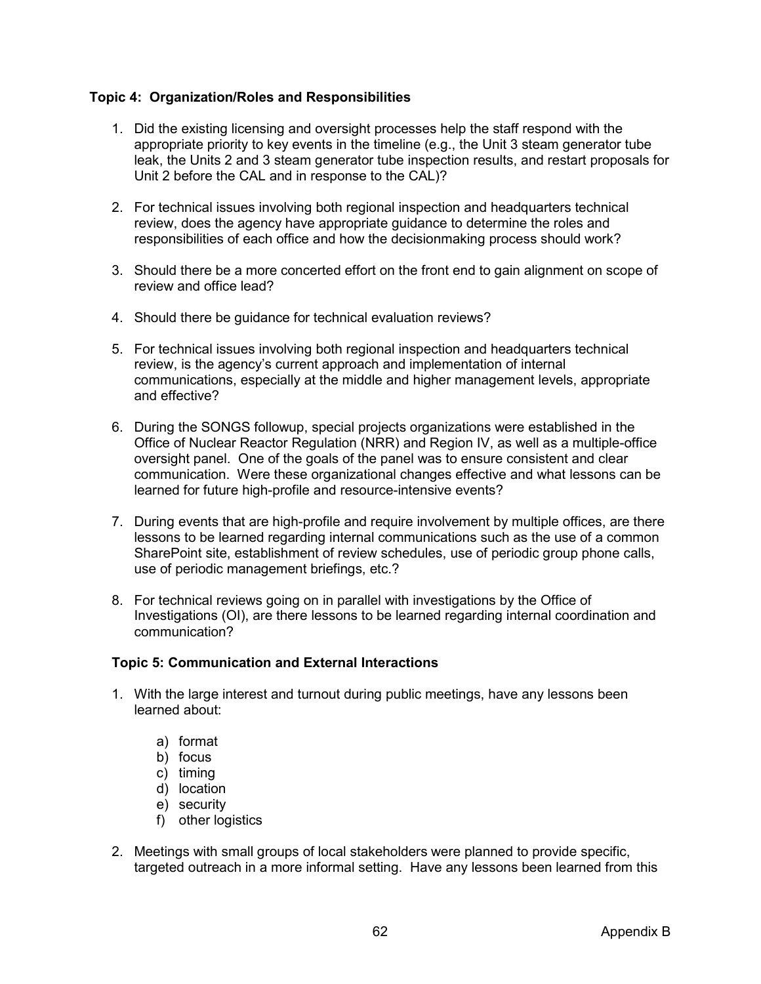#### **Topic 4: Organization/Roles and Responsibilities**

- 1. Did the existing licensing and oversight processes help the staff respond with the appropriate priority to key events in the timeline (e.g., the Unit 3 steam generator tube leak, the Units 2 and 3 steam generator tube inspection results, and restart proposals for Unit 2 before the CAL and in response to the CAL)?
- 2. For technical issues involving both regional inspection and headquarters technical review, does the agency have appropriate guidance to determine the roles and responsibilities of each office and how the decisionmaking process should work?
- 3. Should there be a more concerted effort on the front end to gain alignment on scope of review and office lead?
- 4. Should there be guidance for technical evaluation reviews?
- 5. For technical issues involving both regional inspection and headquarters technical review, is the agency's current approach and implementation of internal communications, especially at the middle and higher management levels, appropriate and effective?
- 6. During the SONGS followup, special projects organizations were established in the Office of Nuclear Reactor Regulation (NRR) and Region IV, as well as a multiple-office oversight panel. One of the goals of the panel was to ensure consistent and clear communication. Were these organizational changes effective and what lessons can be learned for future high-profile and resource-intensive events?
- 7. During events that are high-profile and require involvement by multiple offices, are there lessons to be learned regarding internal communications such as the use of a common SharePoint site, establishment of review schedules, use of periodic group phone calls, use of periodic management briefings, etc.?
- 8. For technical reviews going on in parallel with investigations by the Office of Investigations (OI), are there lessons to be learned regarding internal coordination and communication?

#### **Topic 5: Communication and External Interactions**

- 1. With the large interest and turnout during public meetings, have any lessons been learned about:
	- a) format
	- b) focus
	- c) timing
	- d) location
	- e) security
	- f) other logistics
- 2. Meetings with small groups of local stakeholders were planned to provide specific, targeted outreach in a more informal setting. Have any lessons been learned from this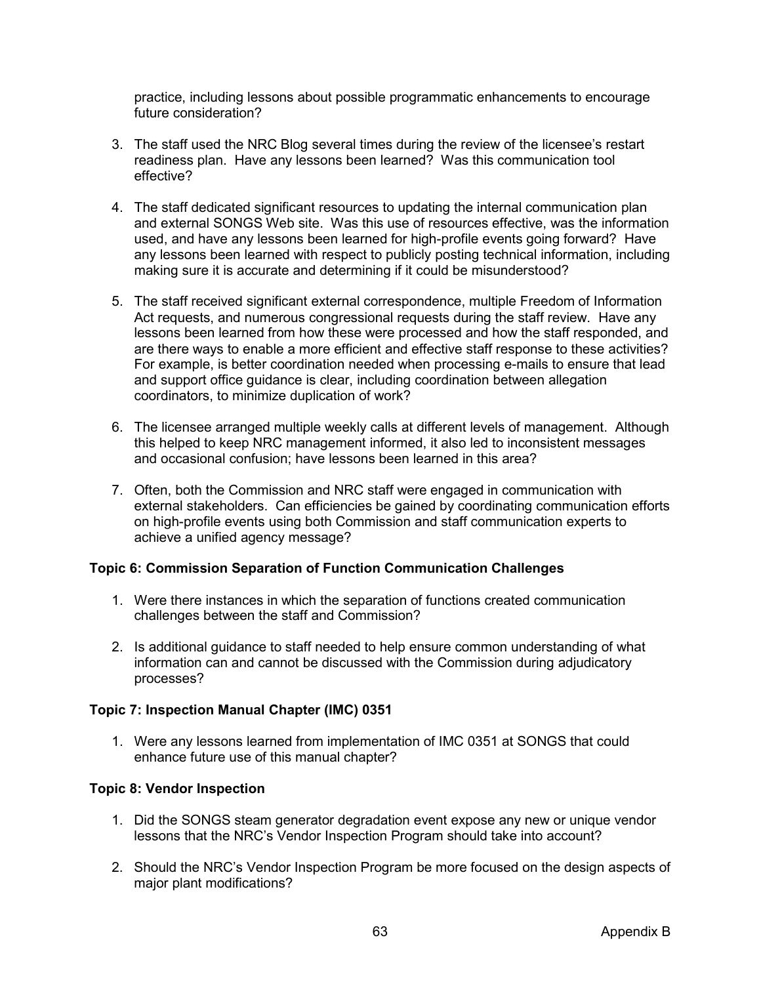practice, including lessons about possible programmatic enhancements to encourage future consideration?

- 3. The staff used the NRC Blog several times during the review of the licensee's restart readiness plan. Have any lessons been learned? Was this communication tool effective?
- 4. The staff dedicated significant resources to updating the internal communication plan and external SONGS Web site. Was this use of resources effective, was the information used, and have any lessons been learned for high-profile events going forward? Have any lessons been learned with respect to publicly posting technical information, including making sure it is accurate and determining if it could be misunderstood?
- 5. The staff received significant external correspondence, multiple Freedom of Information Act requests, and numerous congressional requests during the staff review. Have any lessons been learned from how these were processed and how the staff responded, and are there ways to enable a more efficient and effective staff response to these activities? For example, is better coordination needed when processing e-mails to ensure that lead and support office guidance is clear, including coordination between allegation coordinators, to minimize duplication of work?
- 6. The licensee arranged multiple weekly calls at different levels of management. Although this helped to keep NRC management informed, it also led to inconsistent messages and occasional confusion; have lessons been learned in this area?
- 7. Often, both the Commission and NRC staff were engaged in communication with external stakeholders. Can efficiencies be gained by coordinating communication efforts on high-profile events using both Commission and staff communication experts to achieve a unified agency message?

#### **Topic 6: Commission Separation of Function Communication Challenges**

- 1. Were there instances in which the separation of functions created communication challenges between the staff and Commission?
- 2. Is additional guidance to staff needed to help ensure common understanding of what information can and cannot be discussed with the Commission during adjudicatory processes?

#### **Topic 7: Inspection Manual Chapter (IMC) 0351**

1. Were any lessons learned from implementation of IMC 0351 at SONGS that could enhance future use of this manual chapter?

#### **Topic 8: Vendor Inspection**

- 1. Did the SONGS steam generator degradation event expose any new or unique vendor lessons that the NRC's Vendor Inspection Program should take into account?
- 2. Should the NRC's Vendor Inspection Program be more focused on the design aspects of major plant modifications?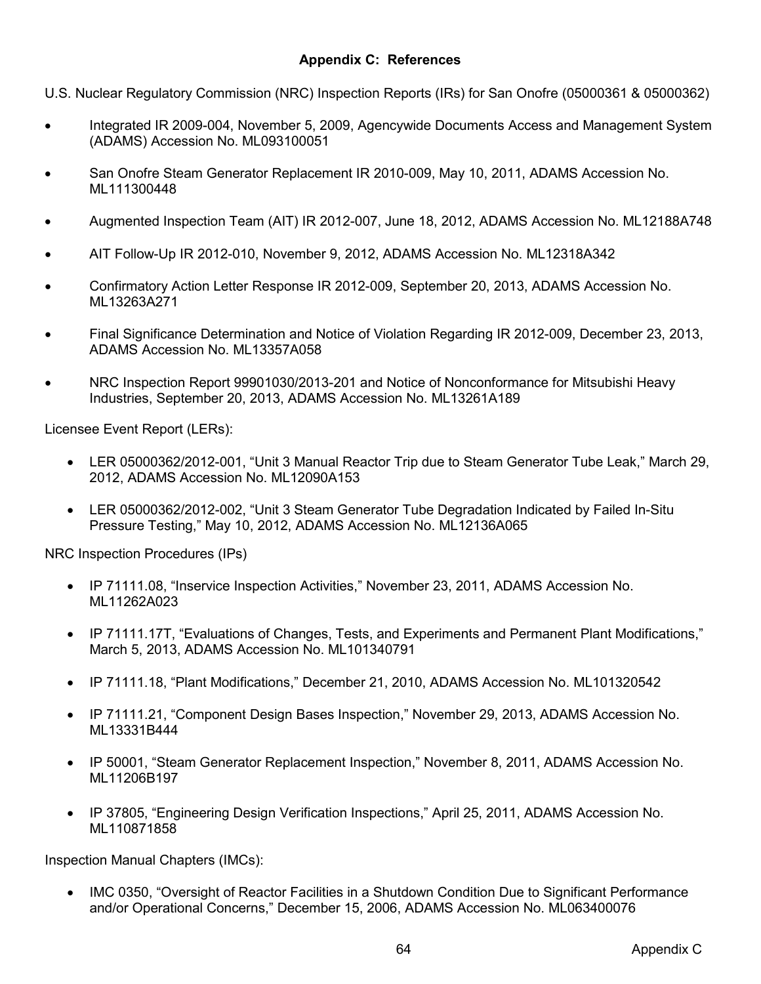#### **Appendix C: References**

U.S. Nuclear Regulatory Commission (NRC) Inspection Reports (IRs) for San Onofre (05000361 & 05000362)

- Integrated IR 2009-004, November 5, 2009, Agencywide Documents Access and Management System (ADAMS) Accession No. ML093100051
- San Onofre Steam Generator Replacement IR 2010-009, May 10, 2011, ADAMS Accession No. ML111300448
- Augmented Inspection Team (AIT) IR 2012-007, June 18, 2012, ADAMS Accession No. ML12188A748
- AIT Follow-Up IR 2012-010, November 9, 2012, ADAMS Accession No. ML12318A342
- Confirmatory Action Letter Response IR 2012-009, September 20, 2013, ADAMS Accession No. ML13263A271
- Final Significance Determination and Notice of Violation Regarding IR 2012-009, December 23, 2013, ADAMS Accession No. ML13357A058
- NRC Inspection Report 99901030/2013-201 and Notice of Nonconformance for Mitsubishi Heavy Industries, September 20, 2013, ADAMS Accession No. ML13261A189

Licensee Event Report (LERs):

- LER 05000362/2012-001, "Unit 3 Manual Reactor Trip due to Steam Generator Tube Leak," March 29, 2012, ADAMS Accession No. ML12090A153
- LER 05000362/2012-002, "Unit 3 Steam Generator Tube Degradation Indicated by Failed In-Situ Pressure Testing," May 10, 2012, ADAMS Accession No. ML12136A065

NRC Inspection Procedures (IPs)

- IP 71111.08, "Inservice Inspection Activities," November 23, 2011, ADAMS Accession No. ML11262A023
- IP 71111.17T, "Evaluations of Changes, Tests, and Experiments and Permanent Plant Modifications," March 5, 2013, ADAMS Accession No. ML101340791
- IP 71111.18, "Plant Modifications," December 21, 2010, ADAMS Accession No. ML101320542
- IP 71111.21, "Component Design Bases Inspection," November 29, 2013, ADAMS Accession No. ML13331B444
- IP 50001, "Steam Generator Replacement Inspection," November 8, 2011, ADAMS Accession No. MI 11206B197
- IP 37805, "Engineering Design Verification Inspections," April 25, 2011, ADAMS Accession No. ML110871858

Inspection Manual Chapters (IMCs):

IMC 0350, "Oversight of Reactor Facilities in a Shutdown Condition Due to Significant Performance and/or Operational Concerns," December 15, 2006, ADAMS Accession No. ML063400076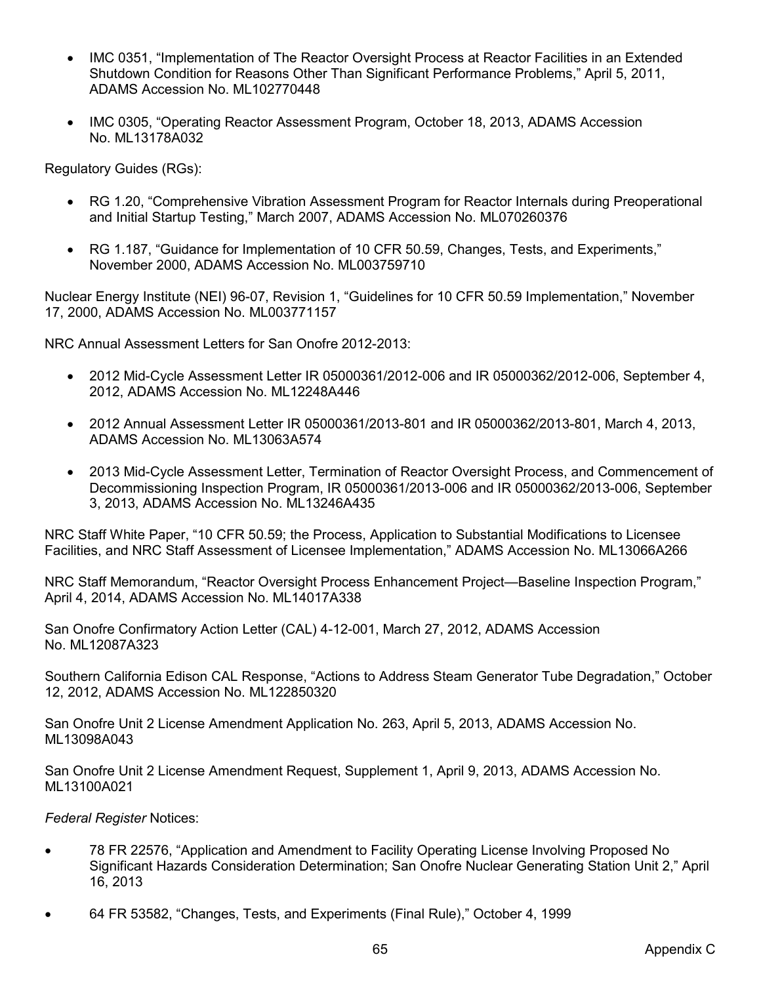- IMC 0351, "Implementation of The Reactor Oversight Process at Reactor Facilities in an Extended Shutdown Condition for Reasons Other Than Significant Performance Problems," April 5, 2011, ADAMS Accession No. ML102770448
- IMC 0305, "Operating Reactor Assessment Program, October 18, 2013, ADAMS Accession No. ML13178A032

Regulatory Guides (RGs):

- RG 1.20, "Comprehensive Vibration Assessment Program for Reactor Internals during Preoperational and Initial Startup Testing," March 2007, ADAMS Accession No. ML070260376
- RG 1.187, "Guidance for Implementation of 10 CFR 50.59, Changes, Tests, and Experiments," November 2000, ADAMS Accession No. ML003759710

Nuclear Energy Institute (NEI) 96-07, Revision 1, "Guidelines for 10 CFR 50.59 Implementation," November 17, 2000, ADAMS Accession No. ML003771157

NRC Annual Assessment Letters for San Onofre 2012-2013:

- 2012 Mid-Cycle Assessment Letter IR 05000361/2012-006 and IR 05000362/2012-006, September 4, 2012, ADAMS Accession No. ML12248A446
- 2012 Annual Assessment Letter IR 05000361/2013-801 and IR 05000362/2013-801, March 4, 2013, ADAMS Accession No. ML13063A574
- 2013 Mid-Cycle Assessment Letter, Termination of Reactor Oversight Process, and Commencement of Decommissioning Inspection Program, IR 05000361/2013-006 and IR 05000362/2013-006, September 3, 2013, ADAMS Accession No. ML13246A435

NRC Staff White Paper, "10 CFR 50.59; the Process, Application to Substantial Modifications to Licensee Facilities, and NRC Staff Assessment of Licensee Implementation," ADAMS Accession No. ML13066A266

NRC Staff Memorandum, "Reactor Oversight Process Enhancement Project—Baseline Inspection Program," April 4, 2014, ADAMS Accession No. ML14017A338

San Onofre Confirmatory Action Letter (CAL) 4-12-001, March 27, 2012, ADAMS Accession No. ML12087A323

Southern California Edison CAL Response, "Actions to Address Steam Generator Tube Degradation," October 12, 2012, ADAMS Accession No. ML122850320

San Onofre Unit 2 License Amendment Application No. 263, April 5, 2013, ADAMS Accession No. ML13098A043

San Onofre Unit 2 License Amendment Request, Supplement 1, April 9, 2013, ADAMS Accession No. ML13100A021

*Federal Register* Notices:

- 78 FR 22576, "Application and Amendment to Facility Operating License Involving Proposed No Significant Hazards Consideration Determination; San Onofre Nuclear Generating Station Unit 2," April 16, 2013
- 64 FR 53582, "Changes, Tests, and Experiments (Final Rule)," October 4, 1999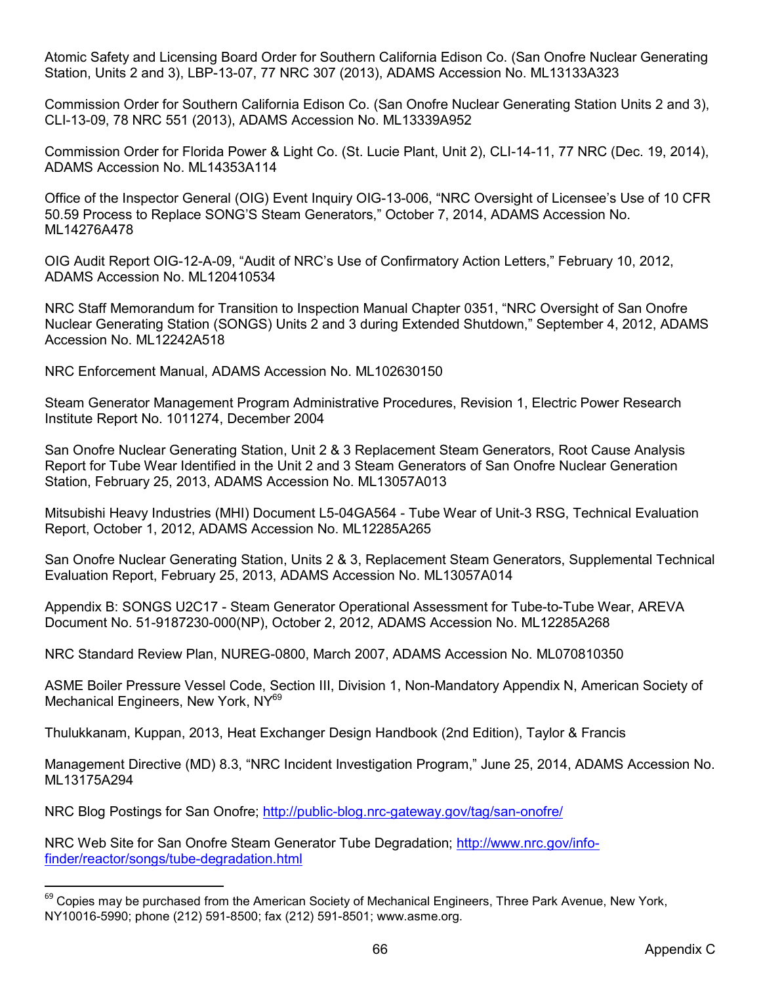Atomic Safety and Licensing Board Order for Southern California Edison Co. (San Onofre Nuclear Generating Station, Units 2 and 3), LBP-13-07, 77 NRC 307 (2013), ADAMS Accession No. ML13133A323

Commission Order for Southern California Edison Co. (San Onofre Nuclear Generating Station Units 2 and 3), CLI-13-09, 78 NRC 551 (2013), ADAMS Accession No. ML13339A952

Commission Order for Florida Power & Light Co. (St. Lucie Plant, Unit 2), CLI-14-11, 77 NRC (Dec. 19, 2014), ADAMS Accession No. ML14353A114

Office of the Inspector General (OIG) Event Inquiry OIG-13-006, "NRC Oversight of Licensee's Use of 10 CFR 50.59 Process to Replace SONG'S Steam Generators," October 7, 2014, ADAMS Accession No. ML14276A478

OIG Audit Report OIG-12-A-09, "Audit of NRC's Use of Confirmatory Action Letters," February 10, 2012, ADAMS Accession No. ML120410534

NRC Staff Memorandum for Transition to Inspection Manual Chapter 0351, "NRC Oversight of San Onofre Nuclear Generating Station (SONGS) Units 2 and 3 during Extended Shutdown," September 4, 2012, ADAMS Accession No. ML12242A518

NRC Enforcement Manual, ADAMS Accession No. ML102630150

Steam Generator Management Program Administrative Procedures, Revision 1, Electric Power Research Institute Report No. 1011274, December 2004

San Onofre Nuclear Generating Station, Unit 2 & 3 Replacement Steam Generators, Root Cause Analysis Report for Tube Wear Identified in the Unit 2 and 3 Steam Generators of San Onofre Nuclear Generation Station, February 25, 2013, ADAMS Accession No. ML13057A013

Mitsubishi Heavy Industries (MHI) Document L5-04GA564 - Tube Wear of Unit-3 RSG, Technical Evaluation Report, October 1, 2012, ADAMS Accession No. ML12285A265

San Onofre Nuclear Generating Station, Units 2 & 3, Replacement Steam Generators, Supplemental Technical Evaluation Report, February 25, 2013, ADAMS Accession No. ML13057A014

Appendix B: SONGS U2C17 - Steam Generator Operational Assessment for Tube-to-Tube Wear, AREVA Document No. 51-9187230-000(NP), October 2, 2012, ADAMS Accession No. ML12285A268

NRC Standard Review Plan, NUREG-0800, March 2007, ADAMS Accession No. ML070810350

ASME Boiler Pressure Vessel Code, Section III, Division 1, Non-Mandatory Appendix N, American Society of Mechanical Engineers, New York, NY<sup>69</sup>

Thulukkanam, Kuppan, 2013, Heat Exchanger Design Handbook (2nd Edition), Taylor & Francis

Management Directive (MD) 8.3, "NRC Incident Investigation Program," June 25, 2014, ADAMS Accession No. ML13175A294

NRC Blog Postings for San Onofre; http://public-blog.nrc-gateway.gov/tag/san-onofre/

NRC Web Site for San Onofre Steam Generator Tube Degradation; http://www.nrc.gov/infofinder/reactor/songs/tube-degradation.html

<sup>69</sup> Copies may be purchased from the American Society of Mechanical Engineers, Three Park Avenue, New York, NY10016-5990; phone (212) 591-8500; fax (212) 591-8501; www.asme.org.